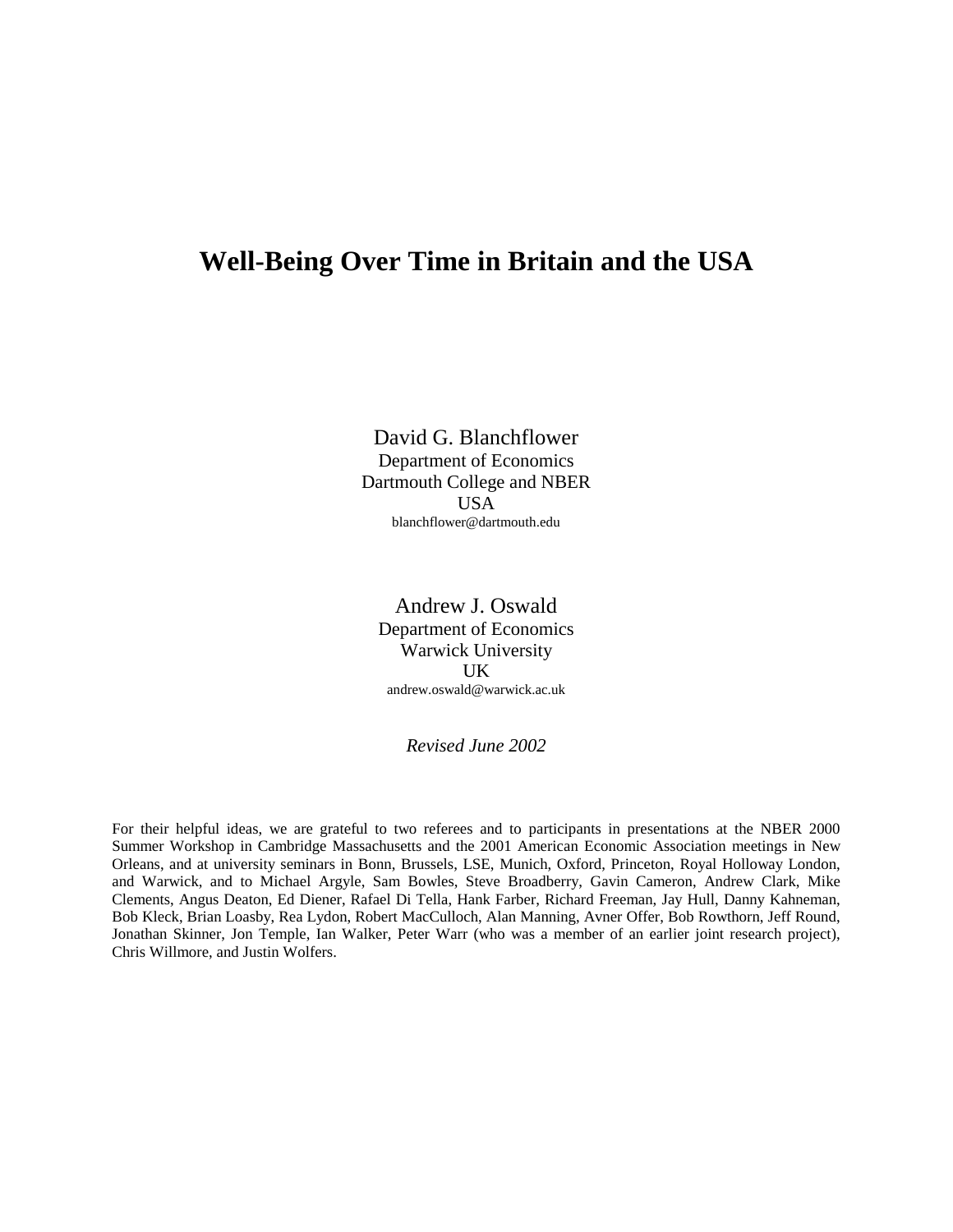# **Well-Being Over Time in Britain and the USA**

David G. Blanchflower Department of Economics Dartmouth College and NBER USA blanchflower@dartmouth.edu

Andrew J. Oswald Department of Economics Warwick University UK andrew.oswald@warwick.ac.uk

*Revised June 2002*

For their helpful ideas, we are grateful to two referees and to participants in presentations at the NBER 2000 Summer Workshop in Cambridge Massachusetts and the 2001 American Economic Association meetings in New Orleans, and at university seminars in Bonn, Brussels, LSE, Munich, Oxford, Princeton, Royal Holloway London, and Warwick, and to Michael Argyle, Sam Bowles, Steve Broadberry, Gavin Cameron, Andrew Clark, Mike Clements, Angus Deaton, Ed Diener, Rafael Di Tella, Hank Farber, Richard Freeman, Jay Hull, Danny Kahneman, Bob Kleck, Brian Loasby, Rea Lydon, Robert MacCulloch, Alan Manning, Avner Offer, Bob Rowthorn, Jeff Round, Jonathan Skinner, Jon Temple, Ian Walker, Peter Warr (who was a member of an earlier joint research project), Chris Willmore, and Justin Wolfers.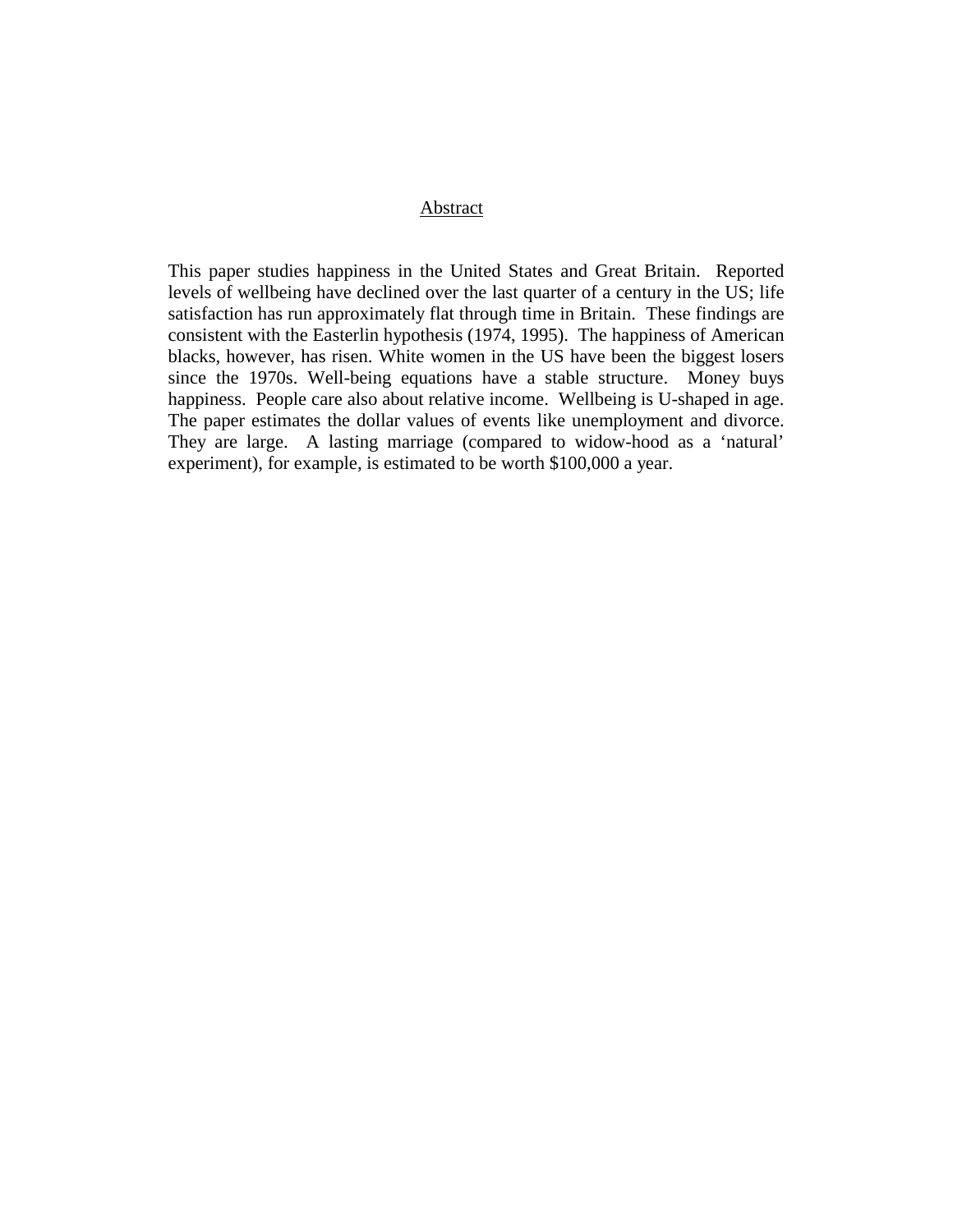### Abstract

This paper studies happiness in the United States and Great Britain. Reported levels of wellbeing have declined over the last quarter of a century in the US; life satisfaction has run approximately flat through time in Britain. These findings are consistent with the Easterlin hypothesis (1974, 1995). The happiness of American blacks, however, has risen. White women in the US have been the biggest losers since the 1970s. Well-being equations have a stable structure. Money buys happiness. People care also about relative income. Wellbeing is U-shaped in age. The paper estimates the dollar values of events like unemployment and divorce. They are large. A lasting marriage (compared to widow-hood as a 'natural' experiment), for example, is estimated to be worth \$100,000 a year.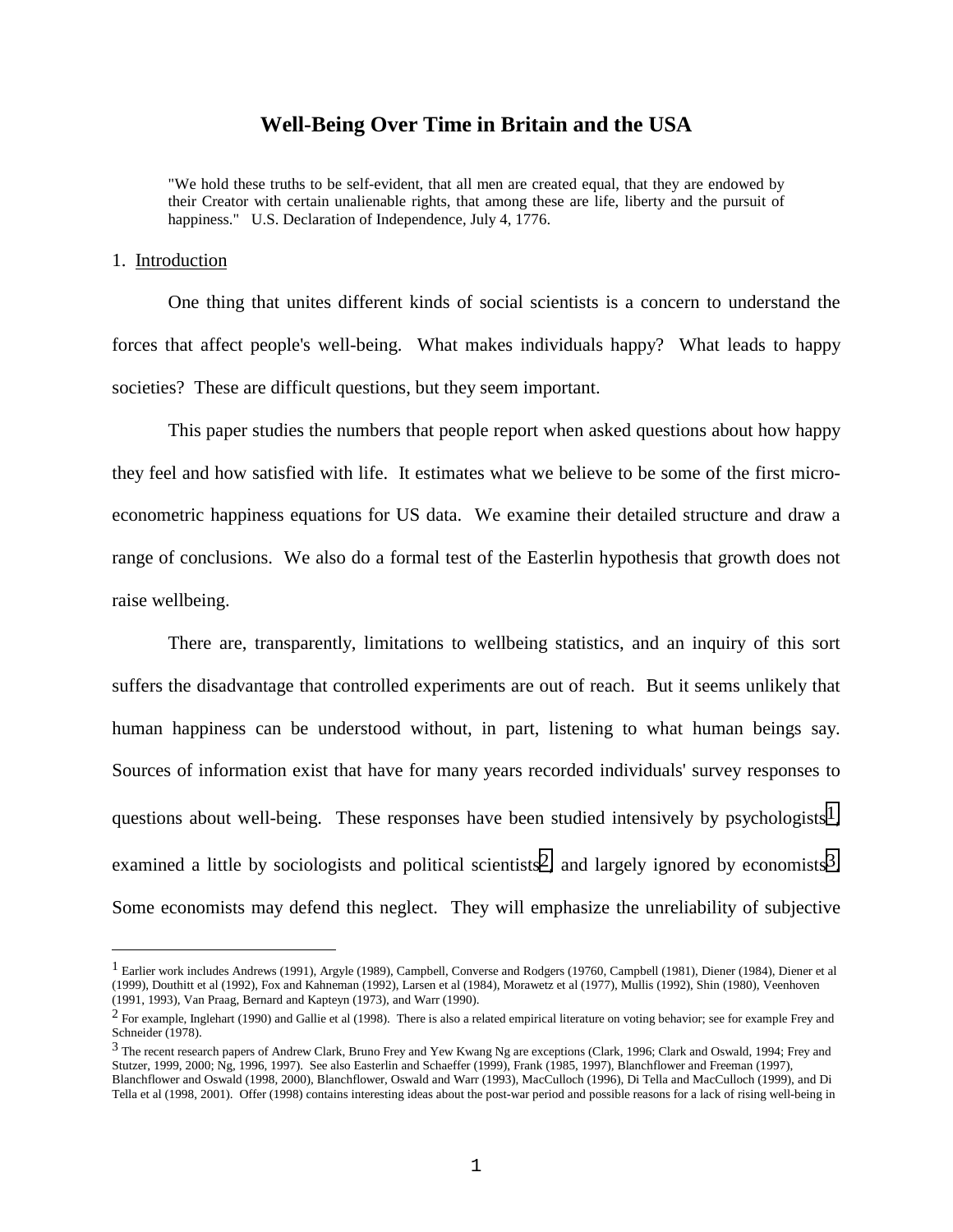# **Well-Being Over Time in Britain and the USA**

"We hold these truths to be self-evident, that all men are created equal, that they are endowed by their Creator with certain unalienable rights, that among these are life, liberty and the pursuit of happiness." U.S. Declaration of Independence, July 4, 1776.

### 1. Introduction

÷,

One thing that unites different kinds of social scientists is a concern to understand the forces that affect people's well-being. What makes individuals happy? What leads to happy societies? These are difficult questions, but they seem important.

This paper studies the numbers that people report when asked questions about how happy they feel and how satisfied with life. It estimates what we believe to be some of the first microeconometric happiness equations for US data. We examine their detailed structure and draw a range of conclusions. We also do a formal test of the Easterlin hypothesis that growth does not raise wellbeing.

There are, transparently, limitations to wellbeing statistics, and an inquiry of this sort suffers the disadvantage that controlled experiments are out of reach. But it seems unlikely that human happiness can be understood without, in part, listening to what human beings say. Sources of information exist that have for many years recorded individuals' survey responses to questions about well-being. These responses have been studied intensively by psychologists<sup>1</sup>, examined a little by sociologists and political scientists<sup>2</sup>, and largely ignored by economists<sup>3</sup>. Some economists may defend this neglect. They will emphasize the unreliability of subjective

 $<sup>1</sup>$  Earlier work includes Andrews (1991), Argyle (1989), Campbell, Converse and Rodgers (19760, Campbell (1981), Diener (1984), Diener et al</sup> (1999), Douthitt et al (1992), Fox and Kahneman (1992), Larsen et al (1984), Morawetz et al (1977), Mullis (1992), Shin (1980), Veenhoven (1991, 1993), Van Praag, Bernard and Kapteyn (1973), and Warr (1990).

 $2$  For example, Inglehart (1990) and Gallie et al (1998). There is also a related empirical literature on voting behavior; see for example Frey and Schneider (1978).

<sup>3</sup> The recent research papers of Andrew Clark, Bruno Frey and Yew Kwang Ng are exceptions (Clark, 1996; Clark and Oswald, 1994; Frey and Stutzer, 1999, 2000; Ng, 1996, 1997). See also Easterlin and Schaeffer (1999), Frank (1985, 1997), Blanchflower and Freeman (1997), Blanchflower and Oswald (1998, 2000), Blanchflower, Oswald and Warr (1993), MacCulloch (1996), Di Tella and MacCulloch (1999), and Di Tella et al (1998, 2001). Offer (1998) contains interesting ideas about the post-war period and possible reasons for a lack of rising well-being in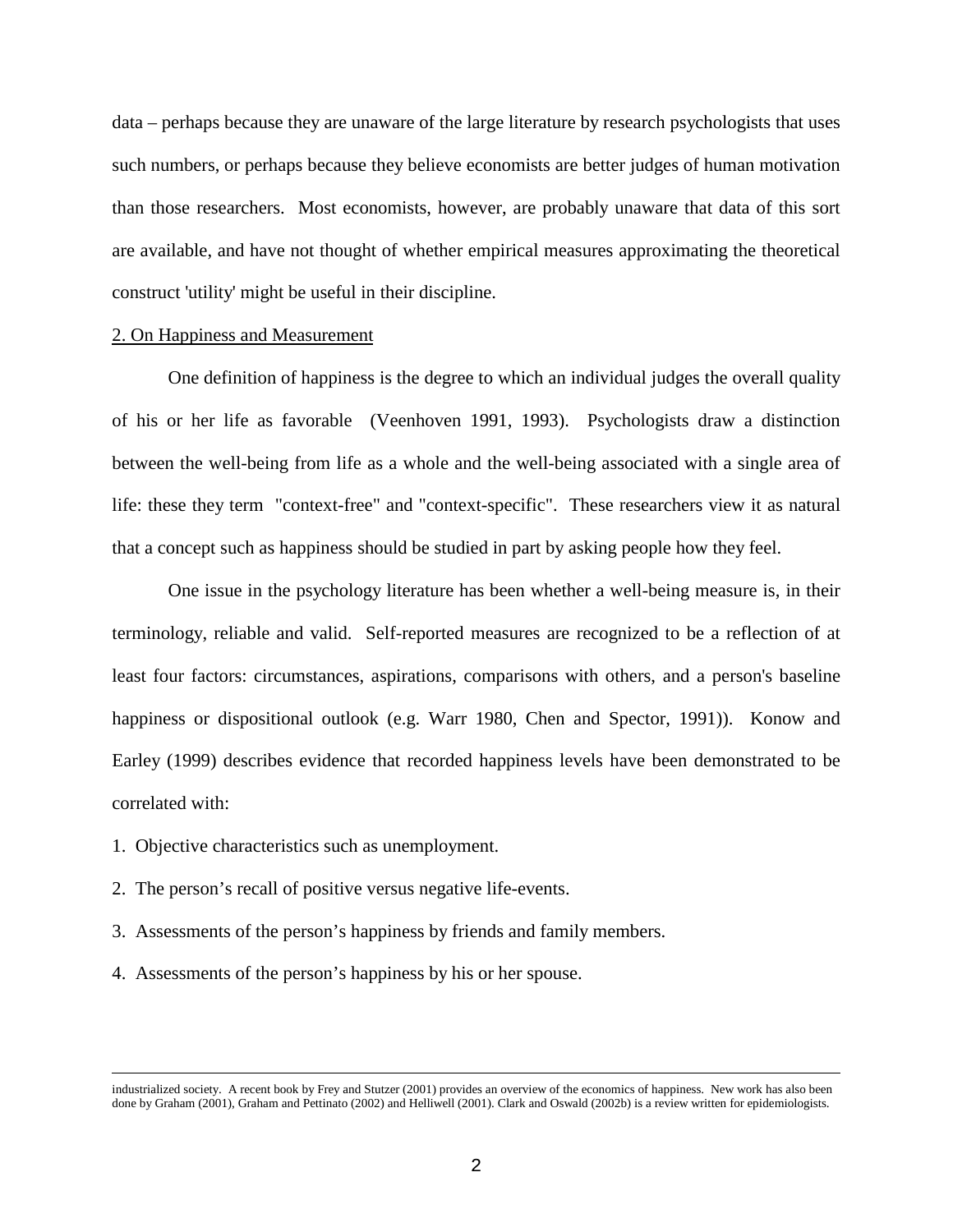data – perhaps because they are unaware of the large literature by research psychologists that uses such numbers, or perhaps because they believe economists are better judges of human motivation than those researchers. Most economists, however, are probably unaware that data of this sort are available, and have not thought of whether empirical measures approximating the theoretical construct 'utility' might be useful in their discipline.

#### 2. On Happiness and Measurement

One definition of happiness is the degree to which an individual judges the overall quality of his or her life as favorable (Veenhoven 1991, 1993). Psychologists draw a distinction between the well-being from life as a whole and the well-being associated with a single area of life: these they term "context-free" and "context-specific". These researchers view it as natural that a concept such as happiness should be studied in part by asking people how they feel.

One issue in the psychology literature has been whether a well-being measure is, in their terminology, reliable and valid. Self-reported measures are recognized to be a reflection of at least four factors: circumstances, aspirations, comparisons with others, and a person's baseline happiness or dispositional outlook (e.g. Warr 1980, Chen and Spector, 1991)). Konow and Earley (1999) describes evidence that recorded happiness levels have been demonstrated to be correlated with:

1. Objective characteristics such as unemployment.

÷,

- 2. The person's recall of positive versus negative life-events.
- 3. Assessments of the person's happiness by friends and family members.
- 4. Assessments of the person's happiness by his or her spouse.

industrialized society. A recent book by Frey and Stutzer (2001) provides an overview of the economics of happiness. New work has also been done by Graham (2001), Graham and Pettinato (2002) and Helliwell (2001). Clark and Oswald (2002b) is a review written for epidemiologists.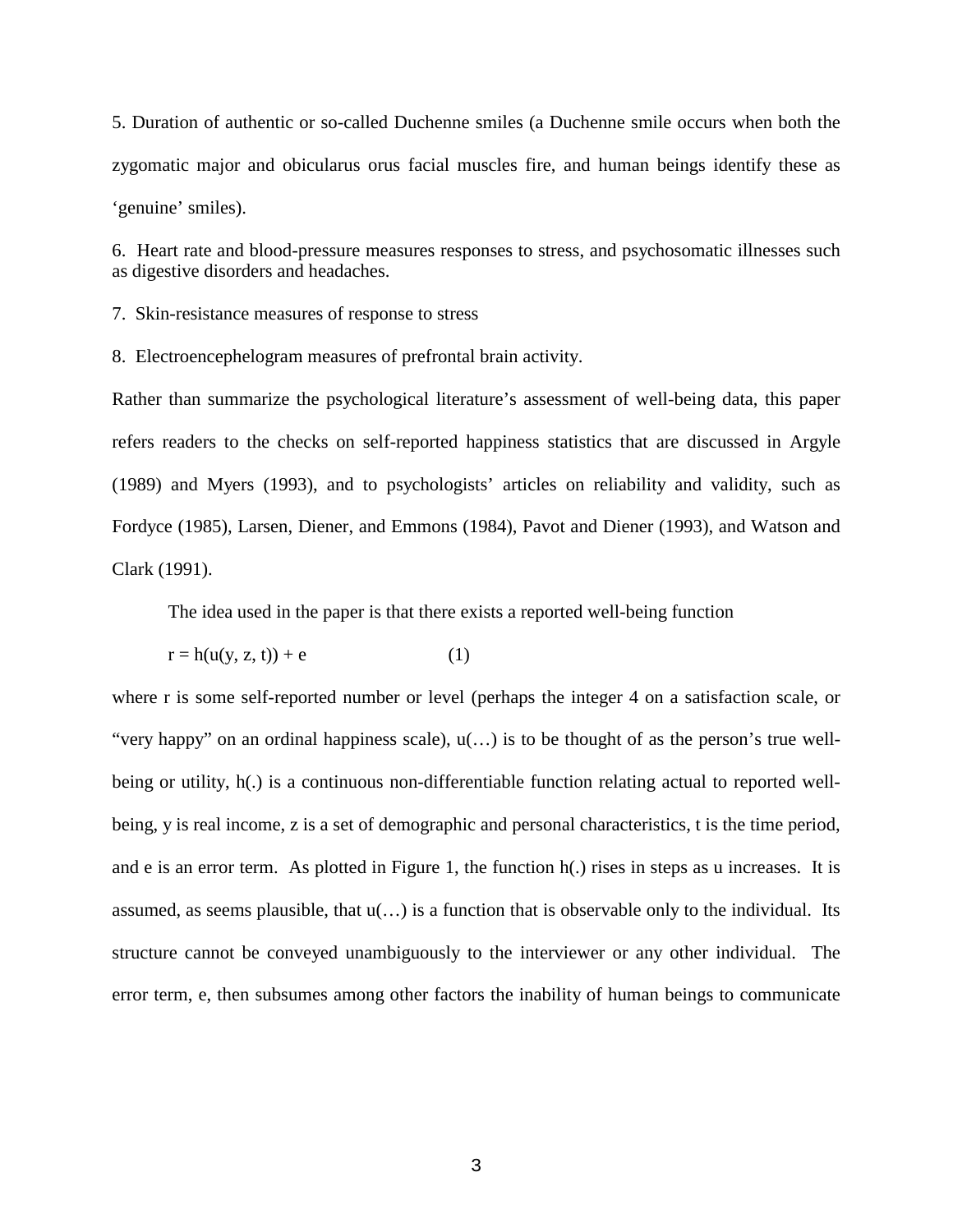5. Duration of authentic or so-called Duchenne smiles (a Duchenne smile occurs when both the zygomatic major and obicularus orus facial muscles fire, and human beings identify these as 'genuine' smiles).

6. Heart rate and blood-pressure measures responses to stress, and psychosomatic illnesses such as digestive disorders and headaches.

7. Skin-resistance measures of response to stress

8. Electroencephelogram measures of prefrontal brain activity.

Rather than summarize the psychological literature's assessment of well-being data, this paper refers readers to the checks on self-reported happiness statistics that are discussed in Argyle (1989) and Myers (1993), and to psychologists' articles on reliability and validity, such as Fordyce (1985), Larsen, Diener, and Emmons (1984), Pavot and Diener (1993), and Watson and Clark (1991).

The idea used in the paper is that there exists a reported well-being function

$$
r = h(u(y, z, t)) + e \tag{1}
$$

where r is some self-reported number or level (perhaps the integer 4 on a satisfaction scale, or "very happy" on an ordinal happiness scale), u(…) is to be thought of as the person's true wellbeing or utility, h(.) is a continuous non-differentiable function relating actual to reported wellbeing, y is real income, z is a set of demographic and personal characteristics, t is the time period, and e is an error term. As plotted in Figure 1, the function h(.) rises in steps as u increases. It is assumed, as seems plausible, that  $u(\ldots)$  is a function that is observable only to the individual. Its structure cannot be conveyed unambiguously to the interviewer or any other individual. The error term, e, then subsumes among other factors the inability of human beings to communicate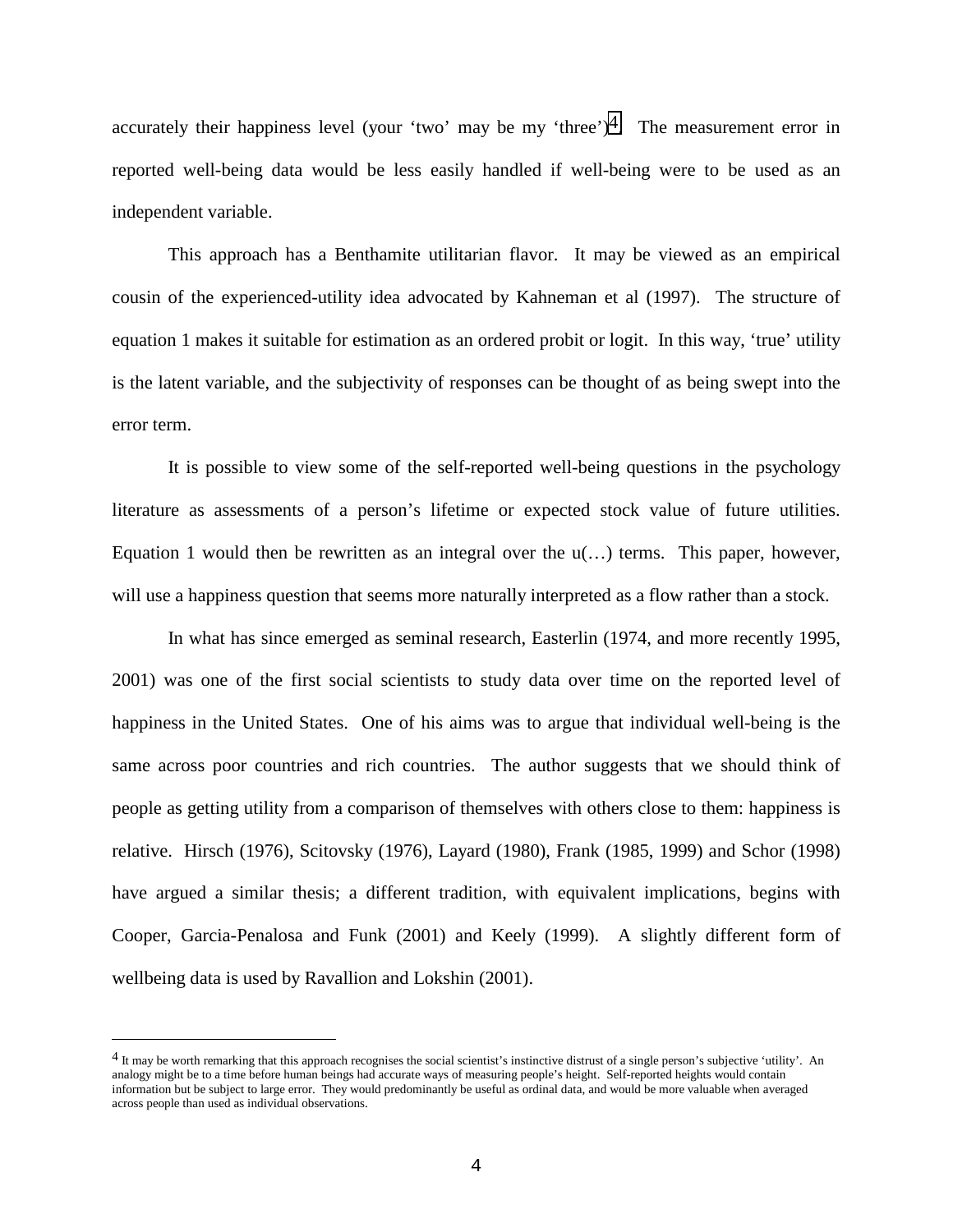accurately their happiness level (your 'two' may be my 'three')<sup>4</sup>. The measurement error in reported well-being data would be less easily handled if well-being were to be used as an independent variable.

This approach has a Benthamite utilitarian flavor. It may be viewed as an empirical cousin of the experienced-utility idea advocated by Kahneman et al (1997). The structure of equation 1 makes it suitable for estimation as an ordered probit or logit. In this way, 'true' utility is the latent variable, and the subjectivity of responses can be thought of as being swept into the error term.

It is possible to view some of the self-reported well-being questions in the psychology literature as assessments of a person's lifetime or expected stock value of future utilities. Equation 1 would then be rewritten as an integral over the  $u(...)$  terms. This paper, however, will use a happiness question that seems more naturally interpreted as a flow rather than a stock.

In what has since emerged as seminal research, Easterlin (1974, and more recently 1995, 2001) was one of the first social scientists to study data over time on the reported level of happiness in the United States. One of his aims was to argue that individual well-being is the same across poor countries and rich countries. The author suggests that we should think of people as getting utility from a comparison of themselves with others close to them: happiness is relative. Hirsch (1976), Scitovsky (1976), Layard (1980), Frank (1985, 1999) and Schor (1998) have argued a similar thesis; a different tradition, with equivalent implications, begins with Cooper, Garcia-Penalosa and Funk (2001) and Keely (1999). A slightly different form of wellbeing data is used by Ravallion and Lokshin (2001).

 $\overline{a}$ 

<sup>4</sup> It may be worth remarking that this approach recognises the social scientist's instinctive distrust of a single person's subjective 'utility'. An analogy might be to a time before human beings had accurate ways of measuring people's height. Self-reported heights would contain information but be subject to large error. They would predominantly be useful as ordinal data, and would be more valuable when averaged across people than used as individual observations.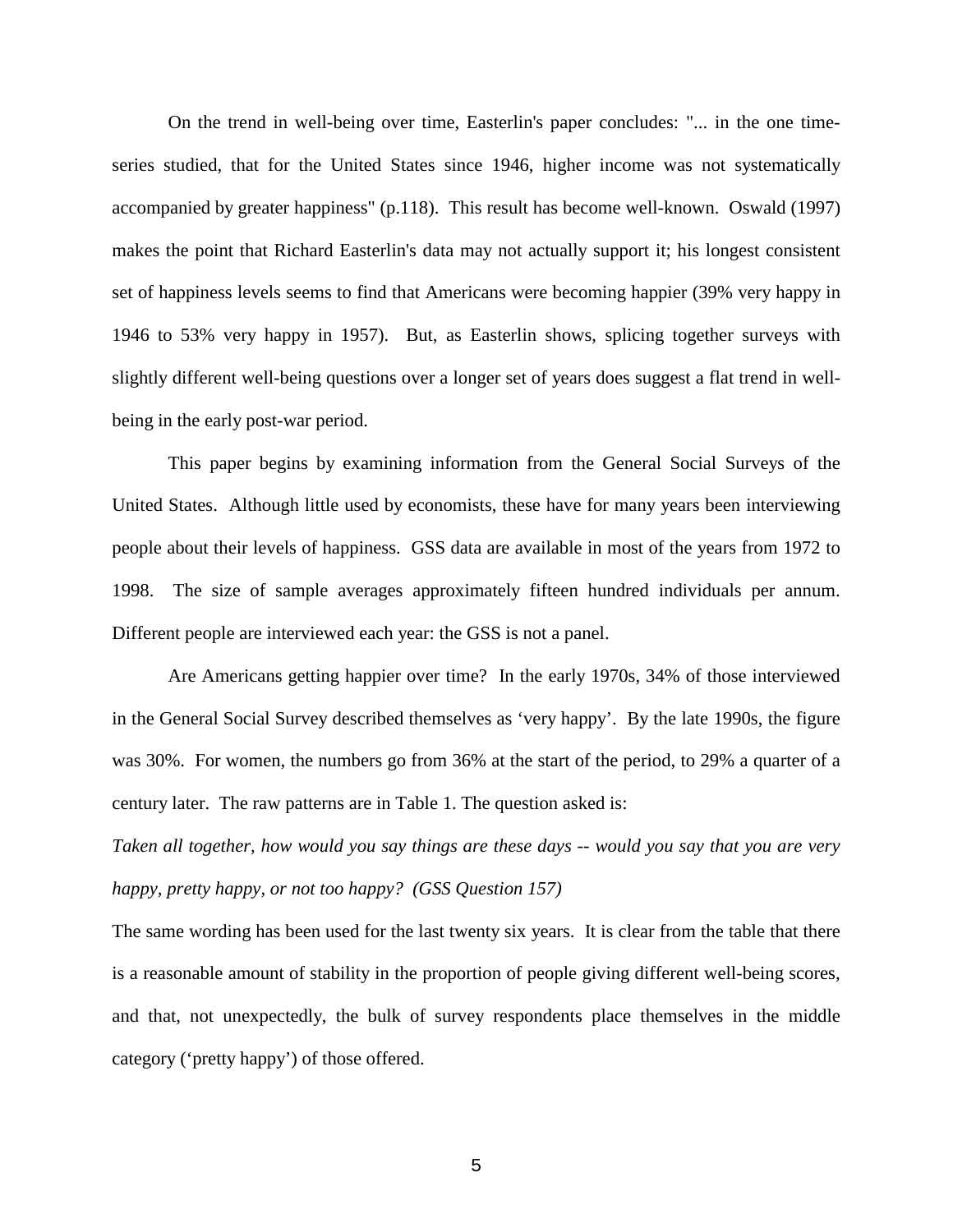On the trend in well-being over time, Easterlin's paper concludes: "... in the one timeseries studied, that for the United States since 1946, higher income was not systematically accompanied by greater happiness" (p.118). This result has become well-known. Oswald (1997) makes the point that Richard Easterlin's data may not actually support it; his longest consistent set of happiness levels seems to find that Americans were becoming happier (39% very happy in 1946 to 53% very happy in 1957). But, as Easterlin shows, splicing together surveys with slightly different well-being questions over a longer set of years does suggest a flat trend in wellbeing in the early post-war period.

This paper begins by examining information from the General Social Surveys of the United States. Although little used by economists, these have for many years been interviewing people about their levels of happiness. GSS data are available in most of the years from 1972 to 1998. The size of sample averages approximately fifteen hundred individuals per annum. Different people are interviewed each year: the GSS is not a panel.

Are Americans getting happier over time? In the early 1970s, 34% of those interviewed in the General Social Survey described themselves as 'very happy'. By the late 1990s, the figure was 30%. For women, the numbers go from 36% at the start of the period, to 29% a quarter of a century later. The raw patterns are in Table 1. The question asked is:

*Taken all together, how would you say things are these days -- would you say that you are very happy, pretty happy, or not too happy? (GSS Question 157)*

The same wording has been used for the last twenty six years. It is clear from the table that there is a reasonable amount of stability in the proportion of people giving different well-being scores, and that, not unexpectedly, the bulk of survey respondents place themselves in the middle category ('pretty happy') of those offered.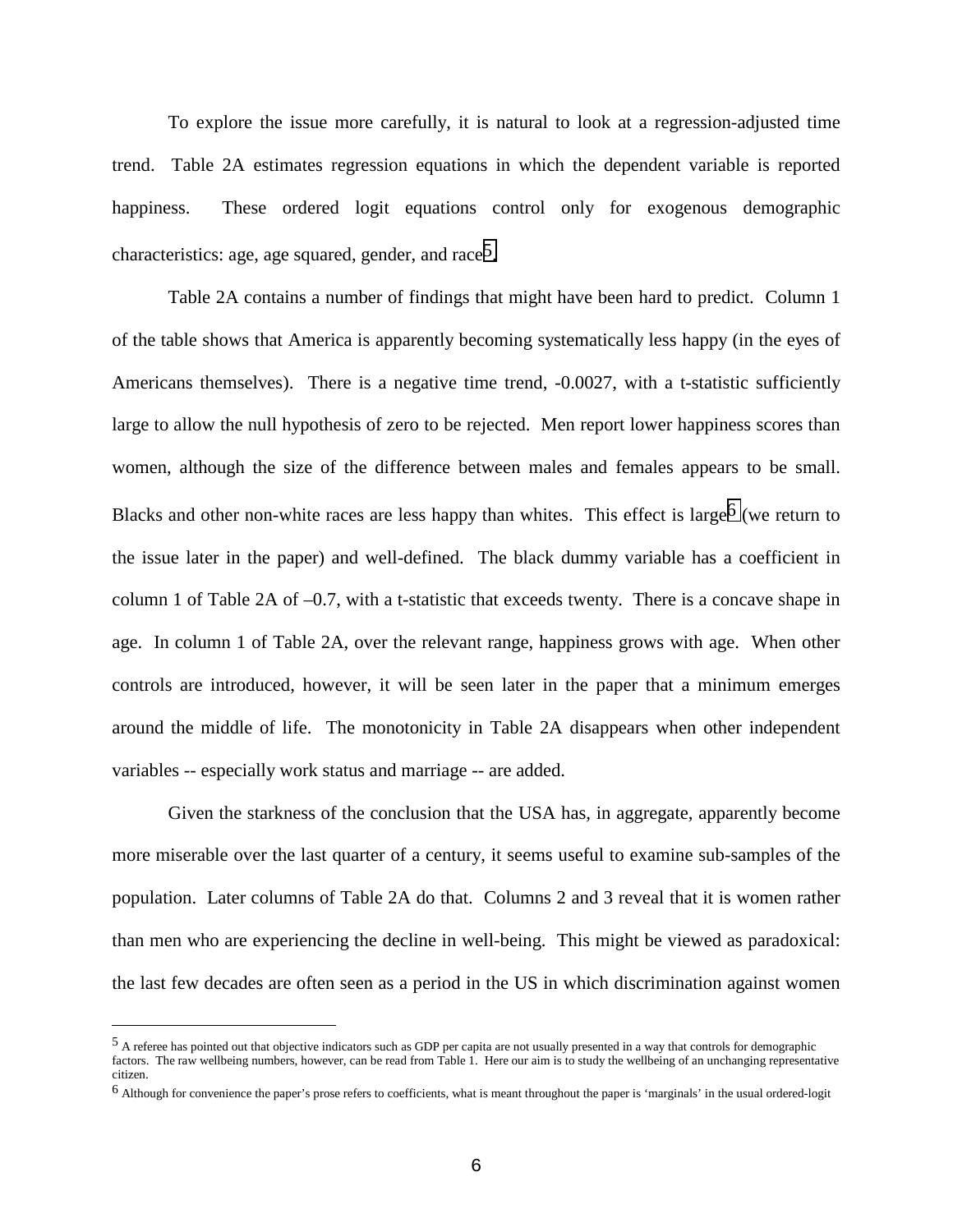To explore the issue more carefully, it is natural to look at a regression-adjusted time trend. Table 2A estimates regression equations in which the dependent variable is reported happiness. These ordered logit equations control only for exogenous demographic characteristics: age, age squared, gender, and race<sup>5</sup>.

Table 2A contains a number of findings that might have been hard to predict. Column 1 of the table shows that America is apparently becoming systematically less happy (in the eyes of Americans themselves). There is a negative time trend, -0.0027, with a t-statistic sufficiently large to allow the null hypothesis of zero to be rejected. Men report lower happiness scores than women, although the size of the difference between males and females appears to be small. Blacks and other non-white races are less happy than whites. This effect is large<sup>6</sup> (we return to the issue later in the paper) and well-defined. The black dummy variable has a coefficient in column 1 of Table 2A of –0.7, with a t-statistic that exceeds twenty. There is a concave shape in age. In column 1 of Table 2A, over the relevant range, happiness grows with age. When other controls are introduced, however, it will be seen later in the paper that a minimum emerges around the middle of life. The monotonicity in Table 2A disappears when other independent variables -- especially work status and marriage -- are added.

Given the starkness of the conclusion that the USA has, in aggregate, apparently become more miserable over the last quarter of a century, it seems useful to examine sub-samples of the population. Later columns of Table 2A do that. Columns 2 and 3 reveal that it is women rather than men who are experiencing the decline in well-being. This might be viewed as paradoxical: the last few decades are often seen as a period in the US in which discrimination against women

÷,

<sup>&</sup>lt;sup>5</sup> A referee has pointed out that objective indicators such as GDP per capita are not usually presented in a way that controls for demographic factors. The raw wellbeing numbers, however, can be read from Table 1. Here our aim is to study the wellbeing of an unchanging representative citizen.

<sup>6</sup> Although for convenience the paper's prose refers to coefficients, what is meant throughout the paper is 'marginals' in the usual ordered-logit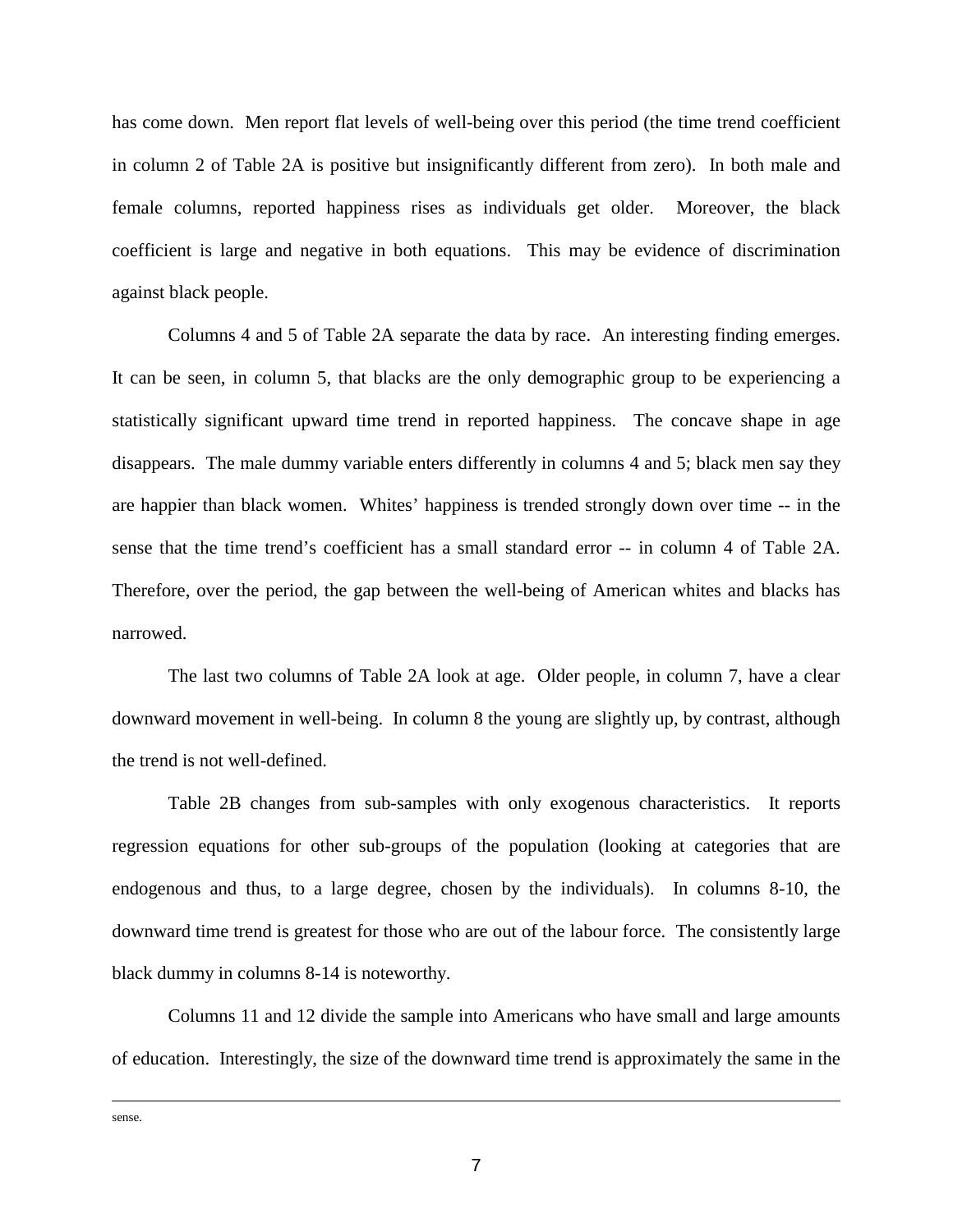has come down. Men report flat levels of well-being over this period (the time trend coefficient in column 2 of Table 2A is positive but insignificantly different from zero). In both male and female columns, reported happiness rises as individuals get older. Moreover, the black coefficient is large and negative in both equations. This may be evidence of discrimination against black people.

Columns 4 and 5 of Table 2A separate the data by race. An interesting finding emerges. It can be seen, in column 5, that blacks are the only demographic group to be experiencing a statistically significant upward time trend in reported happiness. The concave shape in age disappears. The male dummy variable enters differently in columns 4 and 5; black men say they are happier than black women. Whites' happiness is trended strongly down over time -- in the sense that the time trend's coefficient has a small standard error -- in column 4 of Table 2A. Therefore, over the period, the gap between the well-being of American whites and blacks has narrowed.

The last two columns of Table 2A look at age. Older people, in column 7, have a clear downward movement in well-being. In column 8 the young are slightly up, by contrast, although the trend is not well-defined.

Table 2B changes from sub-samples with only exogenous characteristics. It reports regression equations for other sub-groups of the population (looking at categories that are endogenous and thus, to a large degree, chosen by the individuals). In columns 8-10, the downward time trend is greatest for those who are out of the labour force. The consistently large black dummy in columns 8-14 is noteworthy.

Columns 11 and 12 divide the sample into Americans who have small and large amounts of education. Interestingly, the size of the downward time trend is approximately the same in the

÷, sense.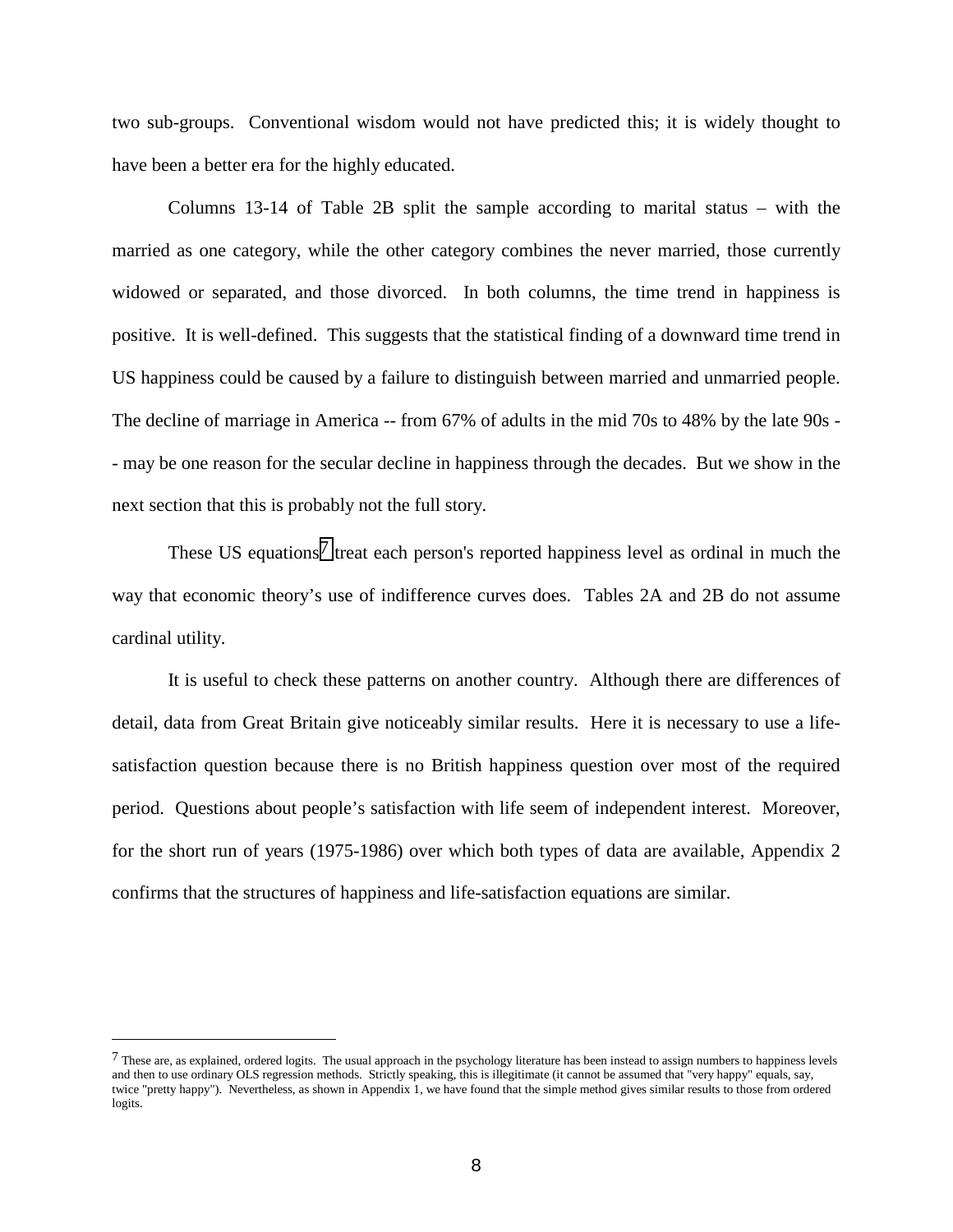two sub-groups. Conventional wisdom would not have predicted this; it is widely thought to have been a better era for the highly educated.

Columns 13-14 of Table 2B split the sample according to marital status – with the married as one category, while the other category combines the never married, those currently widowed or separated, and those divorced. In both columns, the time trend in happiness is positive. It is well-defined. This suggests that the statistical finding of a downward time trend in US happiness could be caused by a failure to distinguish between married and unmarried people. The decline of marriage in America -- from 67% of adults in the mid 70s to 48% by the late 90s - - may be one reason for the secular decline in happiness through the decades. But we show in the next section that this is probably not the full story.

These US equations<sup>7</sup> treat each person's reported happiness level as ordinal in much the way that economic theory's use of indifference curves does. Tables 2A and 2B do not assume cardinal utility.

It is useful to check these patterns on another country. Although there are differences of detail, data from Great Britain give noticeably similar results. Here it is necessary to use a lifesatisfaction question because there is no British happiness question over most of the required period. Questions about people's satisfaction with life seem of independent interest. Moreover, for the short run of years (1975-1986) over which both types of data are available, Appendix 2 confirms that the structures of happiness and life-satisfaction equations are similar.

 $\overline{a}$ 

<sup>7</sup> These are, as explained, ordered logits. The usual approach in the psychology literature has been instead to assign numbers to happiness levels and then to use ordinary OLS regression methods. Strictly speaking, this is illegitimate (it cannot be assumed that "very happy" equals, say, twice "pretty happy"). Nevertheless, as shown in Appendix 1, we have found that the simple method gives similar results to those from ordered logits.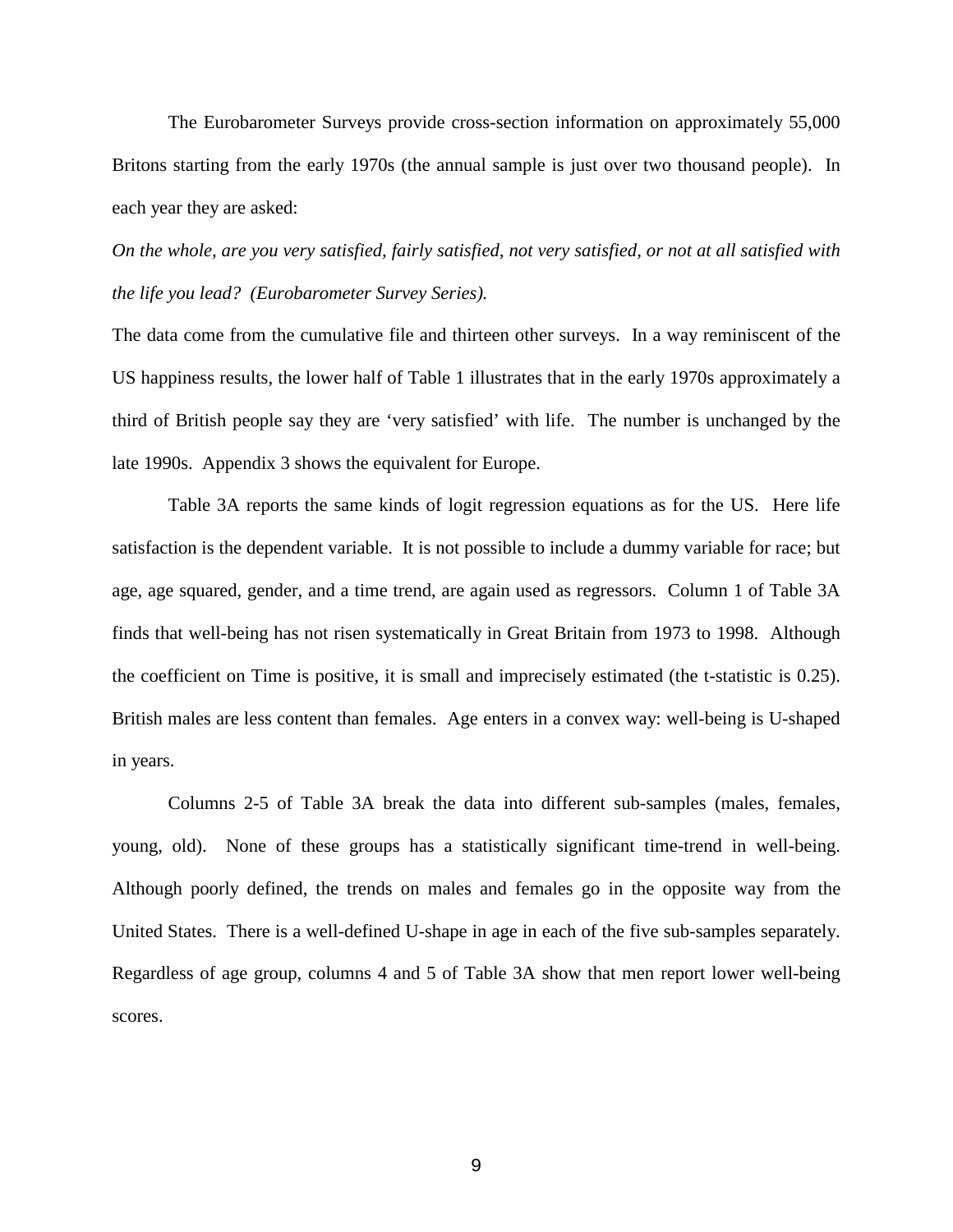The Eurobarometer Surveys provide cross-section information on approximately 55,000 Britons starting from the early 1970s (the annual sample is just over two thousand people). In each year they are asked:

*On the whole, are you very satisfied, fairly satisfied, not very satisfied, or not at all satisfied with the life you lead? (Eurobarometer Survey Series).*

The data come from the cumulative file and thirteen other surveys. In a way reminiscent of the US happiness results, the lower half of Table 1 illustrates that in the early 1970s approximately a third of British people say they are 'very satisfied' with life. The number is unchanged by the late 1990s. Appendix 3 shows the equivalent for Europe.

Table 3A reports the same kinds of logit regression equations as for the US. Here life satisfaction is the dependent variable. It is not possible to include a dummy variable for race; but age, age squared, gender, and a time trend, are again used as regressors. Column 1 of Table 3A finds that well-being has not risen systematically in Great Britain from 1973 to 1998. Although the coefficient on Time is positive, it is small and imprecisely estimated (the t-statistic is 0.25). British males are less content than females. Age enters in a convex way: well-being is U-shaped in years.

Columns 2-5 of Table 3A break the data into different sub-samples (males, females, young, old). None of these groups has a statistically significant time-trend in well-being. Although poorly defined, the trends on males and females go in the opposite way from the United States. There is a well-defined U-shape in age in each of the five sub-samples separately. Regardless of age group, columns 4 and 5 of Table 3A show that men report lower well-being scores.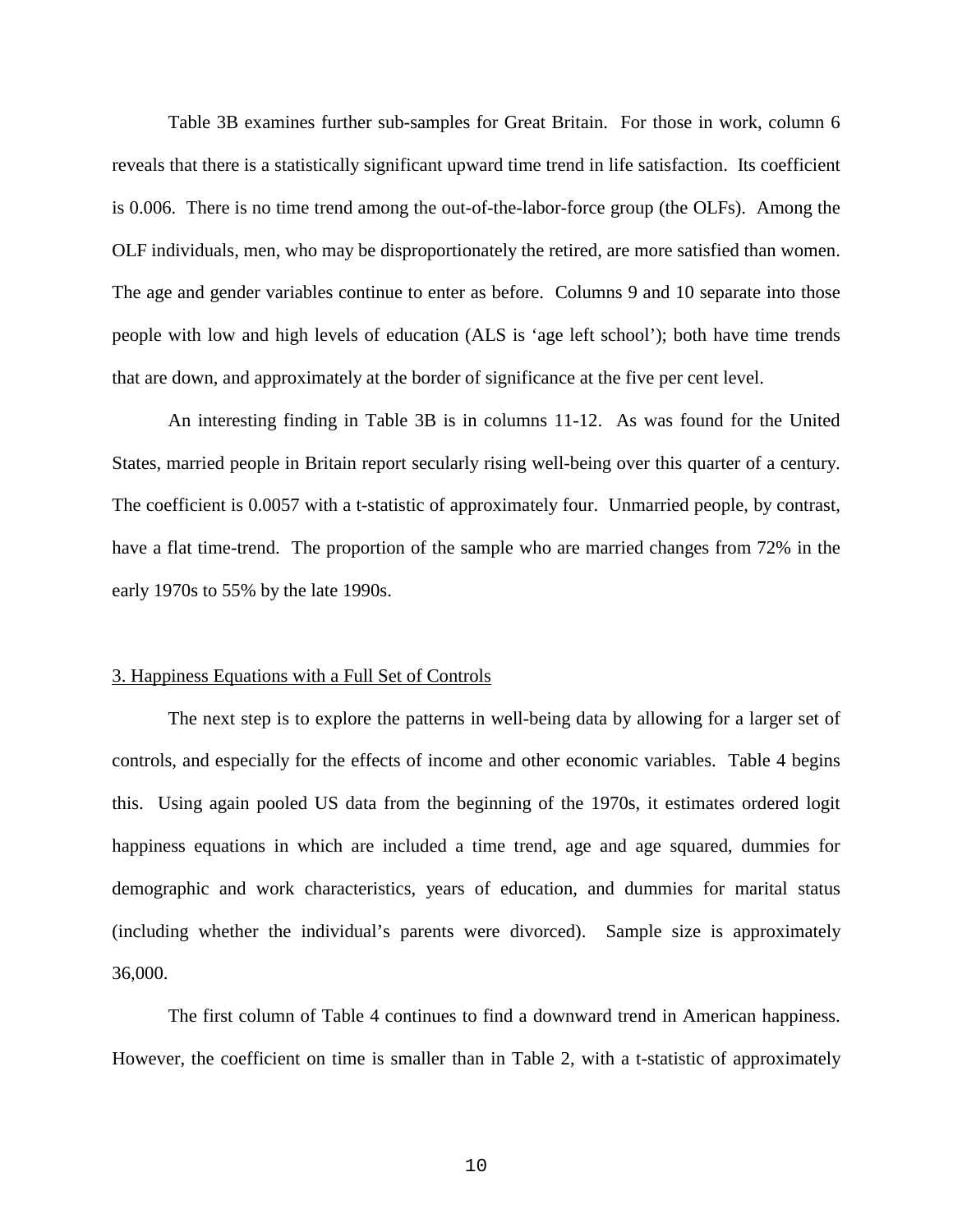Table 3B examines further sub-samples for Great Britain. For those in work, column 6 reveals that there is a statistically significant upward time trend in life satisfaction. Its coefficient is 0.006. There is no time trend among the out-of-the-labor-force group (the OLFs). Among the OLF individuals, men, who may be disproportionately the retired, are more satisfied than women. The age and gender variables continue to enter as before. Columns 9 and 10 separate into those people with low and high levels of education (ALS is 'age left school'); both have time trends that are down, and approximately at the border of significance at the five per cent level.

An interesting finding in Table 3B is in columns 11-12. As was found for the United States, married people in Britain report secularly rising well-being over this quarter of a century. The coefficient is 0.0057 with a t-statistic of approximately four. Unmarried people, by contrast, have a flat time-trend. The proportion of the sample who are married changes from 72% in the early 1970s to 55% by the late 1990s.

#### 3. Happiness Equations with a Full Set of Controls

The next step is to explore the patterns in well-being data by allowing for a larger set of controls, and especially for the effects of income and other economic variables. Table 4 begins this. Using again pooled US data from the beginning of the 1970s, it estimates ordered logit happiness equations in which are included a time trend, age and age squared, dummies for demographic and work characteristics, years of education, and dummies for marital status (including whether the individual's parents were divorced). Sample size is approximately 36,000.

The first column of Table 4 continues to find a downward trend in American happiness. However, the coefficient on time is smaller than in Table 2, with a t-statistic of approximately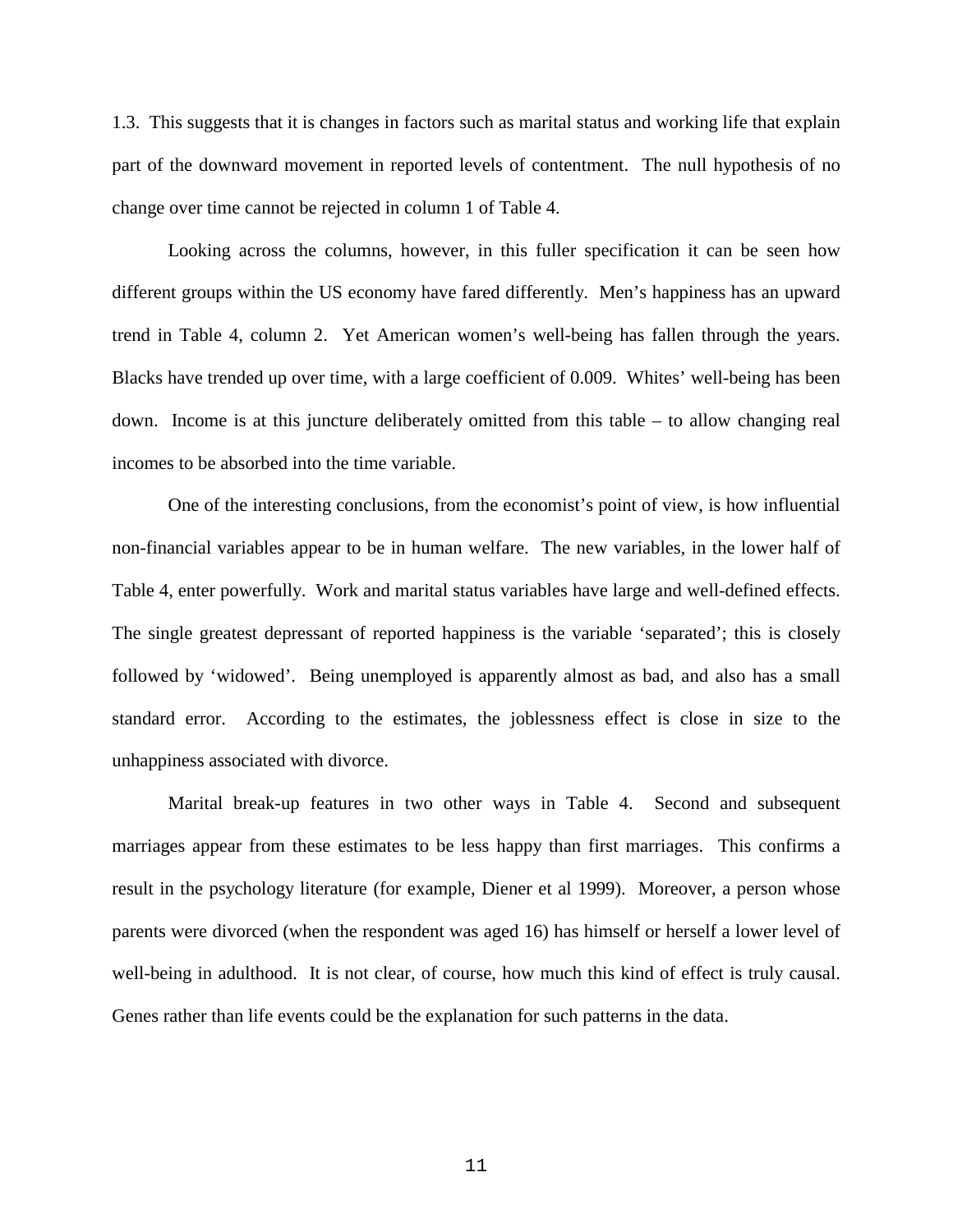1.3. This suggests that it is changes in factors such as marital status and working life that explain part of the downward movement in reported levels of contentment. The null hypothesis of no change over time cannot be rejected in column 1 of Table 4.

Looking across the columns, however, in this fuller specification it can be seen how different groups within the US economy have fared differently. Men's happiness has an upward trend in Table 4, column 2. Yet American women's well-being has fallen through the years. Blacks have trended up over time, with a large coefficient of 0.009. Whites' well-being has been down. Income is at this juncture deliberately omitted from this table – to allow changing real incomes to be absorbed into the time variable.

One of the interesting conclusions, from the economist's point of view, is how influential non-financial variables appear to be in human welfare. The new variables, in the lower half of Table 4, enter powerfully. Work and marital status variables have large and well-defined effects. The single greatest depressant of reported happiness is the variable 'separated'; this is closely followed by 'widowed'. Being unemployed is apparently almost as bad, and also has a small standard error. According to the estimates, the joblessness effect is close in size to the unhappiness associated with divorce.

Marital break-up features in two other ways in Table 4. Second and subsequent marriages appear from these estimates to be less happy than first marriages. This confirms a result in the psychology literature (for example, Diener et al 1999). Moreover, a person whose parents were divorced (when the respondent was aged 16) has himself or herself a lower level of well-being in adulthood. It is not clear, of course, how much this kind of effect is truly causal. Genes rather than life events could be the explanation for such patterns in the data.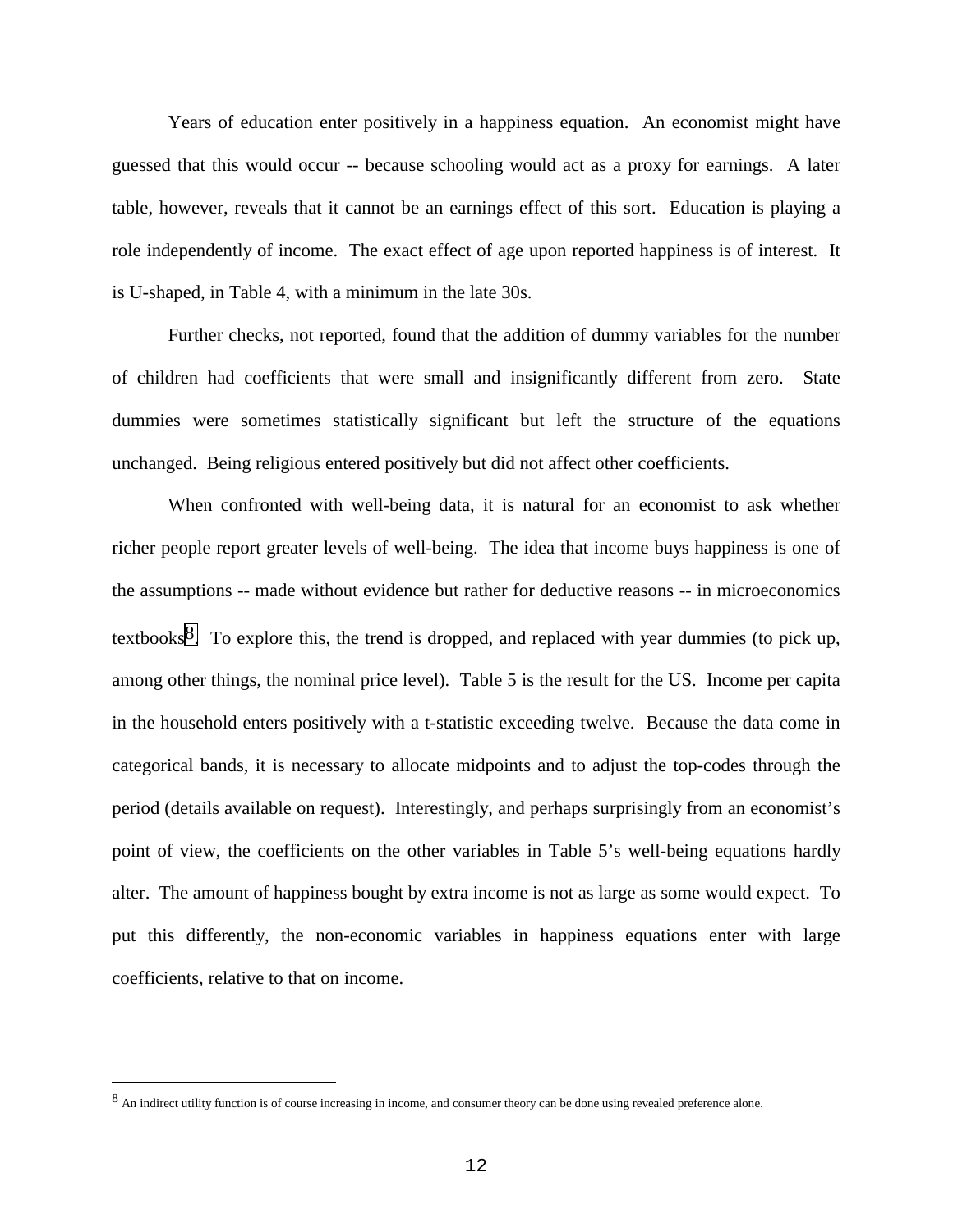Years of education enter positively in a happiness equation. An economist might have guessed that this would occur -- because schooling would act as a proxy for earnings. A later table, however, reveals that it cannot be an earnings effect of this sort. Education is playing a role independently of income. The exact effect of age upon reported happiness is of interest. It is U-shaped, in Table 4, with a minimum in the late 30s.

Further checks, not reported, found that the addition of dummy variables for the number of children had coefficients that were small and insignificantly different from zero. State dummies were sometimes statistically significant but left the structure of the equations unchanged. Being religious entered positively but did not affect other coefficients.

When confronted with well-being data, it is natural for an economist to ask whether richer people report greater levels of well-being. The idea that income buys happiness is one of the assumptions -- made without evidence but rather for deductive reasons -- in microeconomics textbooks8. To explore this, the trend is dropped, and replaced with year dummies (to pick up, among other things, the nominal price level). Table 5 is the result for the US. Income per capita in the household enters positively with a t-statistic exceeding twelve. Because the data come in categorical bands, it is necessary to allocate midpoints and to adjust the top-codes through the period (details available on request). Interestingly, and perhaps surprisingly from an economist's point of view, the coefficients on the other variables in Table 5's well-being equations hardly alter. The amount of happiness bought by extra income is not as large as some would expect. To put this differently, the non-economic variables in happiness equations enter with large coefficients, relative to that on income.

 $\overline{\phantom{0}}$ 

<sup>8</sup> An indirect utility function is of course increasing in income, and consumer theory can be done using revealed preference alone.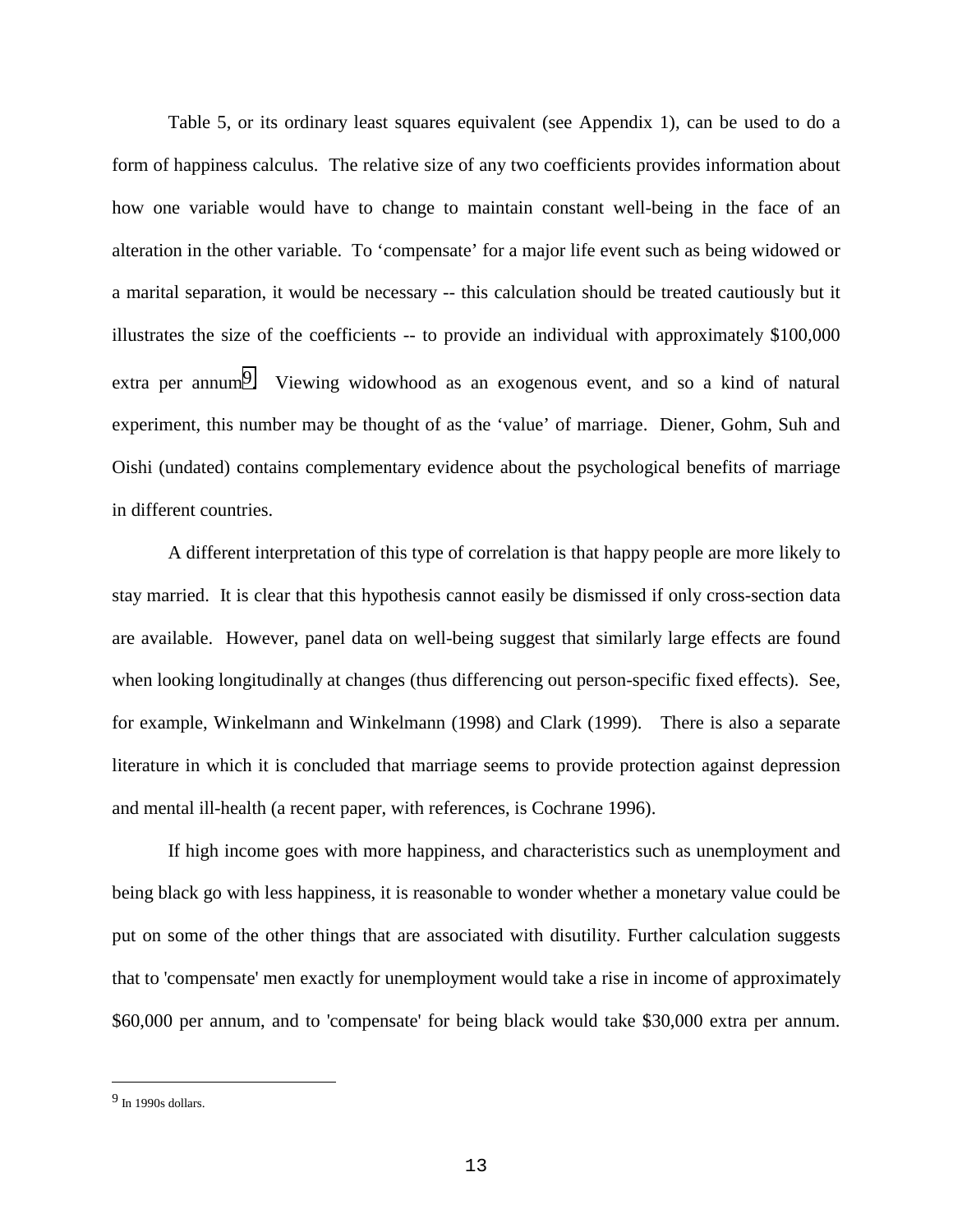Table 5, or its ordinary least squares equivalent (see Appendix 1), can be used to do a form of happiness calculus. The relative size of any two coefficients provides information about how one variable would have to change to maintain constant well-being in the face of an alteration in the other variable. To 'compensate' for a major life event such as being widowed or a marital separation, it would be necessary -- this calculation should be treated cautiously but it illustrates the size of the coefficients -- to provide an individual with approximately \$100,000 extra per annum<sup>9</sup>. Viewing widowhood as an exogenous event, and so a kind of natural experiment, this number may be thought of as the 'value' of marriage. Diener, Gohm, Suh and Oishi (undated) contains complementary evidence about the psychological benefits of marriage in different countries.

A different interpretation of this type of correlation is that happy people are more likely to stay married. It is clear that this hypothesis cannot easily be dismissed if only cross-section data are available. However, panel data on well-being suggest that similarly large effects are found when looking longitudinally at changes (thus differencing out person-specific fixed effects). See, for example, Winkelmann and Winkelmann (1998) and Clark (1999). There is also a separate literature in which it is concluded that marriage seems to provide protection against depression and mental ill-health (a recent paper, with references, is Cochrane 1996).

If high income goes with more happiness, and characteristics such as unemployment and being black go with less happiness, it is reasonable to wonder whether a monetary value could be put on some of the other things that are associated with disutility. Further calculation suggests that to 'compensate' men exactly for unemployment would take a rise in income of approximately \$60,000 per annum, and to 'compensate' for being black would take \$30,000 extra per annum.

 $\overline{\phantom{0}}$ 

 $9$  In 1990s dollars.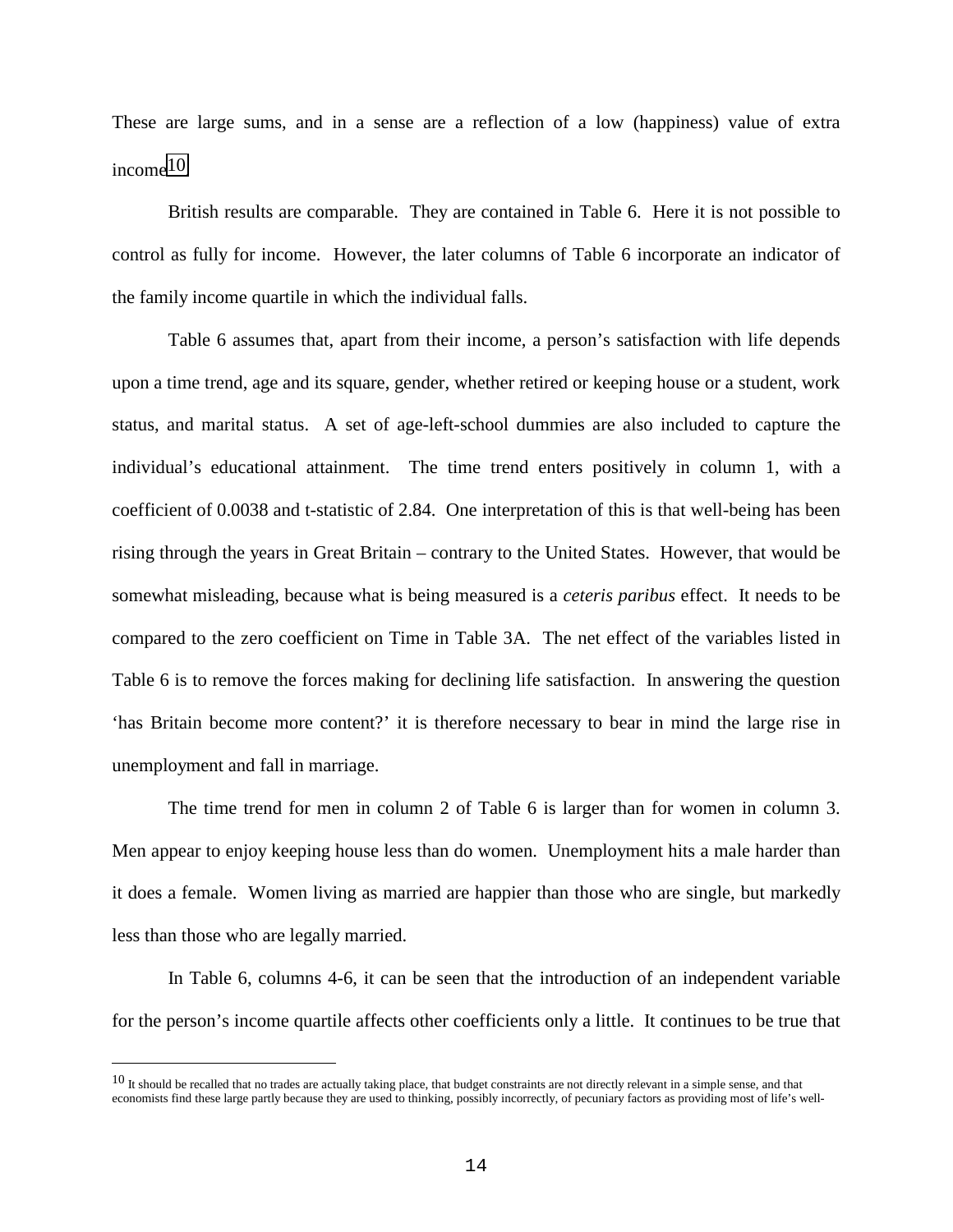These are large sums, and in a sense are a reflection of a low (happiness) value of extra income10.

British results are comparable. They are contained in Table 6. Here it is not possible to control as fully for income. However, the later columns of Table 6 incorporate an indicator of the family income quartile in which the individual falls.

Table 6 assumes that, apart from their income, a person's satisfaction with life depends upon a time trend, age and its square, gender, whether retired or keeping house or a student, work status, and marital status. A set of age-left-school dummies are also included to capture the individual's educational attainment. The time trend enters positively in column 1, with a coefficient of 0.0038 and t-statistic of 2.84. One interpretation of this is that well-being has been rising through the years in Great Britain – contrary to the United States. However, that would be somewhat misleading, because what is being measured is a *ceteris paribus* effect. It needs to be compared to the zero coefficient on Time in Table 3A. The net effect of the variables listed in Table 6 is to remove the forces making for declining life satisfaction. In answering the question 'has Britain become more content?' it is therefore necessary to bear in mind the large rise in unemployment and fall in marriage.

The time trend for men in column 2 of Table 6 is larger than for women in column 3. Men appear to enjoy keeping house less than do women. Unemployment hits a male harder than it does a female. Women living as married are happier than those who are single, but markedly less than those who are legally married.

In Table 6, columns 4-6, it can be seen that the introduction of an independent variable for the person's income quartile affects other coefficients only a little. It continues to be true that

÷,

 $10$  It should be recalled that no trades are actually taking place, that budget constraints are not directly relevant in a simple sense, and that economists find these large partly because they are used to thinking, possibly incorrectly, of pecuniary factors as providing most of life's well-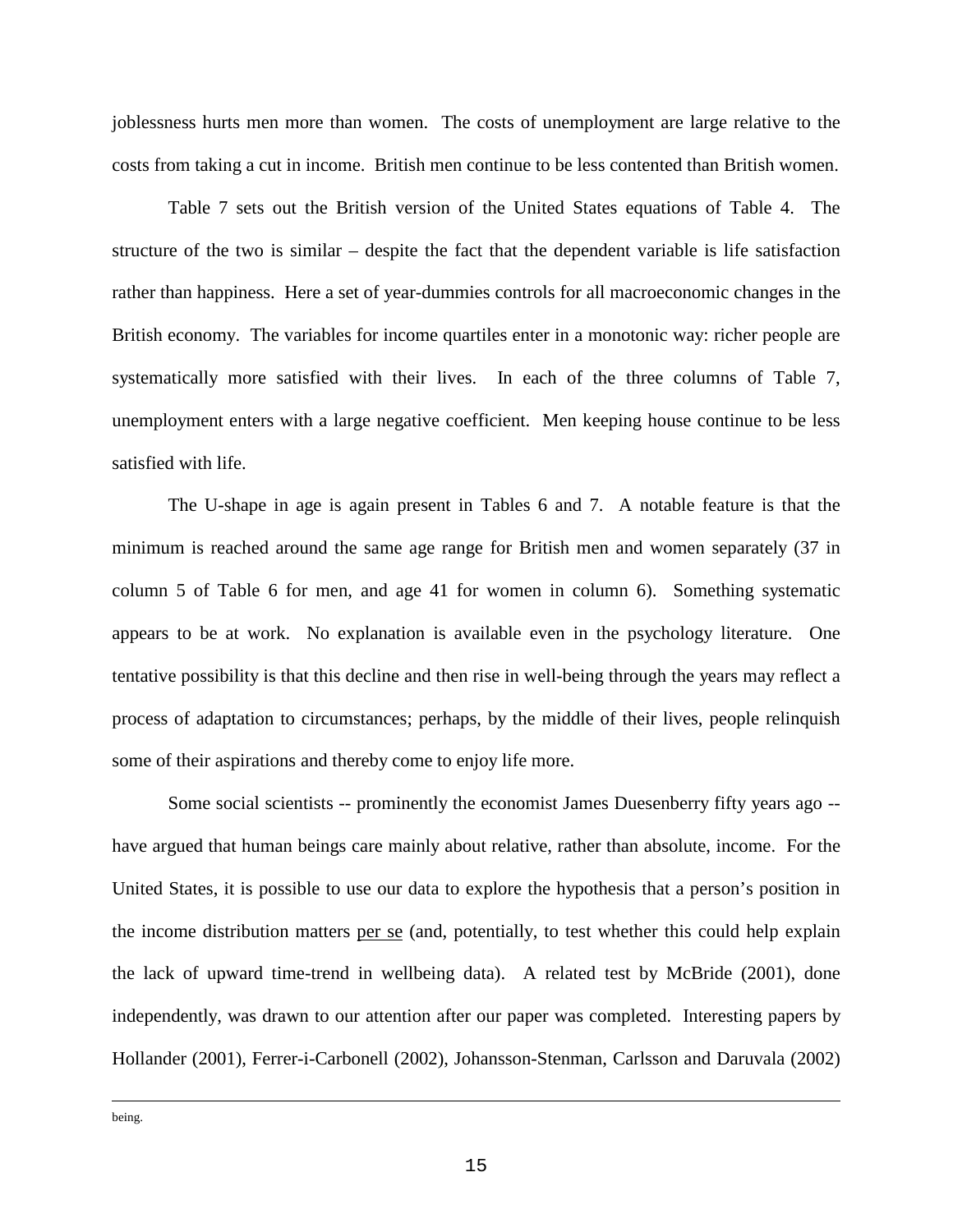joblessness hurts men more than women. The costs of unemployment are large relative to the costs from taking a cut in income. British men continue to be less contented than British women.

Table 7 sets out the British version of the United States equations of Table 4. The structure of the two is similar – despite the fact that the dependent variable is life satisfaction rather than happiness. Here a set of year-dummies controls for all macroeconomic changes in the British economy. The variables for income quartiles enter in a monotonic way: richer people are systematically more satisfied with their lives. In each of the three columns of Table 7, unemployment enters with a large negative coefficient. Men keeping house continue to be less satisfied with life.

The U-shape in age is again present in Tables 6 and 7. A notable feature is that the minimum is reached around the same age range for British men and women separately (37 in column 5 of Table 6 for men, and age 41 for women in column 6). Something systematic appears to be at work. No explanation is available even in the psychology literature. One tentative possibility is that this decline and then rise in well-being through the years may reflect a process of adaptation to circumstances; perhaps, by the middle of their lives, people relinquish some of their aspirations and thereby come to enjoy life more.

Some social scientists -- prominently the economist James Duesenberry fifty years ago - have argued that human beings care mainly about relative, rather than absolute, income. For the United States, it is possible to use our data to explore the hypothesis that a person's position in the income distribution matters per se (and, potentially, to test whether this could help explain the lack of upward time-trend in wellbeing data). A related test by McBride (2001), done independently, was drawn to our attention after our paper was completed. Interesting papers by Hollander (2001), Ferrer-i-Carbonell (2002), Johansson-Stenman, Carlsson and Daruvala (2002)

 $\overline{\phantom{0}}$ being.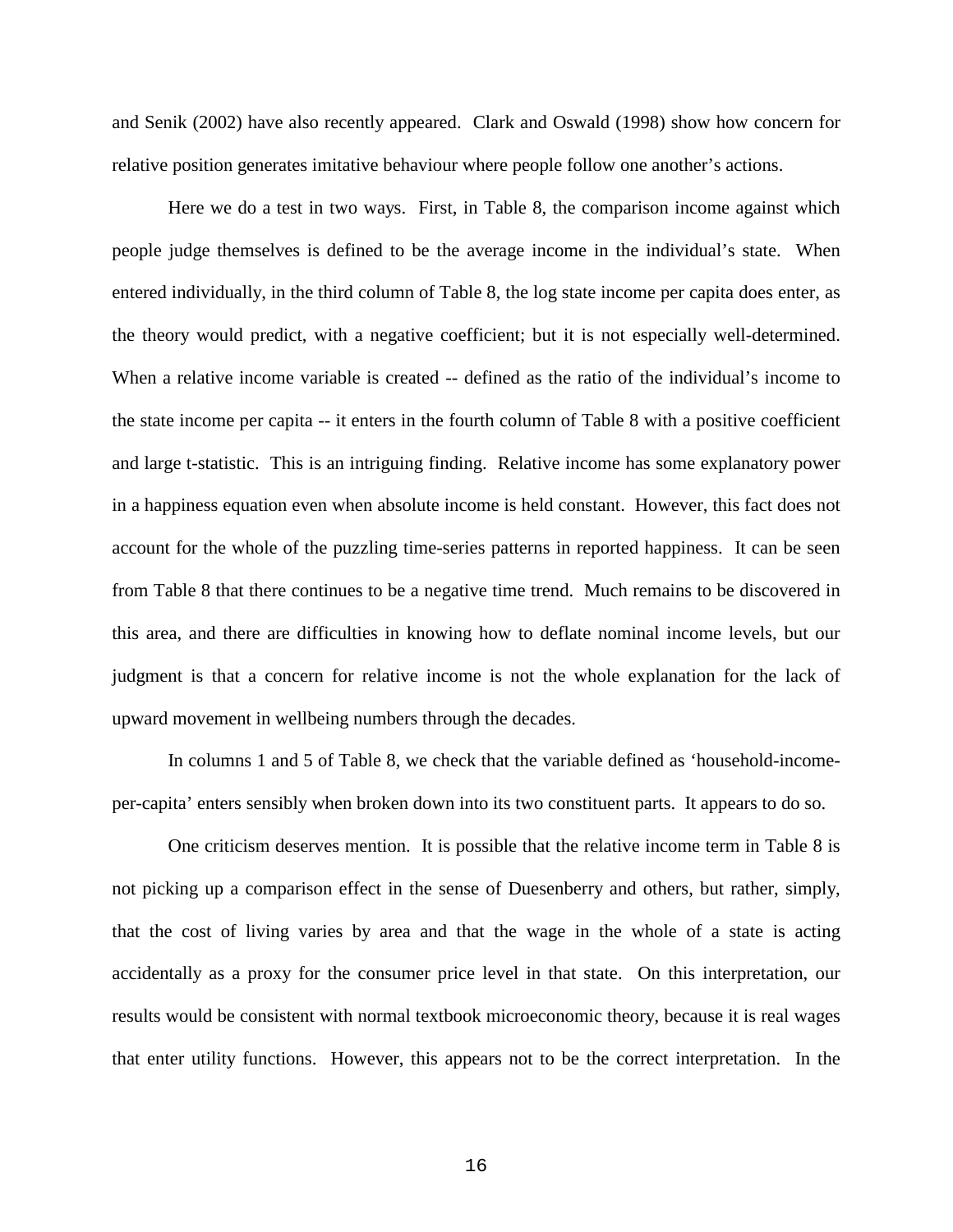and Senik (2002) have also recently appeared. Clark and Oswald (1998) show how concern for relative position generates imitative behaviour where people follow one another's actions.

Here we do a test in two ways. First, in Table 8, the comparison income against which people judge themselves is defined to be the average income in the individual's state. When entered individually, in the third column of Table 8, the log state income per capita does enter, as the theory would predict, with a negative coefficient; but it is not especially well-determined. When a relative income variable is created -- defined as the ratio of the individual's income to the state income per capita -- it enters in the fourth column of Table 8 with a positive coefficient and large t-statistic. This is an intriguing finding. Relative income has some explanatory power in a happiness equation even when absolute income is held constant. However, this fact does not account for the whole of the puzzling time-series patterns in reported happiness. It can be seen from Table 8 that there continues to be a negative time trend. Much remains to be discovered in this area, and there are difficulties in knowing how to deflate nominal income levels, but our judgment is that a concern for relative income is not the whole explanation for the lack of upward movement in wellbeing numbers through the decades.

In columns 1 and 5 of Table 8, we check that the variable defined as 'household-incomeper-capita' enters sensibly when broken down into its two constituent parts. It appears to do so.

One criticism deserves mention. It is possible that the relative income term in Table 8 is not picking up a comparison effect in the sense of Duesenberry and others, but rather, simply, that the cost of living varies by area and that the wage in the whole of a state is acting accidentally as a proxy for the consumer price level in that state. On this interpretation, our results would be consistent with normal textbook microeconomic theory, because it is real wages that enter utility functions. However, this appears not to be the correct interpretation. In the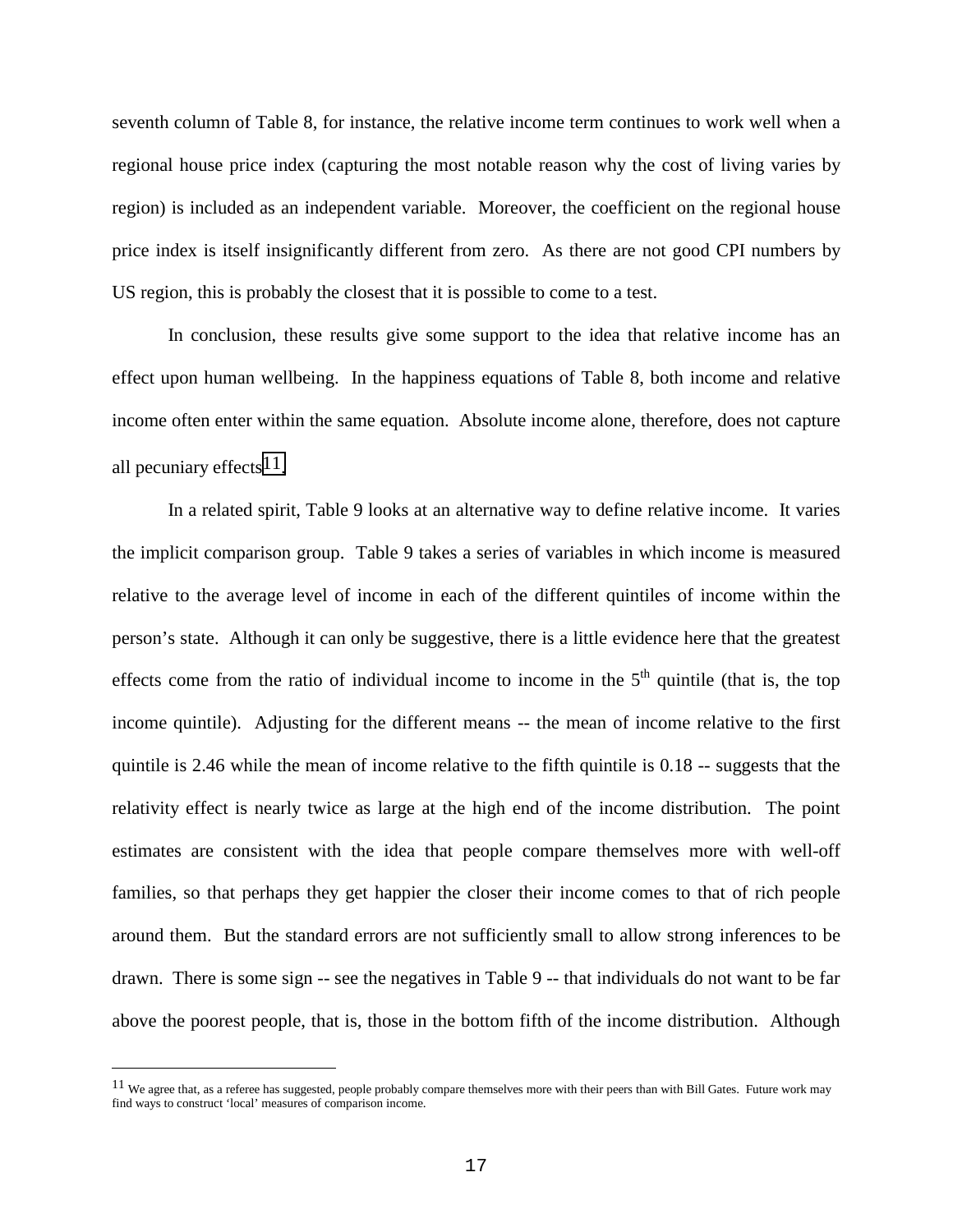seventh column of Table 8, for instance, the relative income term continues to work well when a regional house price index (capturing the most notable reason why the cost of living varies by region) is included as an independent variable. Moreover, the coefficient on the regional house price index is itself insignificantly different from zero. As there are not good CPI numbers by US region, this is probably the closest that it is possible to come to a test.

In conclusion, these results give some support to the idea that relative income has an effect upon human wellbeing. In the happiness equations of Table 8, both income and relative income often enter within the same equation. Absolute income alone, therefore, does not capture all pecuniary effects  $11$ .

In a related spirit, Table 9 looks at an alternative way to define relative income. It varies the implicit comparison group. Table 9 takes a series of variables in which income is measured relative to the average level of income in each of the different quintiles of income within the person's state. Although it can only be suggestive, there is a little evidence here that the greatest effects come from the ratio of individual income to income in the  $5<sup>th</sup>$  quintile (that is, the top income quintile). Adjusting for the different means -- the mean of income relative to the first quintile is 2.46 while the mean of income relative to the fifth quintile is 0.18 -- suggests that the relativity effect is nearly twice as large at the high end of the income distribution. The point estimates are consistent with the idea that people compare themselves more with well-off families, so that perhaps they get happier the closer their income comes to that of rich people around them. But the standard errors are not sufficiently small to allow strong inferences to be drawn. There is some sign -- see the negatives in Table 9 -- that individuals do not want to be far above the poorest people, that is, those in the bottom fifth of the income distribution. Although

÷,

 $11$  We agree that, as a referee has suggested, people probably compare themselves more with their peers than with Bill Gates. Future work may find ways to construct 'local' measures of comparison income.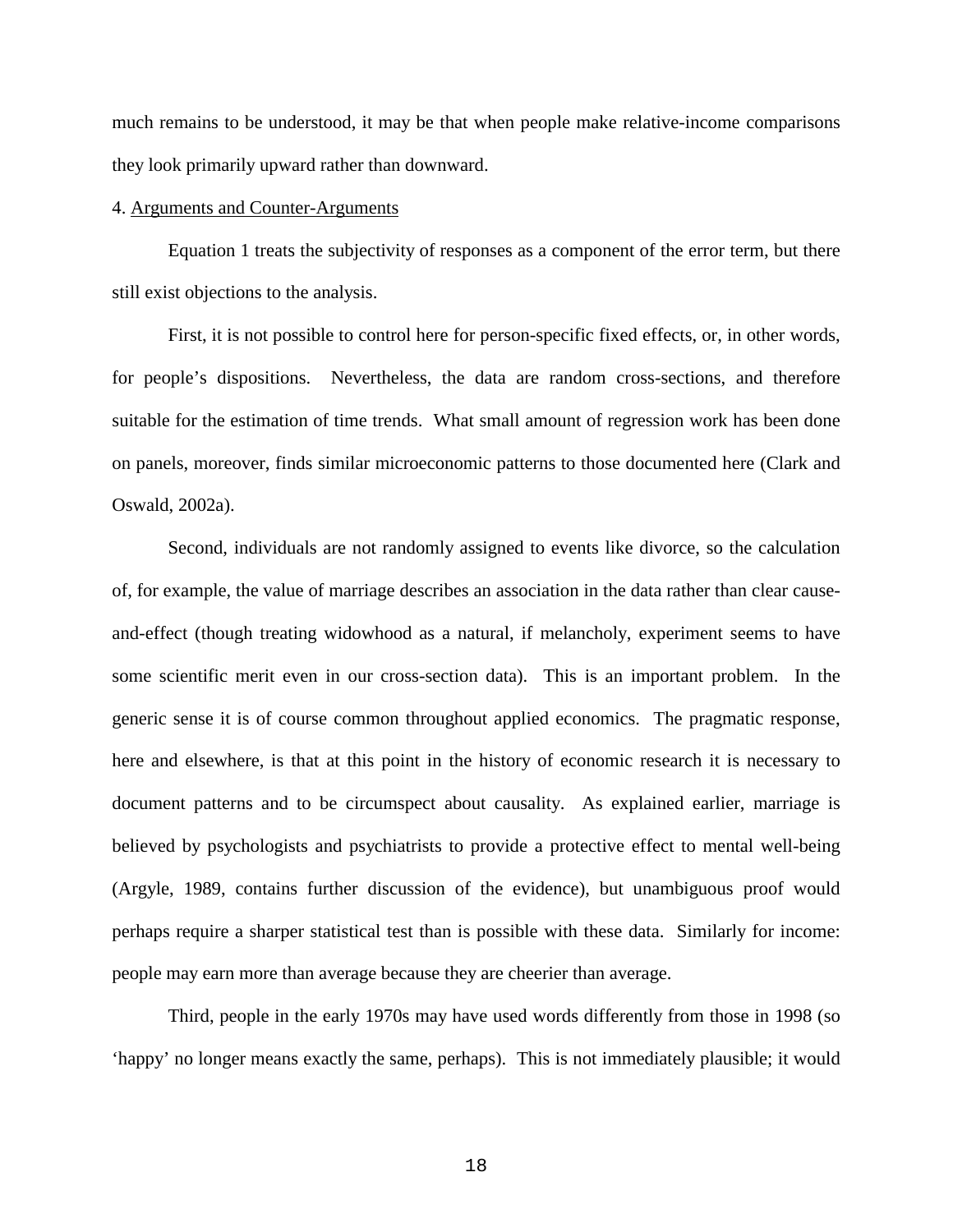much remains to be understood, it may be that when people make relative-income comparisons they look primarily upward rather than downward.

#### 4. Arguments and Counter-Arguments

Equation 1 treats the subjectivity of responses as a component of the error term, but there still exist objections to the analysis.

First, it is not possible to control here for person-specific fixed effects, or, in other words, for people's dispositions. Nevertheless, the data are random cross-sections, and therefore suitable for the estimation of time trends. What small amount of regression work has been done on panels, moreover, finds similar microeconomic patterns to those documented here (Clark and Oswald, 2002a).

Second, individuals are not randomly assigned to events like divorce, so the calculation of, for example, the value of marriage describes an association in the data rather than clear causeand-effect (though treating widowhood as a natural, if melancholy, experiment seems to have some scientific merit even in our cross-section data). This is an important problem. In the generic sense it is of course common throughout applied economics. The pragmatic response, here and elsewhere, is that at this point in the history of economic research it is necessary to document patterns and to be circumspect about causality. As explained earlier, marriage is believed by psychologists and psychiatrists to provide a protective effect to mental well-being (Argyle, 1989, contains further discussion of the evidence), but unambiguous proof would perhaps require a sharper statistical test than is possible with these data. Similarly for income: people may earn more than average because they are cheerier than average.

Third, people in the early 1970s may have used words differently from those in 1998 (so 'happy' no longer means exactly the same, perhaps). This is not immediately plausible; it would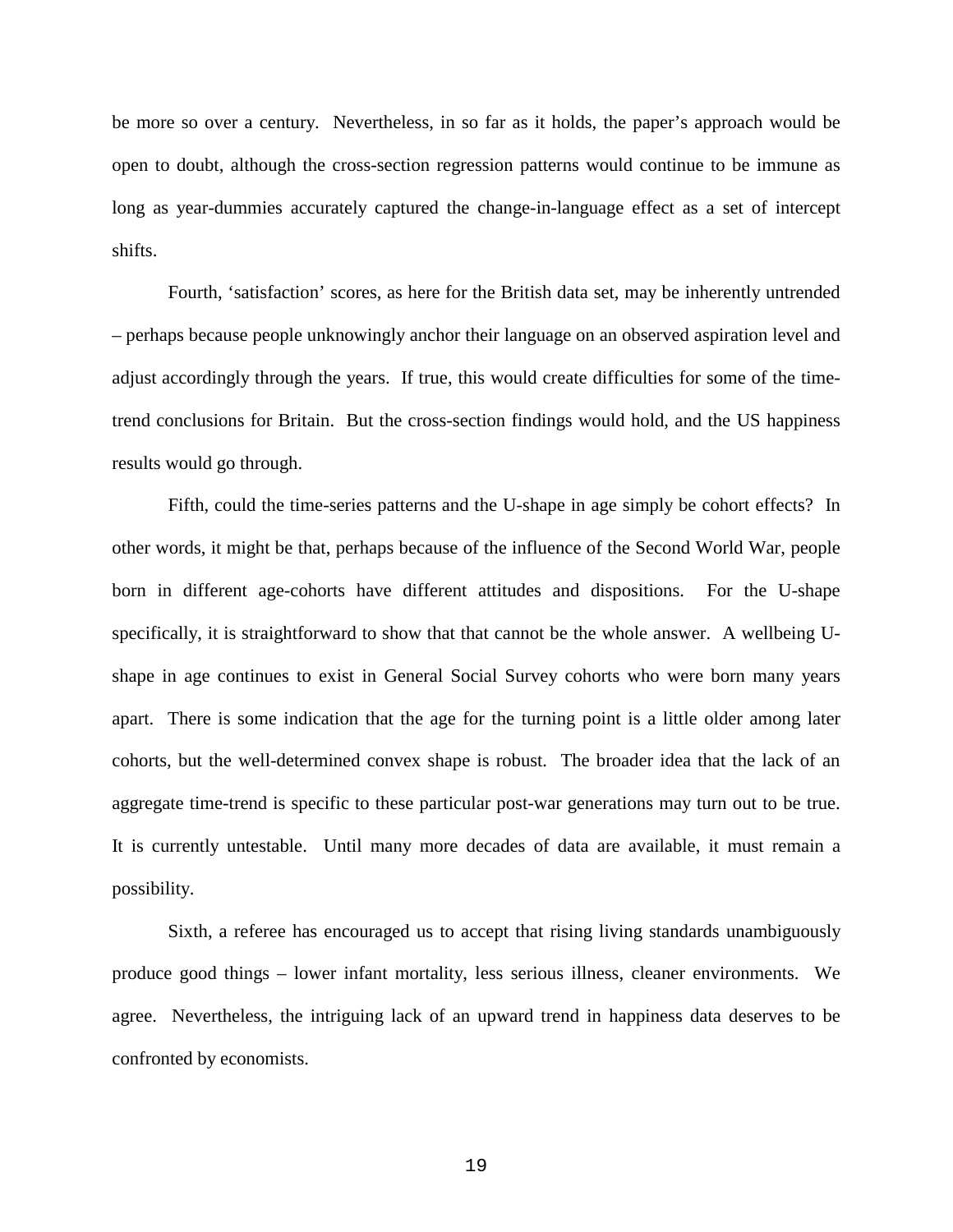be more so over a century. Nevertheless, in so far as it holds, the paper's approach would be open to doubt, although the cross-section regression patterns would continue to be immune as long as year-dummies accurately captured the change-in-language effect as a set of intercept shifts.

Fourth, 'satisfaction' scores, as here for the British data set, may be inherently untrended – perhaps because people unknowingly anchor their language on an observed aspiration level and adjust accordingly through the years. If true, this would create difficulties for some of the timetrend conclusions for Britain. But the cross-section findings would hold, and the US happiness results would go through.

Fifth, could the time-series patterns and the U-shape in age simply be cohort effects? In other words, it might be that, perhaps because of the influence of the Second World War, people born in different age-cohorts have different attitudes and dispositions. For the U-shape specifically, it is straightforward to show that that cannot be the whole answer. A wellbeing Ushape in age continues to exist in General Social Survey cohorts who were born many years apart. There is some indication that the age for the turning point is a little older among later cohorts, but the well-determined convex shape is robust. The broader idea that the lack of an aggregate time-trend is specific to these particular post-war generations may turn out to be true. It is currently untestable. Until many more decades of data are available, it must remain a possibility.

Sixth, a referee has encouraged us to accept that rising living standards unambiguously produce good things – lower infant mortality, less serious illness, cleaner environments. We agree. Nevertheless, the intriguing lack of an upward trend in happiness data deserves to be confronted by economists.

19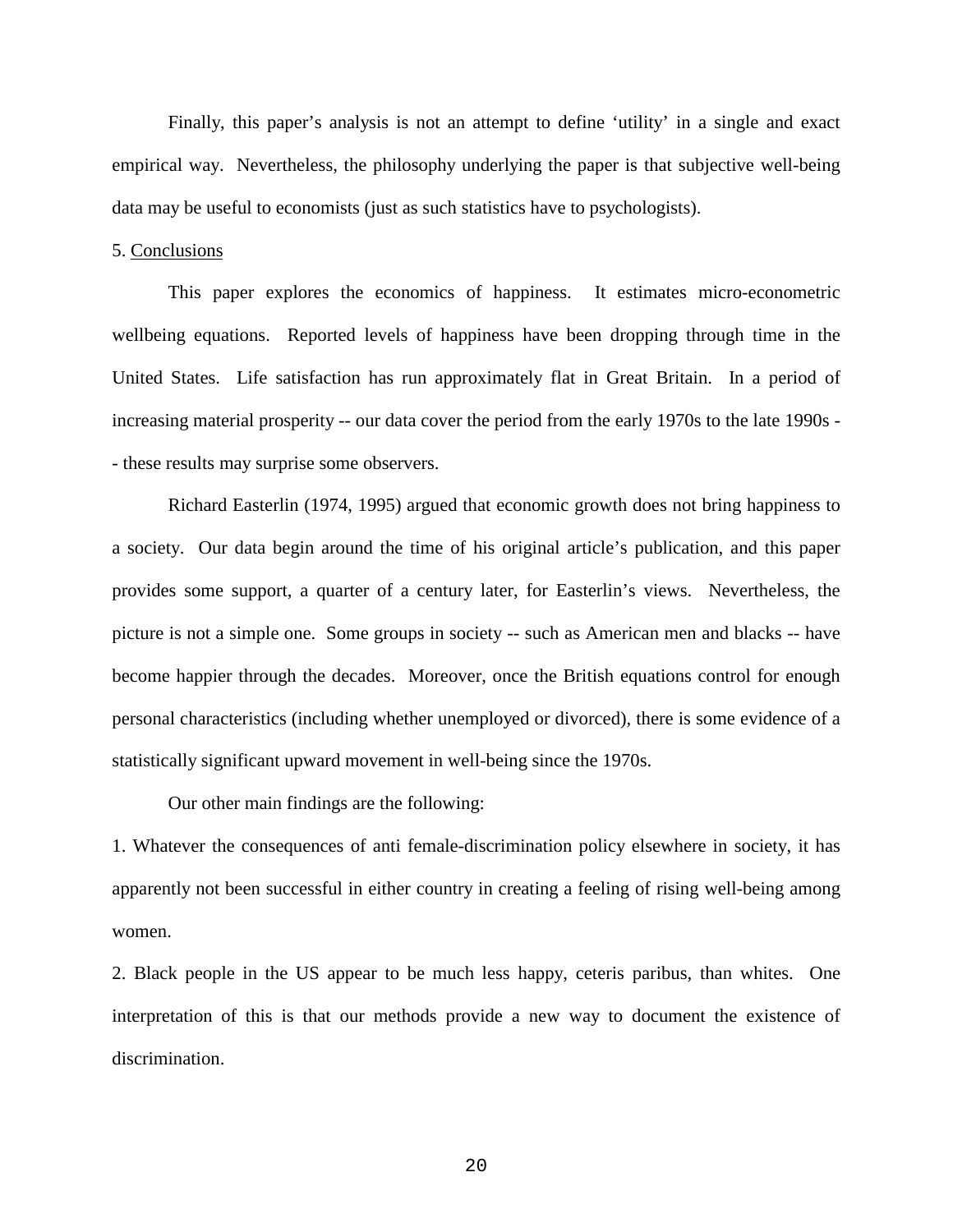Finally, this paper's analysis is not an attempt to define 'utility' in a single and exact empirical way. Nevertheless, the philosophy underlying the paper is that subjective well-being data may be useful to economists (just as such statistics have to psychologists).

### 5. Conclusions

This paper explores the economics of happiness. It estimates micro-econometric wellbeing equations. Reported levels of happiness have been dropping through time in the United States. Life satisfaction has run approximately flat in Great Britain. In a period of increasing material prosperity -- our data cover the period from the early 1970s to the late 1990s - - these results may surprise some observers.

Richard Easterlin (1974, 1995) argued that economic growth does not bring happiness to a society. Our data begin around the time of his original article's publication, and this paper provides some support, a quarter of a century later, for Easterlin's views. Nevertheless, the picture is not a simple one. Some groups in society -- such as American men and blacks -- have become happier through the decades. Moreover, once the British equations control for enough personal characteristics (including whether unemployed or divorced), there is some evidence of a statistically significant upward movement in well-being since the 1970s.

Our other main findings are the following:

1. Whatever the consequences of anti female-discrimination policy elsewhere in society, it has apparently not been successful in either country in creating a feeling of rising well-being among women.

2. Black people in the US appear to be much less happy, ceteris paribus, than whites. One interpretation of this is that our methods provide a new way to document the existence of discrimination.

20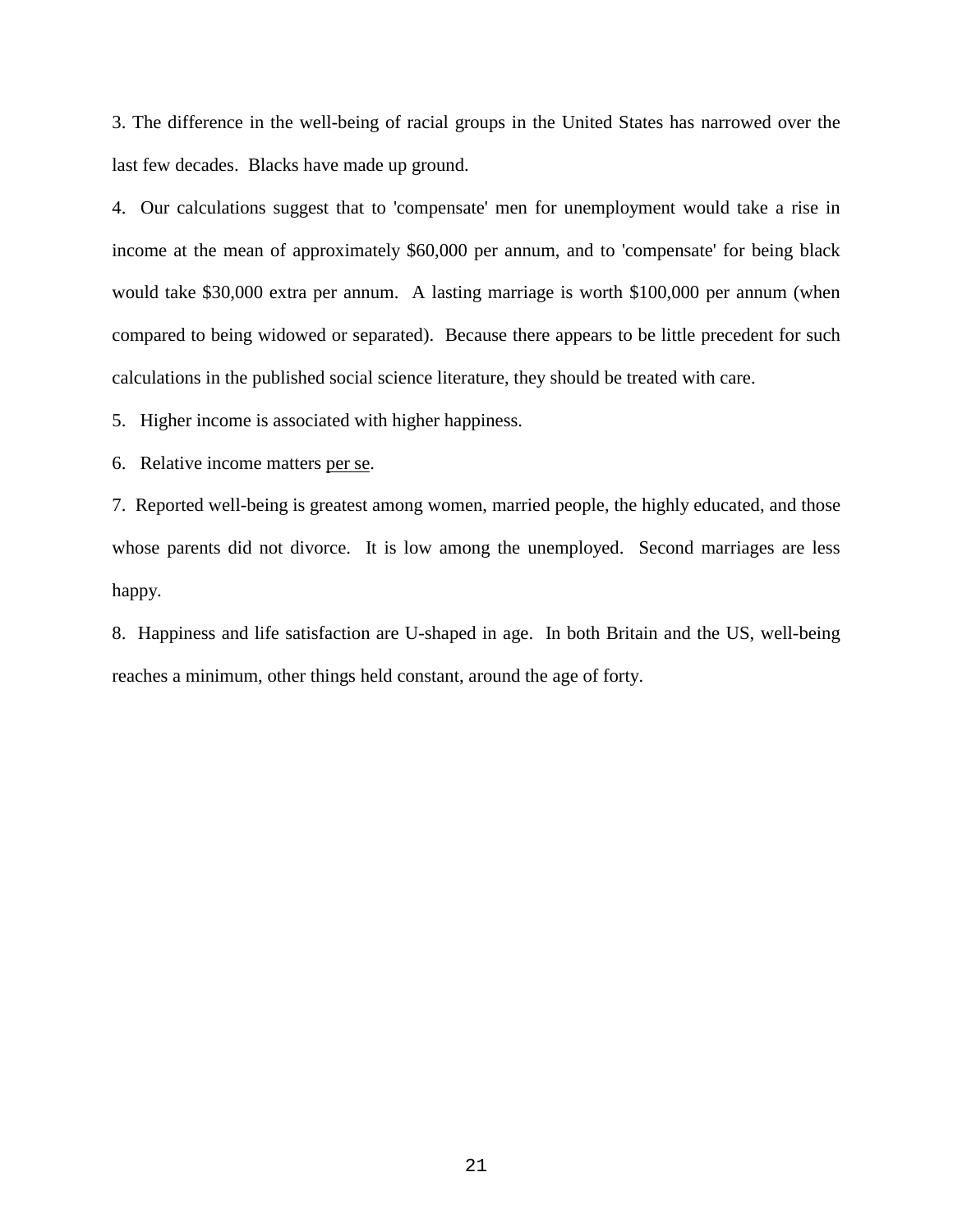3. The difference in the well-being of racial groups in the United States has narrowed over the last few decades. Blacks have made up ground.

4. Our calculations suggest that to 'compensate' men for unemployment would take a rise in income at the mean of approximately \$60,000 per annum, and to 'compensate' for being black would take \$30,000 extra per annum. A lasting marriage is worth \$100,000 per annum (when compared to being widowed or separated). Because there appears to be little precedent for such calculations in the published social science literature, they should be treated with care.

5. Higher income is associated with higher happiness.

6. Relative income matters per se.

7. Reported well-being is greatest among women, married people, the highly educated, and those whose parents did not divorce. It is low among the unemployed. Second marriages are less happy.

8. Happiness and life satisfaction are U-shaped in age. In both Britain and the US, well-being reaches a minimum, other things held constant, around the age of forty.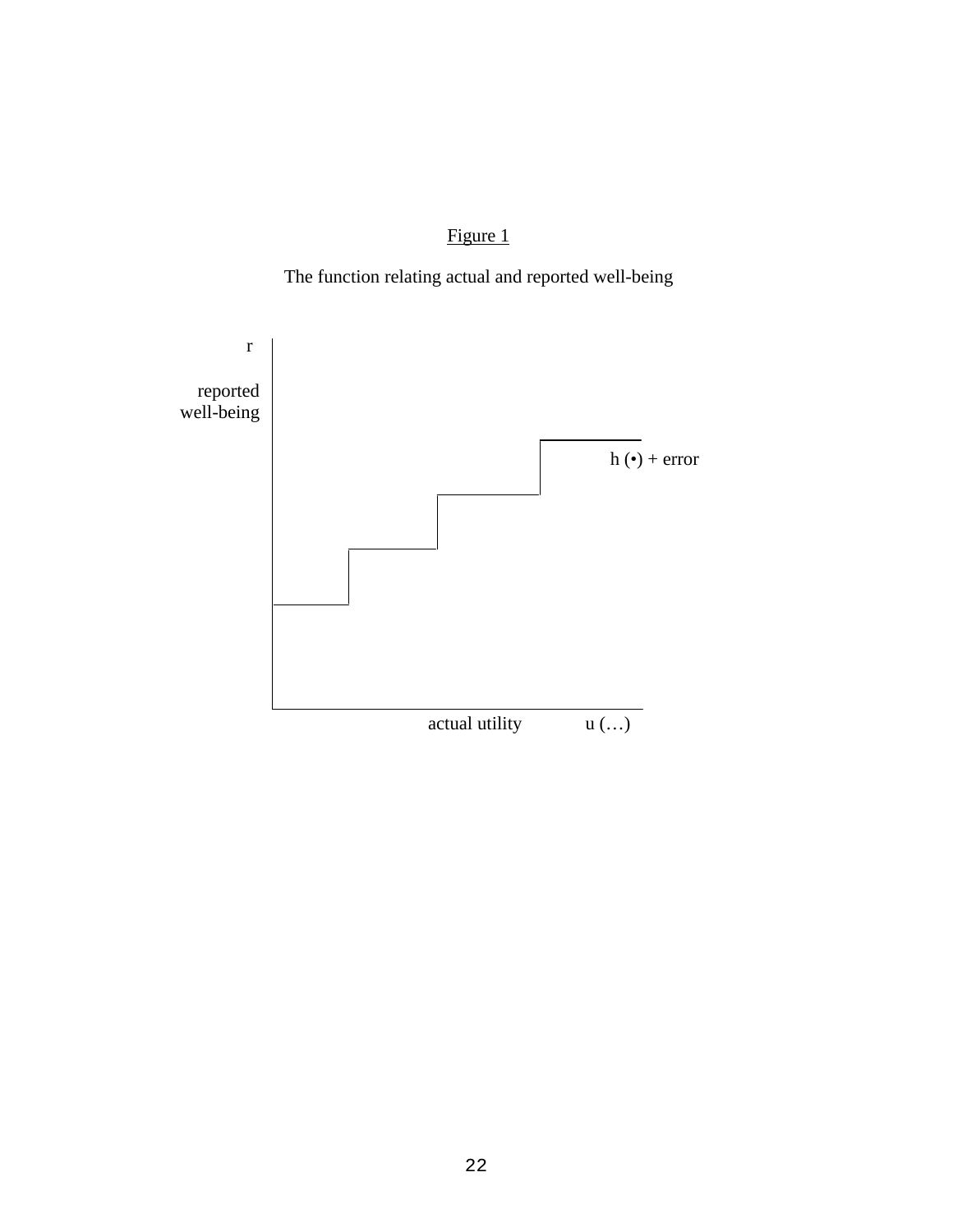Figure 1



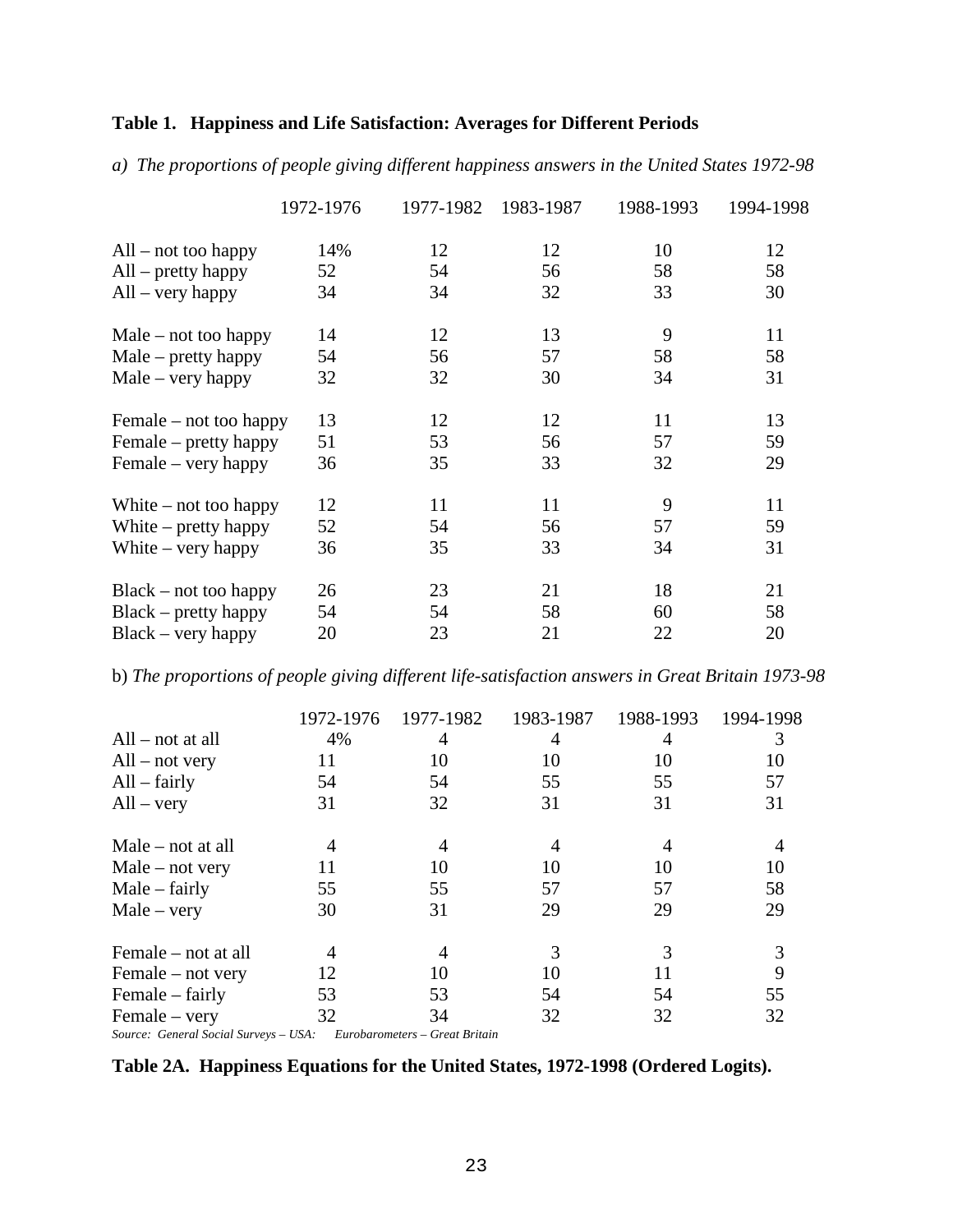# **Table 1. Happiness and Life Satisfaction: Averages for Different Periods**

*a) The proportions of people giving different happiness answers in the United States 1972-98*

|                         | 1972-1976 | 1977-1982 | 1983-1987 | 1988-1993 | 1994-1998 |
|-------------------------|-----------|-----------|-----------|-----------|-----------|
| $All$ – not too happy   | 14%       | 12        | 12        | 10        | 12        |
| $All - pretty happy$    | 52        | 54        | 56        | 58        | 58        |
| $All - very happy$      | 34        | 34        | 32        | 33        | 30        |
| $Male - not too happy$  | 14        | 12        | 13        | 9         | 11        |
| $Male - pretty happy$   | 54        | 56        | 57        | 58        | 58        |
| $Male - very happy$     | 32        | 32        | 30        | 34        | 31        |
| Female – not too happy  | 13        | 12        | 12        | 11        | 13        |
| Female – pretty happy   | 51        | 53        | 56        | 57        | 59        |
| Female – very happy     | 36        | 35        | 33        | 32        | 29        |
| White $-$ not too happy | 12        | 11        | 11        | 9         | 11        |
| White $-$ pretty happy  | 52        | 54        | 56        | 57        | 59        |
| White $-$ very happy    | 36        | 35        | 33        | 34        | 31        |
| $Black - not too happy$ | 26        | 23        | 21        | 18        | 21        |
| Black – pretty happy    | 54        | 54        | 58        | 60        | 58        |
| $Black - very happy$    | 20        | 23        | 21        | 22        | 20        |

b) *The proportions of people giving different life-satisfaction answers in Great Britain 1973-98*

|                                       | 1972-1976 | 1977-1982                      | 1983-1987 | 1988-1993 | 1994-1998 |
|---------------------------------------|-----------|--------------------------------|-----------|-----------|-----------|
| $All - not at all$                    | 4%        | 4                              | 4         | 4         | 3         |
| $All - not very$                      | 11        | 10                             | 10        | 10        | 10        |
| $All - fairly$                        | 54        | 54                             | 55        | 55        | 57        |
| $All - very$                          | 31        | 32                             | 31        | 31        | 31        |
| Male $-$ not at all                   |           | 4                              | 4         | 4         |           |
| $Male - not very$                     | 11        | 10                             | 10        | 10        | 10        |
| $Male - fairly$                       | 55        | 55                             | 57        | 57        | 58        |
| $Male - very$                         | 30        | 31                             | 29        | 29        | 29        |
| Female – not at all                   |           |                                | 3         | 3         | 3         |
| Female $-$ not very                   | 12        | 10                             | 10        | 11        | 9         |
| Female – fairly                       | 53        | 53                             | 54        | 54        | 55        |
| Female – very                         | 32        | 34                             | 32        | 32        | 32        |
| Source: General Social Surveys – USA: |           | Eurobarometers – Great Britain |           |           |           |

**Table 2A. Happiness Equations for the United States, 1972-1998 (Ordered Logits).**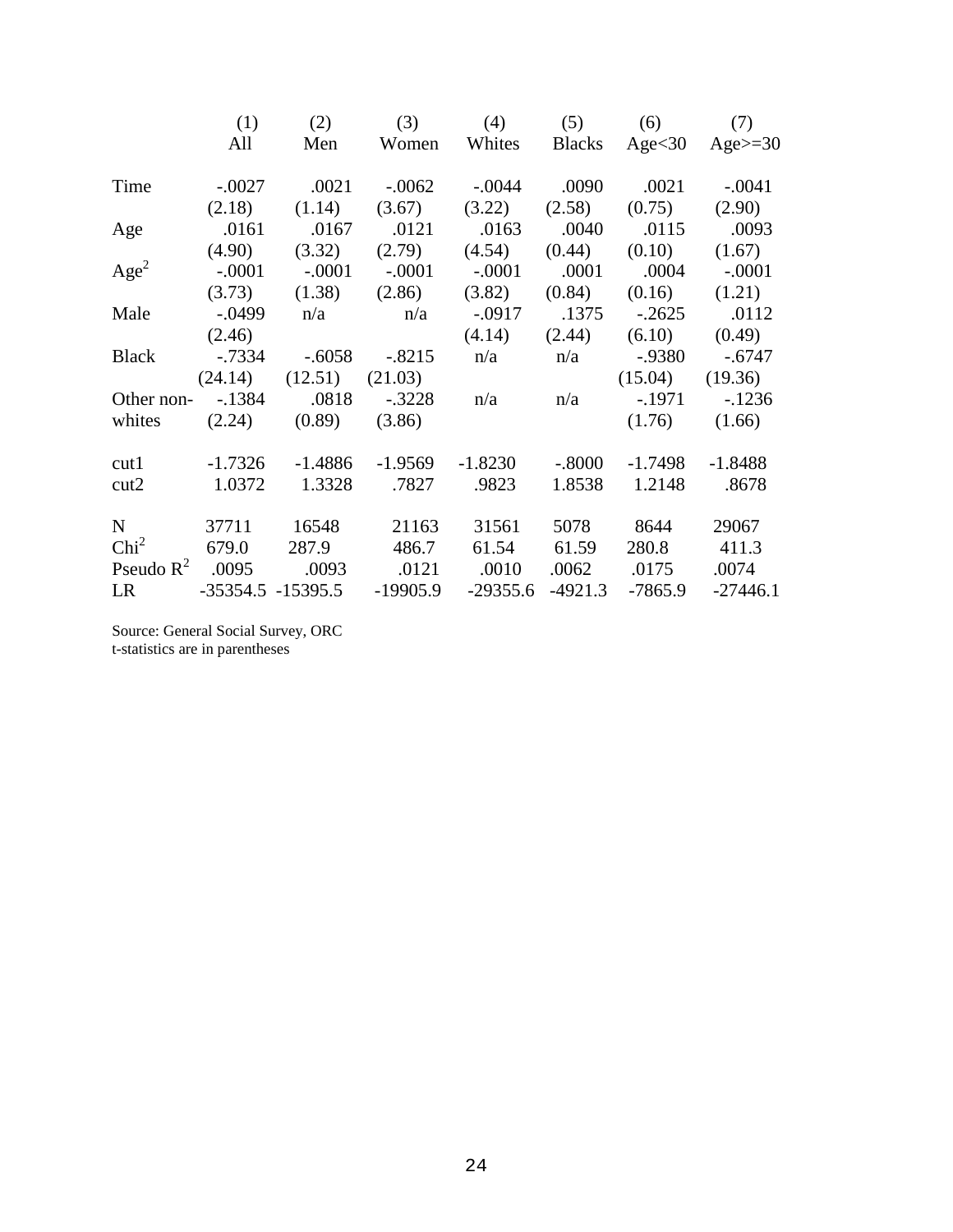|                  | (1)    | (2)                        |                                  | (3) (4) (5) (6) (7)                                                   |                      |            |
|------------------|--------|----------------------------|----------------------------------|-----------------------------------------------------------------------|----------------------|------------|
|                  | All    | Men                        |                                  | Women Whites Blacks Age < 30 Age >= 30                                |                      |            |
| Time             |        |                            |                                  |                                                                       |                      |            |
|                  |        |                            |                                  | $(2.18)$ $(1.14)$ $(3.67)$ $(3.22)$ $(2.58)$ $(0.75)$ $(2.90)$        |                      |            |
| Age              |        |                            |                                  | 0093. 0.015. 0.040 0.0163 0.040 0.0115 0.0993                         |                      |            |
|                  |        |                            |                                  | $(4.90)$ $(3.32)$ $(2.79)$ $(4.54)$ $(0.44)$ $(0.10)$ $(1.67)$        |                      |            |
| Age <sup>2</sup> |        |                            |                                  | $-0.0001$ $-0.0001$ $-0.0001$ $-0.0001$ $-0.0001$ $-0.0004$ $-0.0001$ |                      |            |
|                  |        |                            |                                  | $(3.73)$ $(1.38)$ $(2.86)$ $(3.82)$ $(0.84)$ $(0.16)$ $(1.21)$        |                      |            |
|                  |        |                            |                                  | Male -.0499 n/a n/a -.0917 .1375 -.2625                               |                      | .0112      |
|                  | (2.46) |                            |                                  | $(4.14)$ $(2.44)$ $(6.10)$ $(0.49)$                                   |                      |            |
| Black            |        |                            |                                  | $-0.7334$ $-0.6058$ $-0.8215$ $n/a$ $n/a$ $-0.9380$ $-0.6747$         |                      |            |
|                  |        |                            |                                  | $(24.14)$ $(12.51)$ $(21.03)$                                         | (15.04)              | (19.36)    |
|                  |        |                            |                                  | Other non- -.1384 .0818 -.3228 n/a n/a -.1971 -.1236                  |                      |            |
|                  |        | white (2.24) (0.89) (3.86) |                                  |                                                                       | (1.76)               | (1.66)     |
|                  |        |                            |                                  | cut1 -1.7326 -1.4886 -1.9569 -1.8230                                  | $-.8000 -1.7498$     | $-1.8488$  |
| cut2             |        |                            |                                  | 1.0372  1.3328  .7827  .9823                                          | 1.8538 1.2148 .8678  |            |
|                  |        |                            | N 37711 16548 21163              | 31561                                                                 | 5078 8644            | 29067      |
| Chi <sup>2</sup> |        |                            | 679.0 287.9 486.7                | 61.54 61.59                                                           | 280.8 411.3          |            |
|                  |        |                            |                                  | Pseudo R <sup>2</sup> .0095 .0093 .0121 .0010                         | $.0062 \qquad .0175$ | .0074      |
| LR               |        |                            | $-35354.5$ $-15395.5$ $-19905.9$ | $-29355.6$                                                            | $-4921.3$ $-7865.9$  | $-27446.1$ |

Source: General Social Survey, ORC t-statistics are in parentheses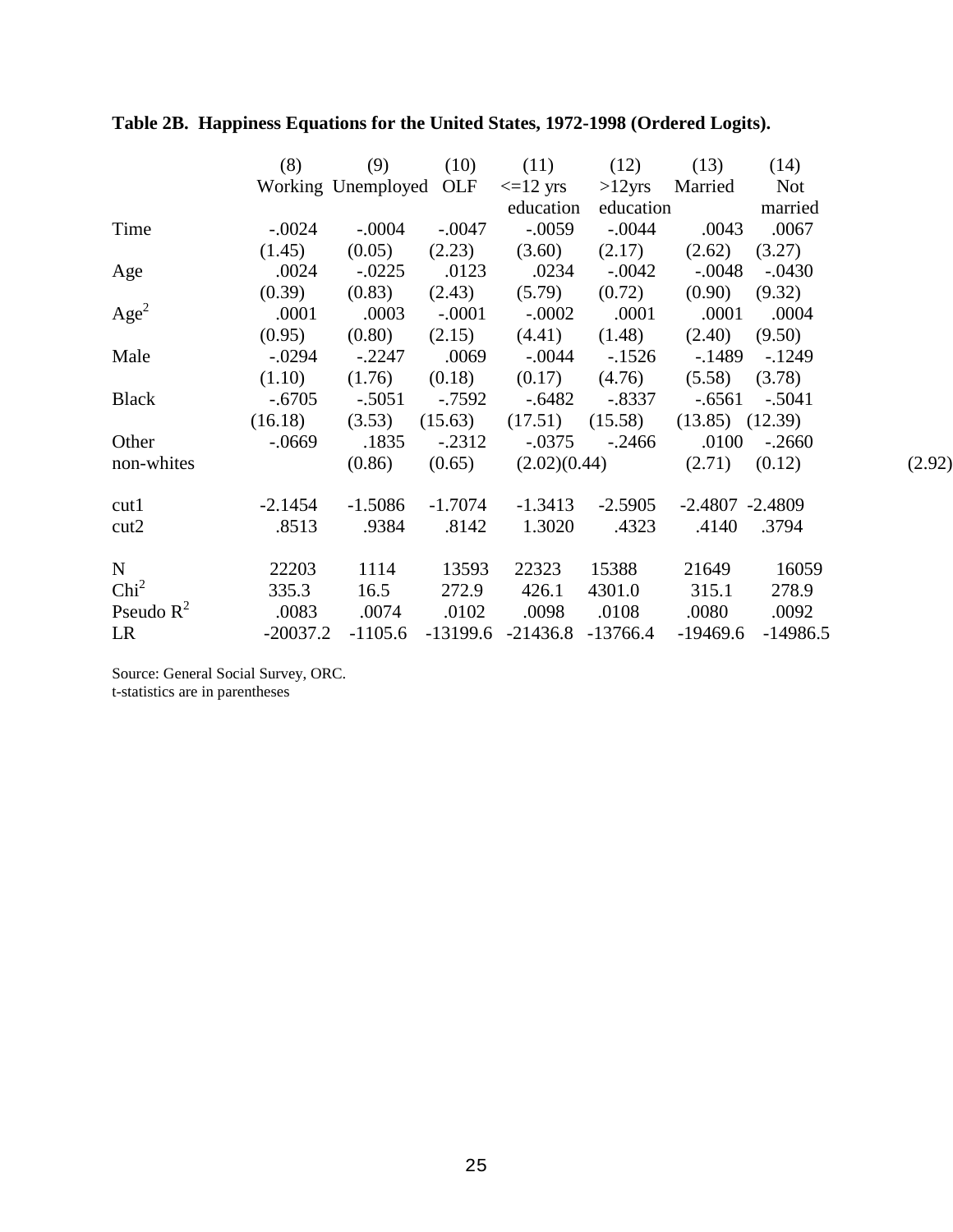|                  | (8)                                                               |                                                                        |                  | (9) (10) (11) (12) (13) (14)                       |                     |          |            |        |
|------------------|-------------------------------------------------------------------|------------------------------------------------------------------------|------------------|----------------------------------------------------|---------------------|----------|------------|--------|
|                  |                                                                   | Working Unemployed OLF $\langle -12 \rangle$ yrs $>12$ yrs Married Not |                  |                                                    |                     |          |            |        |
|                  |                                                                   |                                                                        |                  |                                                    | education education |          | married    |        |
| Time             |                                                                   | $-0.0024$ $-0.0004$ $-0.0047$ $-0.0059$ $-0.0044$ $-0.0043$ $-0.0067$  |                  |                                                    |                     |          |            |        |
|                  |                                                                   | $(1.45)$ $(0.05)$ $(2.23)$ $(3.60)$ $(2.17)$ $(2.62)$ $(3.27)$         |                  |                                                    |                     |          |            |        |
| Age              |                                                                   | .0024 -.0225 .0123 .0234 -.0042 -.0048 -.0430                          |                  |                                                    |                     |          |            |        |
|                  |                                                                   | $(0.39)$ $(0.83)$ $(2.43)$ $(5.79)$ $(0.72)$ $(0.90)$ $(9.32)$         |                  |                                                    |                     |          |            |        |
| Age <sup>2</sup> |                                                                   | 0001 0001 0002 0001 0001 0004                                          |                  |                                                    |                     |          |            |        |
|                  |                                                                   | $(0.95)$ $(0.80)$ $(2.15)$ $(4.41)$ $(1.48)$ $(2.40)$ $(9.50)$         |                  |                                                    |                     |          |            |        |
| Male             |                                                                   | -.0294 -.2247 .0069 -.0044 -.1526 -.1489 -.1249                        |                  |                                                    |                     |          |            |        |
|                  |                                                                   | $(1.10)$ $(1.76)$ $(0.18)$ $(0.17)$ $(4.76)$ $(5.58)$ $(3.78)$         |                  |                                                    |                     |          |            |        |
| <b>Black</b>     |                                                                   | $-.6705$ $-.5051$ $-.7592$ $-.6482$ $-.8337$ $-.6561$ $-.5041$         |                  |                                                    |                     |          |            |        |
|                  |                                                                   | $(16.18)$ $(3.53)$ $(15.63)$ $(17.51)$ $(15.58)$ $(13.85)$ $(12.39)$   |                  |                                                    |                     |          |            |        |
| Other            | $-0.0669$ $.1835$ $-0.2312$ $-0.0375$ $-0.2466$ $.0100$ $-0.2660$ |                                                                        |                  |                                                    |                     |          |            |        |
| non-whites       |                                                                   |                                                                        |                  | $(0.86)$ $(0.65)$ $(2.02)(0.44)$ $(2.71)$ $(0.12)$ |                     |          |            | (2.92) |
| cut1             |                                                                   | $-2.1454$ $-1.5086$ $-1.7074$ $-1.3413$ $-2.5905$ $-2.4807$ $-2.4809$  |                  |                                                    |                     |          |            |        |
| cut2             |                                                                   | .8513 .9384 .8142 .3020 .4323 .4140 .3794                              |                  |                                                    |                     |          |            |        |
| $N_{\odot}$      | 22203                                                             |                                                                        | 1114 13593       |                                                    | 22323 15388         | 21649    | 16059      |        |
| Chi <sup>2</sup> | 335.3                                                             |                                                                        | 16.5 272.9 426.1 |                                                    | 4301.0 315.1        |          | 278.9      |        |
| Pseudo $R^2$     | .0083 .0074 .0102 .0098 .0108 .0080 .0092                         |                                                                        |                  |                                                    |                     |          |            |        |
| LR               | -20037.2                                                          |                                                                        |                  | $-1105.6$ $-13199.6$ $-21436.8$ $-13766.4$         |                     | -19469.6 | $-14986.5$ |        |

# **Table 2B. Happiness Equations for the United States, 1972-1998 (Ordered Logits).**

Source: General Social Survey, ORC. t-statistics are in parentheses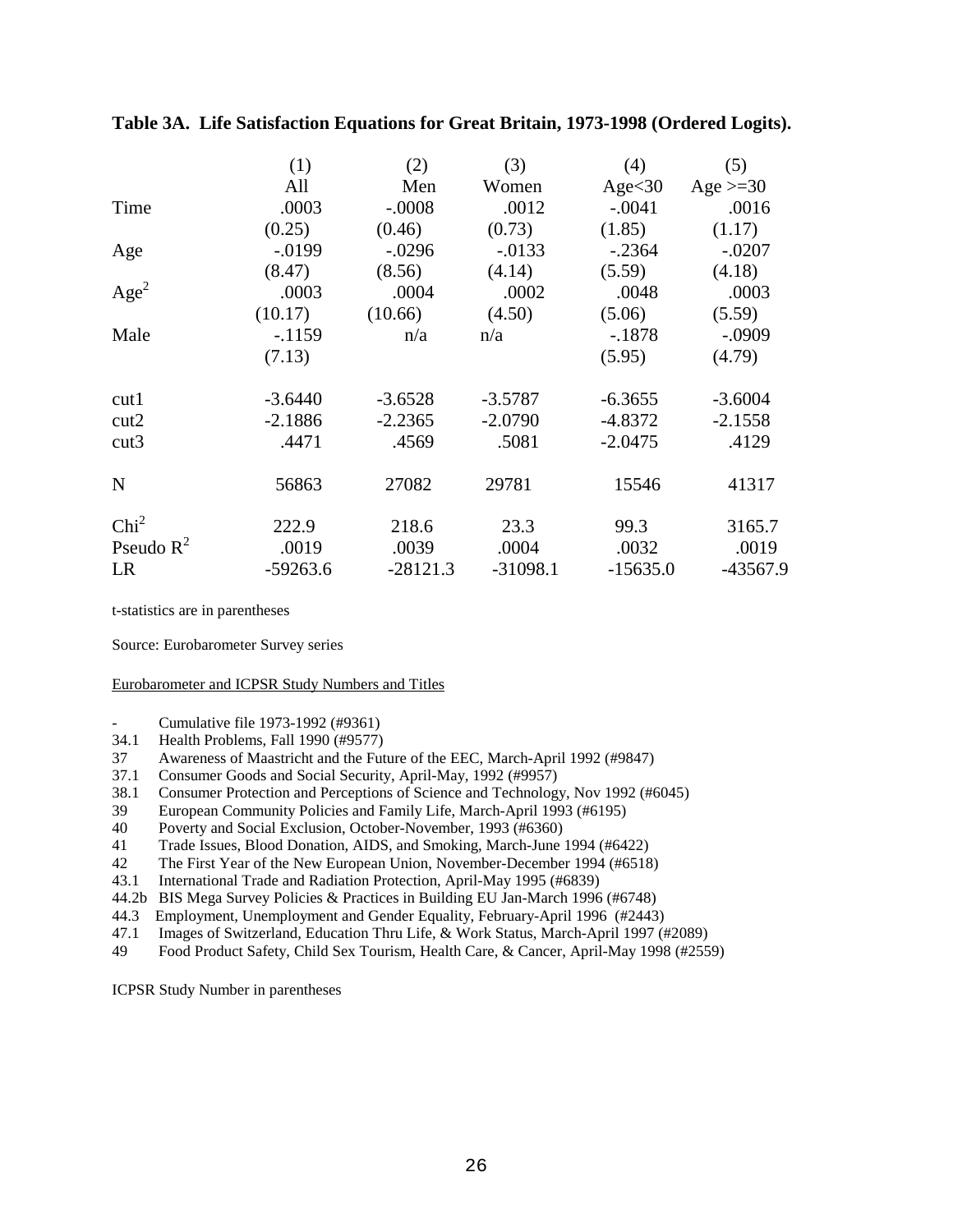|                  | (1)        | (2)        | (3)        | (4)        | (5)         |
|------------------|------------|------------|------------|------------|-------------|
|                  | All        | Men        | Women      | Age<30     | Age $>=$ 30 |
| Time             | .0003      | $-.0008$   | .0012      | $-.0041$   | .0016       |
|                  | (0.25)     | (0.46)     | (0.73)     | (1.85)     | (1.17)      |
| Age              | $-0.0199$  | $-.0296$   | $-.0133$   | $-.2364$   | $-.0207$    |
|                  | (8.47)     | (8.56)     | (4.14)     | (5.59)     | (4.18)      |
| Age <sup>2</sup> | .0003      | .0004      | .0002      | .0048      | .0003       |
|                  | (10.17)    | (10.66)    | (4.50)     | (5.06)     | (5.59)      |
| Male             | $-.1159$   | n/a        | n/a        | $-.1878$   | $-.0909$    |
|                  | (7.13)     |            |            | (5.95)     | (4.79)      |
| cut1             | $-3.6440$  | $-3.6528$  | $-3.5787$  | $-6.3655$  | $-3.6004$   |
| cut2             | $-2.1886$  | $-2.2365$  | $-2.0790$  | $-4.8372$  | $-2.1558$   |
| cut3             | .4471      | .4569      | .5081      | $-2.0475$  | .4129       |
| $\mathbf N$      | 56863      | 27082      | 29781      | 15546      | 41317       |
| Chi <sup>2</sup> | 222.9      | 218.6      | 23.3       | 99.3       | 3165.7      |
| Pseudo $R^2$     | .0019      | .0039      | .0004      | .0032      | .0019       |
| LR               | $-59263.6$ | $-28121.3$ | $-31098.1$ | $-15635.0$ | -43567.9    |

**Table 3A. Life Satisfaction Equations for Great Britain, 1973-1998 (Ordered Logits).**

t-statistics are in parentheses

Source: Eurobarometer Survey series

#### Eurobarometer and ICPSR Study Numbers and Titles

- Cumulative file 1973-1992 (#9361)
- 34.1 Health Problems, Fall 1990 (#9577)
- 37 Awareness of Maastricht and the Future of the EEC, March-April 1992 (#9847)
- 37.1 Consumer Goods and Social Security, April-May, 1992 (#9957)
- 38.1 Consumer Protection and Perceptions of Science and Technology, Nov 1992 (#6045)
- 39 European Community Policies and Family Life, March-April 1993 (#6195)
- 40 Poverty and Social Exclusion, October-November, 1993 (#6360)
- 41 Trade Issues, Blood Donation, AIDS, and Smoking, March-June 1994 (#6422)
- 42 The First Year of the New European Union, November-December 1994 (#6518)
- 43.1 International Trade and Radiation Protection, April-May 1995 (#6839)
- 44.2b BIS Mega Survey Policies & Practices in Building EU Jan-March 1996 (#6748)
- 44.3 Employment, Unemployment and Gender Equality, February-April 1996 (#2443)
- 47.1 Images of Switzerland, Education Thru Life, & Work Status, March-April 1997 (#2089)<br>49 Food Product Safety, Child Sex Tourism, Health Care, & Cancer, April-May 1998 (#255
- Food Product Safety, Child Sex Tourism, Health Care, & Cancer, April-May 1998 (#2559)

ICPSR Study Number in parentheses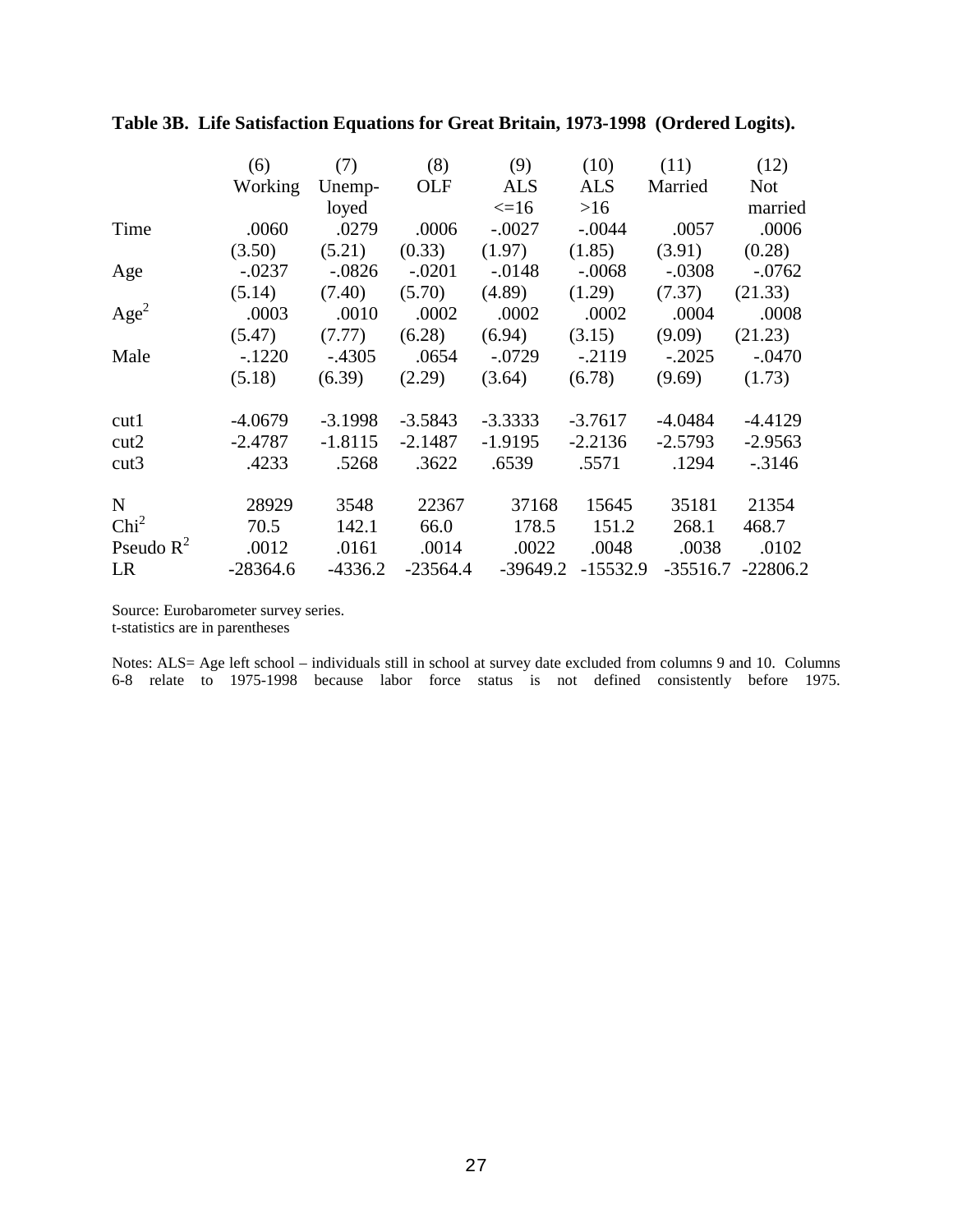|                  | (6)        | (7)       | (8)        | (9)        | (10)       | (11)       | (12)       |
|------------------|------------|-----------|------------|------------|------------|------------|------------|
|                  | Working    | Unemp-    | OLF        | <b>ALS</b> | <b>ALS</b> | Married    | <b>Not</b> |
|                  |            | loyed     |            | $\leq$ =16 | >16        |            | married    |
| Time             | .0060      | .0279     | .0006      | $-.0027$   | $-.0044$   | .0057      | .0006      |
|                  | (3.50)     | (5.21)    | (0.33)     | (1.97)     | (1.85)     | (3.91)     | (0.28)     |
| Age              | $-.0237$   | $-.0826$  | $-.0201$   | $-0.0148$  | $-.0068$   | $-.0308$   | $-.0762$   |
|                  | (5.14)     | (7.40)    | (5.70)     | (4.89)     | (1.29)     | (7.37)     | (21.33)    |
| Age <sup>2</sup> | .0003      | .0010     | .0002      | .0002      | .0002      | .0004      | .0008      |
|                  | (5.47)     | (7.77)    | (6.28)     | (6.94)     | (3.15)     | (9.09)     | (21.23)    |
| Male             | $-.1220$   | $-.4305$  | .0654      | $-.0729$   | $-.2119$   | $-.2025$   | $-.0470$   |
|                  | (5.18)     | (6.39)    | (2.29)     | (3.64)     | (6.78)     | (9.69)     | (1.73)     |
| cut1             | $-4.0679$  | $-3.1998$ | $-3.5843$  | $-3.3333$  | $-3.7617$  | $-4.0484$  | $-4.4129$  |
| cut2             | $-2.4787$  | $-1.8115$ | $-2.1487$  | $-1.9195$  | $-2.2136$  | $-2.5793$  | $-2.9563$  |
| cut3             | .4233      | .5268     | .3622      | .6539      | .5571      | .1294      | $-0.3146$  |
| $\mathbf N$      | 28929      | 3548      | 22367      | 37168      | 15645      | 35181      | 21354      |
| Chi <sup>2</sup> | 70.5       | 142.1     | 66.0       | 178.5      | 151.2      | 268.1      | 468.7      |
| Pseudo $R^2$     | .0012      | .0161     | .0014      | .0022      | .0048      | .0038      | .0102      |
| LR               | $-28364.6$ | $-4336.2$ | $-23564.4$ | $-39649.2$ | $-15532.9$ | $-35516.7$ | $-22806.2$ |

**Table 3B. Life Satisfaction Equations for Great Britain, 1973-1998 (Ordered Logits).**

Source: Eurobarometer survey series. t-statistics are in parentheses

Notes: ALS= Age left school – individuals still in school at survey date excluded from columns 9 and 10. Columns 6-8 relate to 1975-1998 because labor force status is not defined consistently before 1975.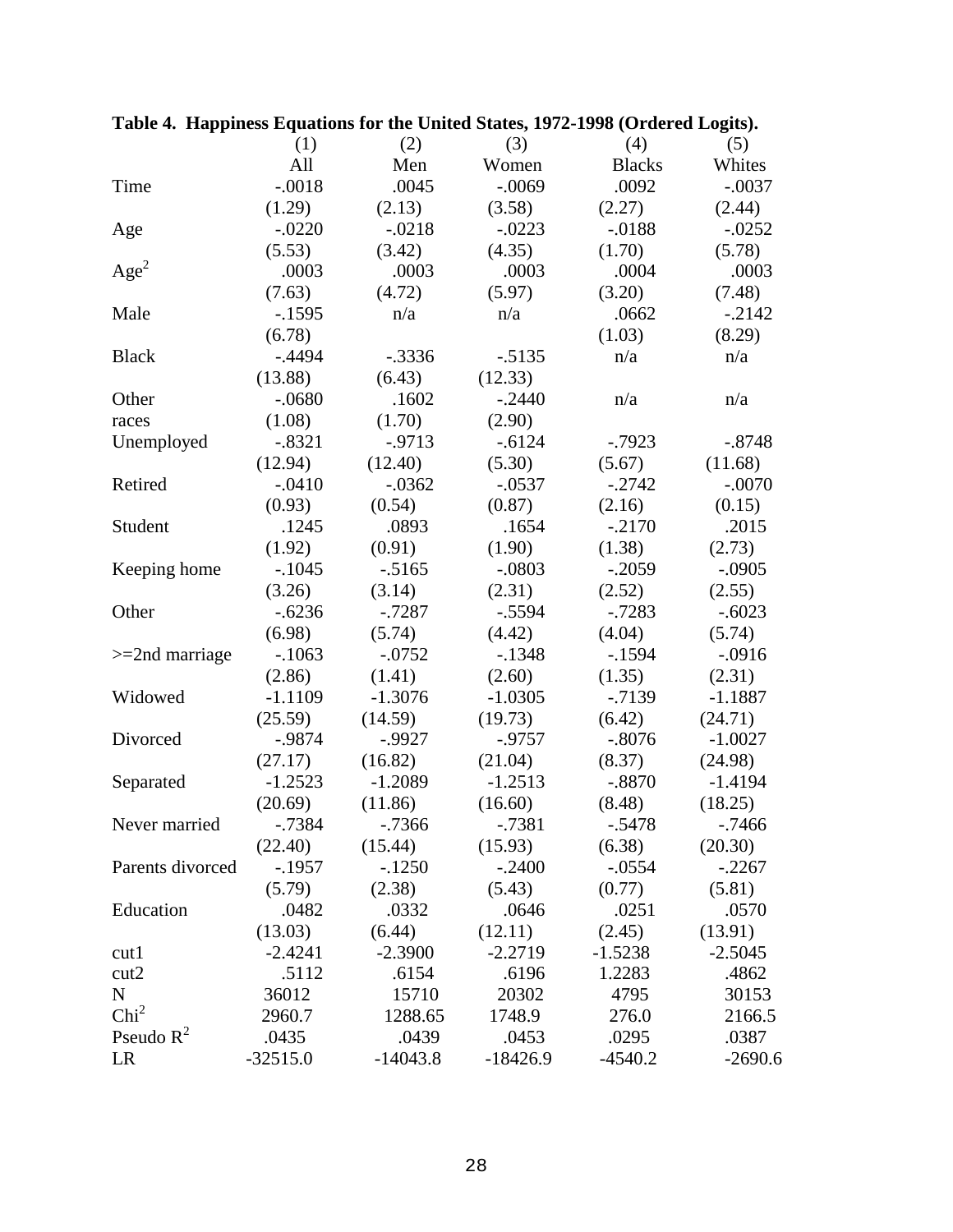|                   | (1)        | (2)        | (3)        | (4)           | (5)       |
|-------------------|------------|------------|------------|---------------|-----------|
|                   | All        | Men        | Women      | <b>Blacks</b> | Whites    |
| Time              | $-.0018$   | .0045      | $-.0069$   | .0092         | $-.0037$  |
|                   | (1.29)     | (2.13)     | (3.58)     | (2.27)        | (2.44)    |
| Age               | $-.0220$   | $-.0218$   | $-.0223$   | $-.0188$      | $-.0252$  |
|                   | (5.53)     | (3.42)     | (4.35)     | (1.70)        | (5.78)    |
| Age <sup>2</sup>  | .0003      | .0003      | .0003      | .0004         | .0003     |
|                   | (7.63)     | (4.72)     | (5.97)     | (3.20)        | (7.48)    |
| Male              | $-1595$    | n/a        | n/a        | .0662         | $-.2142$  |
|                   | (6.78)     |            |            | (1.03)        | (8.29)    |
| <b>Black</b>      | $-.4494$   | $-.3336$   | $-.5135$   | n/a           | n/a       |
|                   | (13.88)    | (6.43)     | (12.33)    |               |           |
| Other             | $-.0680$   | .1602      | $-.2440$   | n/a           | n/a       |
| races             | (1.08)     | (1.70)     | (2.90)     |               |           |
| Unemployed        | $-.8321$   | $-0.9713$  | $-.6124$   | $-0.7923$     | $-.8748$  |
|                   | (12.94)    | (12.40)    | (5.30)     | (5.67)        | (11.68)   |
| Retired           | $-.0410$   | $-.0362$   | $-.0537$   | $-.2742$      | $-.0070$  |
|                   | (0.93)     | (0.54)     | (0.87)     | (2.16)        | (0.15)    |
| Student           | .1245      | .0893      | .1654      | $-.2170$      | .2015     |
|                   | (1.92)     | (0.91)     | (1.90)     | (1.38)        | (2.73)    |
| Keeping home      | $-.1045$   | $-.5165$   | $-.0803$   | $-.2059$      | $-.0905$  |
|                   | (3.26)     | (3.14)     | (2.31)     | (2.52)        | (2.55)    |
| Other             | $-.6236$   | $-.7287$   | $-.5594$   | $-0.7283$     | $-.6023$  |
|                   | (6.98)     | (5.74)     | (4.42)     | (4.04)        | (5.74)    |
| $>=$ 2nd marriage | $-.1063$   | $-.0752$   | $-.1348$   | $-1594$       | $-.0916$  |
|                   | (2.86)     | (1.41)     | (2.60)     | (1.35)        | (2.31)    |
| Widowed           | $-1.1109$  | $-1.3076$  | $-1.0305$  | $-0.7139$     | $-1.1887$ |
|                   | (25.59)    | (14.59)    | (19.73)    | (6.42)        | (24.71)   |
| Divorced          | $-0.9874$  | $-0.9927$  | $-0.9757$  | $-.8076$      | $-1.0027$ |
|                   | (27.17)    | (16.82)    | (21.04)    | (8.37)        | (24.98)   |
| Separated         | $-1.2523$  | $-1.2089$  | $-1.2513$  | $-.8870$      | $-1.4194$ |
|                   | (20.69)    | (11.86)    | (16.60)    | (8.48)        | (18.25)   |
| Never married     | -.7384     | -.7366     | -.7381     | $-.5478$      | -.7466    |
|                   | (22.40)    | (15.44)    | (15.93)    | (6.38)        | (20.30)   |
| Parents divorced  | $-.1957$   | $-.1250$   | $-.2400$   | $-.0554$      | $-.2267$  |
|                   | (5.79)     | (2.38)     | (5.43)     | (0.77)        | (5.81)    |
| Education         | .0482      | .0332      | .0646      | .0251         | .0570     |
|                   | (13.03)    | (6.44)     | (12.11)    | (2.45)        | (13.91)   |
| cut1              | $-2.4241$  | $-2.3900$  | $-2.2719$  | $-1.5238$     | $-2.5045$ |
| cut2              | .5112      | .6154      | .6196      | 1.2283        | .4862     |
| ${\bf N}$         | 36012      | 15710      | 20302      | 4795          | 30153     |
| Chi <sup>2</sup>  | 2960.7     | 1288.65    | 1748.9     | 276.0         | 2166.5    |
| Pseudo $R^2$      | .0435      | .0439      | .0453      | .0295         | .0387     |
| LR                | $-32515.0$ | $-14043.8$ | $-18426.9$ | $-4540.2$     | $-2690.6$ |

|  | Table 4. Happiness Equations for the United States, 1972-1998 (Ordered Logits). |  |  |
|--|---------------------------------------------------------------------------------|--|--|
|  |                                                                                 |  |  |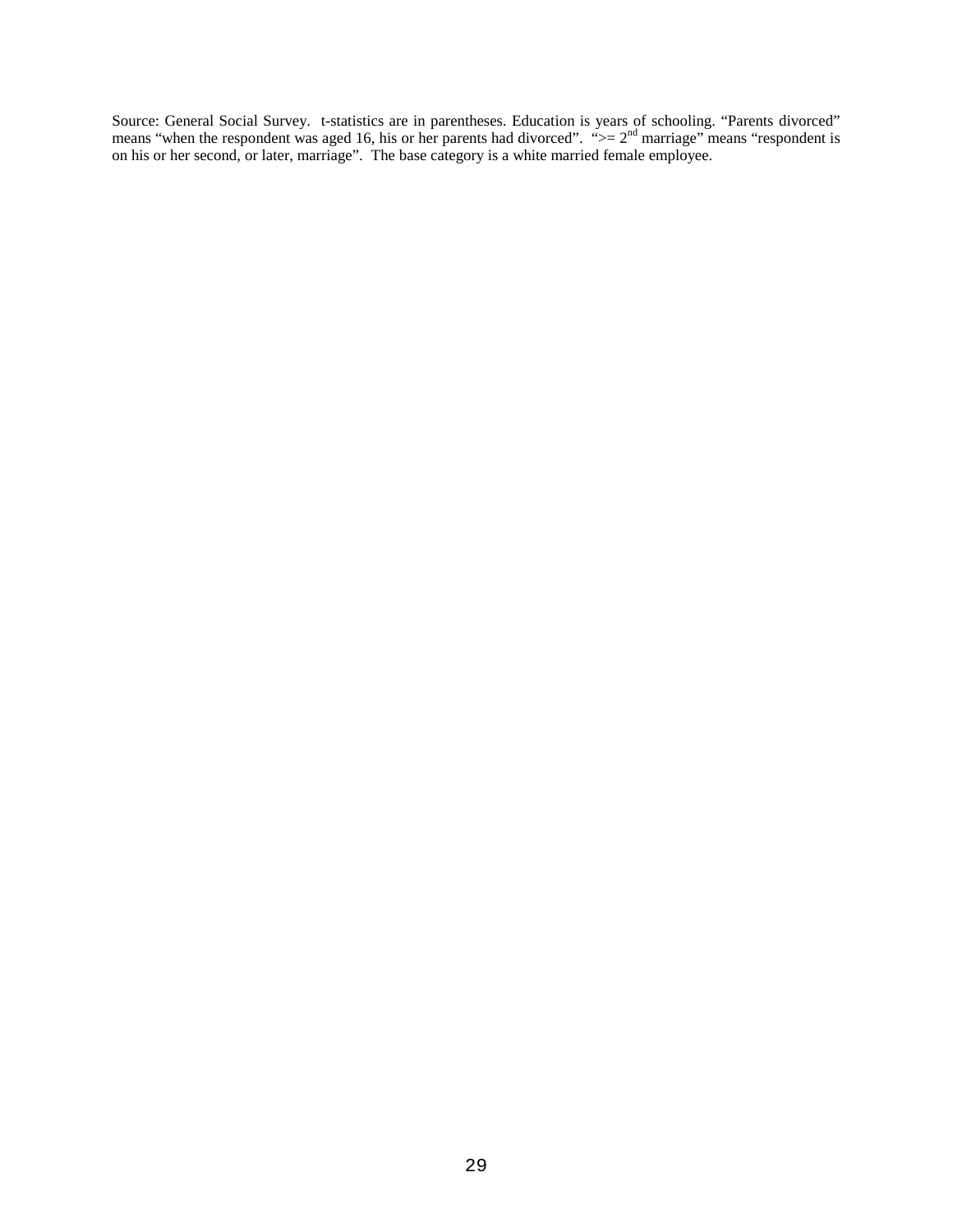Source: General Social Survey. t-statistics are in parentheses. Education is years of schooling. "Parents divorced" means "when the respondent was aged 16, his or her parents had divorced". " $>= 2<sup>nd</sup>$  marriage" means "respondent is on his or her second, or later, marriage". The base category is a white married female employee.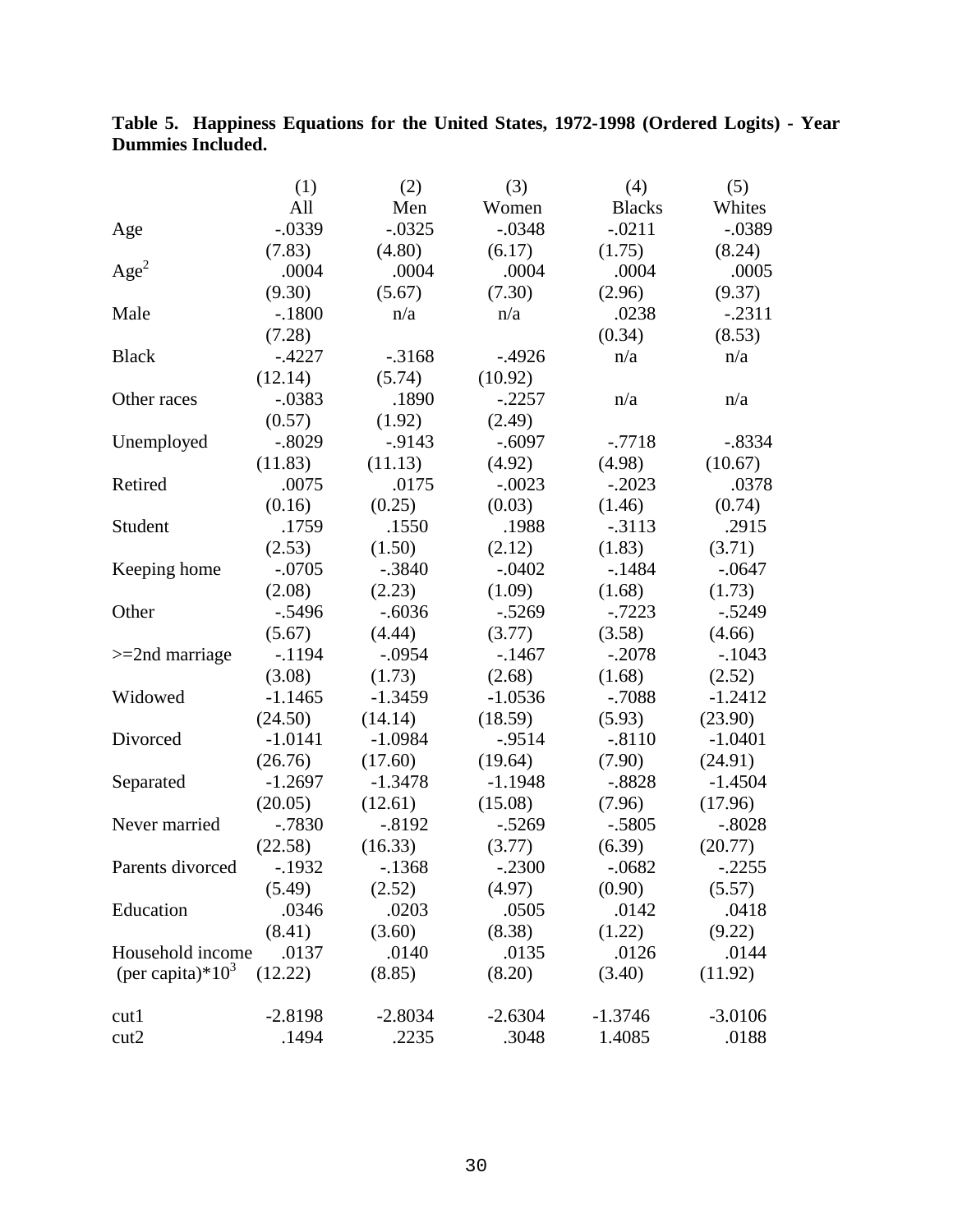## **Table 5. Happiness Equations for the United States, 1972-1998 (Ordered Logits) - Year Dummies Included.**

|                      | (1)       | (2)       | (3)       | (4)           | (5)       |
|----------------------|-----------|-----------|-----------|---------------|-----------|
|                      | All       | Men       | Women     | <b>Blacks</b> | Whites    |
| Age                  | $-.0339$  | $-.0325$  | $-.0348$  | $-.0211$      | $-.0389$  |
|                      | (7.83)    | (4.80)    | (6.17)    | (1.75)        | (8.24)    |
| Age <sup>2</sup>     | .0004     | .0004     | .0004     | .0004         | .0005     |
|                      | (9.30)    | (5.67)    | (7.30)    | (2.96)        | (9.37)    |
| Male                 | $-.1800$  | n/a       | n/a       | .0238         | $-.2311$  |
|                      | (7.28)    |           |           | (0.34)        | (8.53)    |
| <b>Black</b>         | $-.4227$  | $-0.3168$ | $-0.4926$ | n/a           | n/a       |
|                      | (12.14)   | (5.74)    | (10.92)   |               |           |
| Other races          | $-.0383$  | .1890     | $-.2257$  | n/a           | n/a       |
|                      | (0.57)    | (1.92)    | (2.49)    |               |           |
| Unemployed           | $-.8029$  | $-0.9143$ | $-.6097$  | $-.7718$      | $-.8334$  |
|                      | (11.83)   | (11.13)   | (4.92)    | (4.98)        | (10.67)   |
| Retired              | .0075     | .0175     | $-.0023$  | $-.2023$      | .0378     |
|                      | (0.16)    | (0.25)    | (0.03)    | (1.46)        | (0.74)    |
| Student              | .1759     | .1550     | .1988     | $-0.3113$     | .2915     |
|                      | (2.53)    | (1.50)    | (2.12)    | (1.83)        | (3.71)    |
| Keeping home         | $-.0705$  | $-.3840$  | $-.0402$  | $-1484$       | $-.0647$  |
|                      | (2.08)    | (2.23)    | (1.09)    | (1.68)        | (1.73)    |
| Other                | $-.5496$  | $-.6036$  | $-.5269$  | $-0.7223$     | $-.5249$  |
|                      | (5.67)    | (4.44)    | (3.77)    | (3.58)        | (4.66)    |
| $>=$ 2nd marriage    | $-1194$   | $-.0954$  | $-.1467$  | $-.2078$      | $-.1043$  |
|                      | (3.08)    | (1.73)    | (2.68)    | (1.68)        | (2.52)    |
| Widowed              | $-1.1465$ | $-1.3459$ | $-1.0536$ | $-.7088$      | $-1.2412$ |
|                      | (24.50)   | (14.14)   | (18.59)   | (5.93)        | (23.90)   |
| Divorced             | $-1.0141$ | $-1.0984$ | $-0.9514$ | $-.8110$      | $-1.0401$ |
|                      | (26.76)   | (17.60)   | (19.64)   | (7.90)        | (24.91)   |
| Separated            | $-1.2697$ | $-1.3478$ | $-1.1948$ | $-.8828$      | $-1.4504$ |
|                      | (20.05)   | (12.61)   | (15.08)   | (7.96)        | (17.96)   |
| Never married        | $-0.7830$ | $-.8192$  | $-.5269$  | $-.5805$      | $-.8028$  |
|                      | (22.58)   | (16.33)   | (3.77)    | (6.39)        | (20.77)   |
| Parents divorced     | $-1932$   | $-1368$   | $-.2300$  | $-.0682$      | $-.2255$  |
|                      | (5.49)    | (2.52)    | (4.97)    | (0.90)        | (5.57)    |
| Education            | .0346     | .0203     | .0505     | .0142         | .0418     |
|                      | (8.41)    | (3.60)    | (8.38)    | (1.22)        | (9.22)    |
| Household income     | .0137     | .0140     | .0135     | .0126         | .0144     |
| (per capita)* $10^3$ | (12.22)   | (8.85)    | (8.20)    | (3.40)        | (11.92)   |
| cut1                 | $-2.8198$ | $-2.8034$ | $-2.6304$ | $-1.3746$     | $-3.0106$ |
| cut2                 | .1494     | .2235     | .3048     | 1.4085        | .0188     |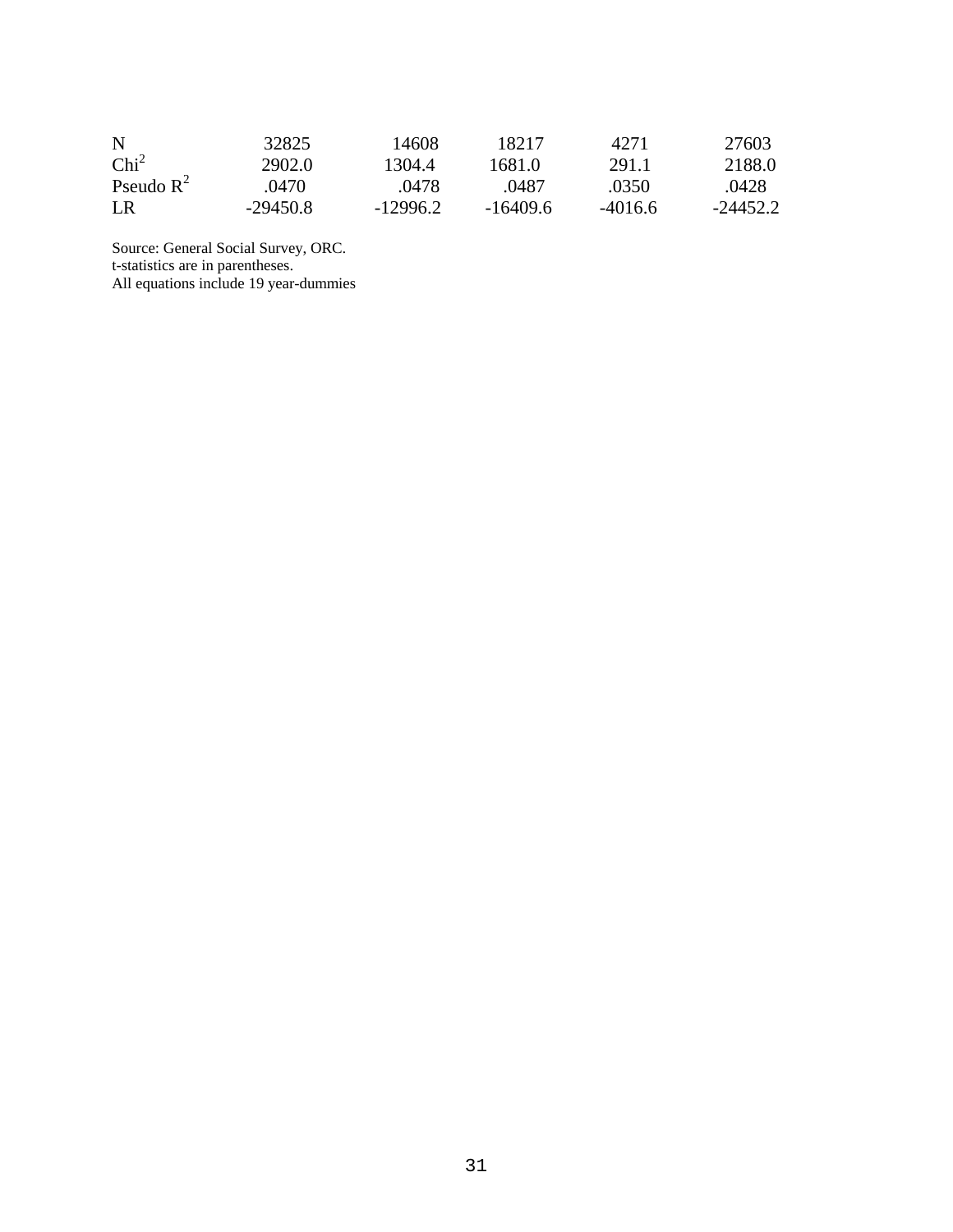| N                | 32825      | 14608      | 18217      | 42.71     | 27603    |
|------------------|------------|------------|------------|-----------|----------|
| Chi <sup>2</sup> | 2902.0     | 1304.4     | 1681.0     | 291.1     | 2188.0   |
| Pseudo $R^2$     | .0470      | .0478      | .0487      | .0350     | .0428    |
| LR               | $-29450.8$ | $-12996.2$ | $-16409.6$ | $-4016.6$ | -24452.2 |

Source: General Social Survey, ORC. t-statistics are in parentheses. All equations include 19 year-dummies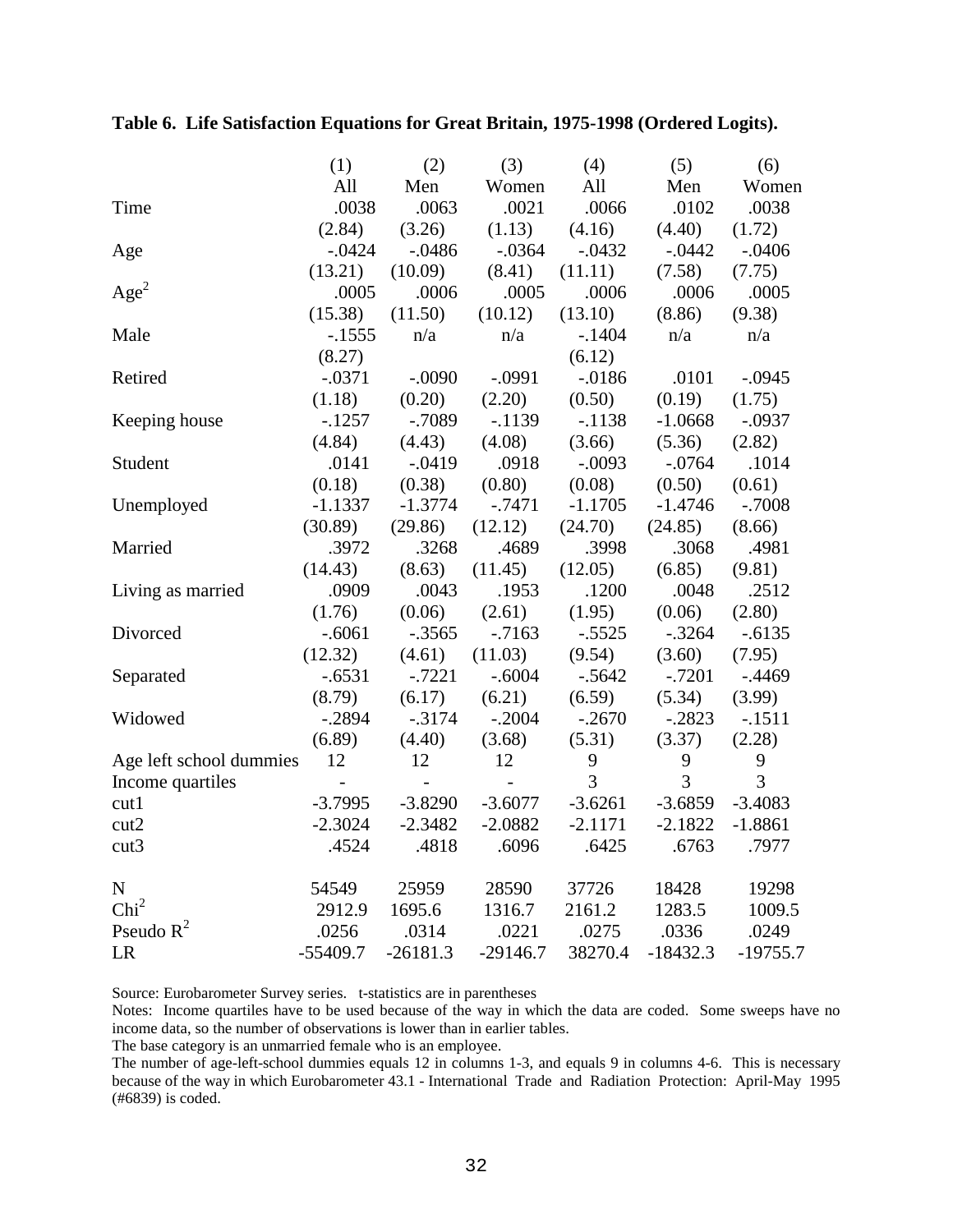|                         | (1)            | (2)            | (3)            | (4)       | (5)        | (6)        |
|-------------------------|----------------|----------------|----------------|-----------|------------|------------|
|                         | All            | Men            | Women          | All       | Men        | Women      |
| Time                    | .0038          | .0063          | .0021          | .0066     | .0102      | .0038      |
|                         | (2.84)         | (3.26)         | (1.13)         | (4.16)    | (4.40)     | (1.72)     |
| Age                     | $-.0424$       | $-.0486$       | $-.0364$       | $-.0432$  | $-.0442$   | $-.0406$   |
|                         | (13.21)        | (10.09)        | (8.41)         | (11.11)   | (7.58)     | (7.75)     |
| Age <sup>2</sup>        | .0005          | .0006          | .0005          | .0006     | .0006      | .0005      |
|                         | (15.38)        | (11.50)        | (10.12)        | (13.10)   | (8.86)     | (9.38)     |
| Male                    | $-.1555$       | n/a            | n/a            | $-.1404$  | n/a        | n/a        |
|                         | (8.27)         |                |                | (6.12)    |            |            |
| Retired                 | $-.0371$       | $-.0090$       | $-.0991$       | $-.0186$  | .0101      | $-.0945$   |
|                         | (1.18)         | (0.20)         | (2.20)         | (0.50)    | (0.19)     | (1.75)     |
| Keeping house           | $-1257$        | $-.7089$       | $-1139$        | $-.1138$  | $-1.0668$  | $-.0937$   |
|                         | (4.84)         | (4.43)         | (4.08)         | (3.66)    | (5.36)     | (2.82)     |
| Student                 | .0141          | $-.0419$       | .0918          | $-.0093$  | $-.0764$   | .1014      |
|                         | (0.18)         | (0.38)         | (0.80)         | (0.08)    | (0.50)     | (0.61)     |
| Unemployed              | $-1.1337$      | $-1.3774$      | $-0.7471$      | $-1.1705$ | $-1.4746$  | $-.7008$   |
|                         | (30.89)        | (29.86)        | (12.12)        | (24.70)   | (24.85)    | (8.66)     |
| Married                 | .3972          | .3268          | .4689          | .3998     | .3068      | .4981      |
|                         | (14.43)        | (8.63)         | (11.45)        | (12.05)   | (6.85)     | (9.81)     |
| Living as married       | .0909          | .0043          | .1953          | .1200     | .0048      | .2512      |
|                         | (1.76)         | (0.06)         | (2.61)         | (1.95)    | (0.06)     | (2.80)     |
| Divorced                | $-.6061$       | $-.3565$       | $-7163$        | $-.5525$  | $-.3264$   | $-.6135$   |
|                         | (12.32)        | (4.61)         | (11.03)        | (9.54)    | (3.60)     | (7.95)     |
| Separated               | $-.6531$       | $-.7221$       | $-.6004$       | $-.5642$  | $-.7201$   | $-0.4469$  |
|                         | (8.79)         | (6.17)         | (6.21)         | (6.59)    | (5.34)     | (3.99)     |
| Widowed                 | $-.2894$       | $-.3174$       | $-.2004$       | $-.2670$  | $-.2823$   | $-.1511$   |
|                         | (6.89)         | (4.40)         | (3.68)         | (5.31)    | (3.37)     | (2.28)     |
| Age left school dummies | 12             | 12             | 12             | 9         | 9          | 9          |
| Income quartiles        | $\overline{a}$ | $\overline{a}$ | $\overline{a}$ | 3         | 3          | 3          |
| cut1                    | $-3.7995$      | $-3.8290$      | $-3.6077$      | $-3.6261$ | $-3.6859$  | $-3.4083$  |
| cut2                    | $-2.3024$      | $-2.3482$      | $-2.0882$      | $-2.1171$ | $-2.1822$  | $-1.8861$  |
| cut3                    | .4524          | .4818          | .6096          | .6425     | .6763      | .7977      |
| ${\bf N}$               | 54549          | 25959          | 28590          | 37726     | 18428      | 19298      |
| Chi <sup>2</sup>        | 2912.9         | 1695.6         | 1316.7         | 2161.2    | 1283.5     | 1009.5     |
| Pseudo $R^2$            | .0256          | .0314          | .0221          | .0275     | .0336      | .0249      |
| LR                      | $-55409.7$     | $-26181.3$     | $-29146.7$     | 38270.4   | $-18432.3$ | $-19755.7$ |

**Table 6. Life Satisfaction Equations for Great Britain, 1975-1998 (Ordered Logits).**

Source: Eurobarometer Survey series. t-statistics are in parentheses

Notes: Income quartiles have to be used because of the way in which the data are coded. Some sweeps have no income data, so the number of observations is lower than in earlier tables.

The base category is an unmarried female who is an employee.

The number of age-left-school dummies equals 12 in columns 1-3, and equals 9 in columns 4-6. This is necessary because of the way in which Eurobarometer 43.1 - International Trade and Radiation Protection: April-May 1995 (#6839) is coded.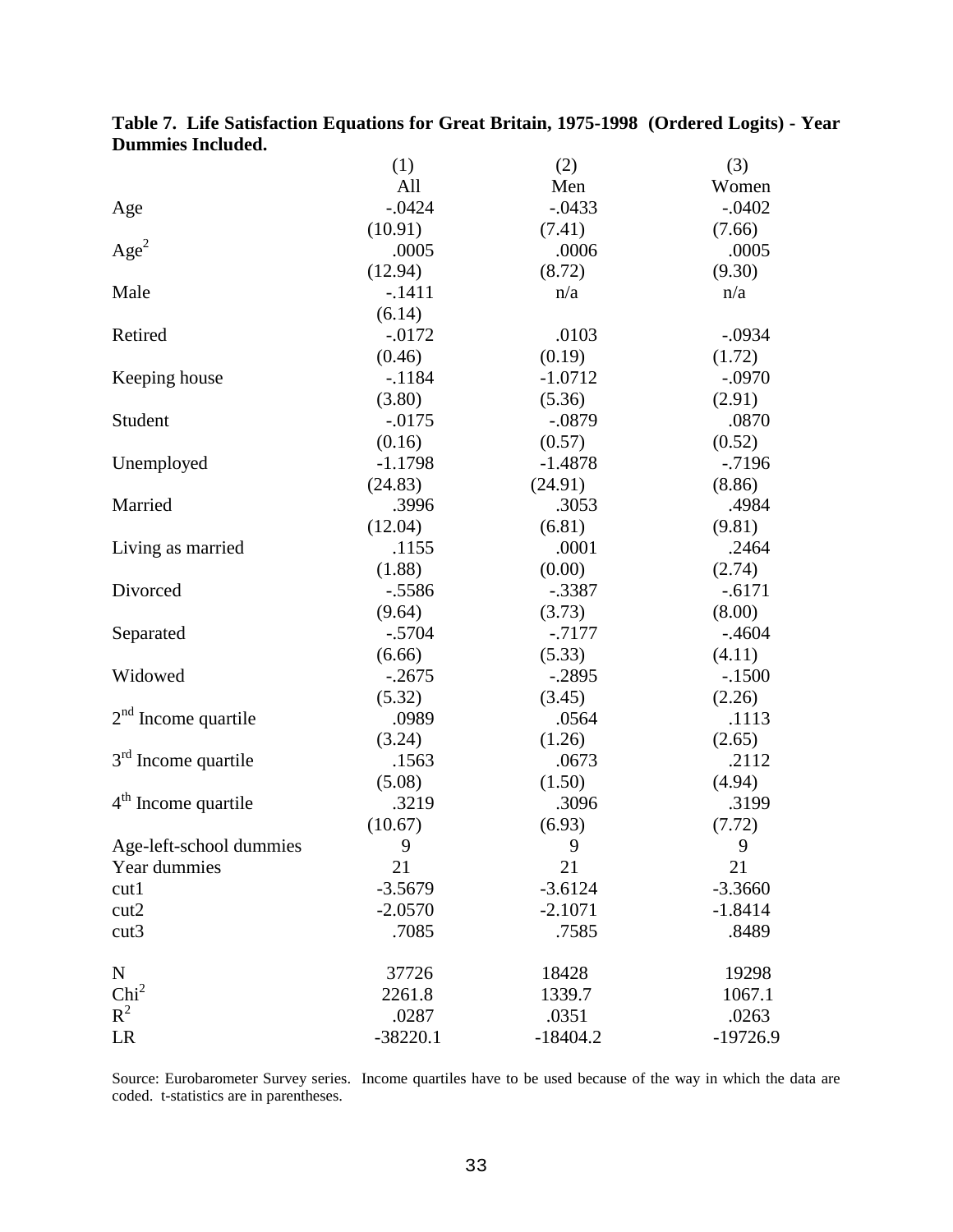|                         | (1)        | (2)        | (3)        |
|-------------------------|------------|------------|------------|
|                         | All        | Men        | Women      |
| Age                     | $-0.0424$  | $-.0433$   | $-.0402$   |
|                         | (10.91)    | (7.41)     | (7.66)     |
| Age <sup>2</sup>        | .0005      | .0006      | .0005      |
|                         | (12.94)    | (8.72)     | (9.30)     |
| Male                    | $-.1411$   | n/a        | n/a        |
|                         | (6.14)     |            |            |
| Retired                 | $-0.0172$  | .0103      | $-.0934$   |
|                         | (0.46)     | (0.19)     | (1.72)     |
| Keeping house           | $-.1184$   | $-1.0712$  | $-.0970$   |
|                         | (3.80)     | (5.36)     | (2.91)     |
| Student                 | $-0.0175$  | $-.0879$   | .0870      |
|                         | (0.16)     | (0.57)     | (0.52)     |
| Unemployed              | $-1.1798$  | $-1.4878$  | $-0.7196$  |
|                         | (24.83)    | (24.91)    | (8.86)     |
| Married                 | .3996      | .3053      | .4984      |
|                         | (12.04)    | (6.81)     | (9.81)     |
| Living as married       | .1155      | .0001      | .2464      |
|                         | (1.88)     | (0.00)     | (2.74)     |
| Divorced                | $-.5586$   | $-.3387$   | $-.6171$   |
|                         | (9.64)     | (3.73)     | (8.00)     |
| Separated               | $-.5704$   | $-7177$    | $-.4604$   |
|                         | (6.66)     | (5.33)     | (4.11)     |
| Widowed                 | $-.2675$   | $-.2895$   | $-.1500$   |
|                         | (5.32)     | (3.45)     | (2.26)     |
| $2nd$ Income quartile   | .0989      | .0564      | .1113      |
|                         | (3.24)     | (1.26)     | (2.65)     |
| $3rd$ Income quartile   | .1563      | .0673      | .2112      |
|                         | (5.08)     | (1.50)     | (4.94)     |
| $4th$ Income quartile   | .3219      | .3096      | .3199      |
|                         | (10.67)    | (6.93)     | (7.72)     |
| Age-left-school dummies | 9          | 9          | 9          |
| Year dummies            | 21         | 21         | 21         |
| cut1                    | $-3.5679$  | $-3.6124$  | $-3.3660$  |
| cut2                    | $-2.0570$  | $-2.1071$  | $-1.8414$  |
| cut3                    | .7085      | .7585      | .8489      |
| $\mathbf N$             | 37726      | 18428      | 19298      |
| Chi <sup>2</sup>        | 2261.8     | 1339.7     | 1067.1     |
| $R^2$                   | .0287      | .0351      | .0263      |
| LR                      | $-38220.1$ | $-18404.2$ | $-19726.9$ |

|                          | Table 7. Life Satisfaction Equations for Great Britain, 1975-1998 (Ordered Logits) - Year |  |  |
|--------------------------|-------------------------------------------------------------------------------------------|--|--|
| <b>Dummies Included.</b> |                                                                                           |  |  |

Source: Eurobarometer Survey series. Income quartiles have to be used because of the way in which the data are coded. t-statistics are in parentheses.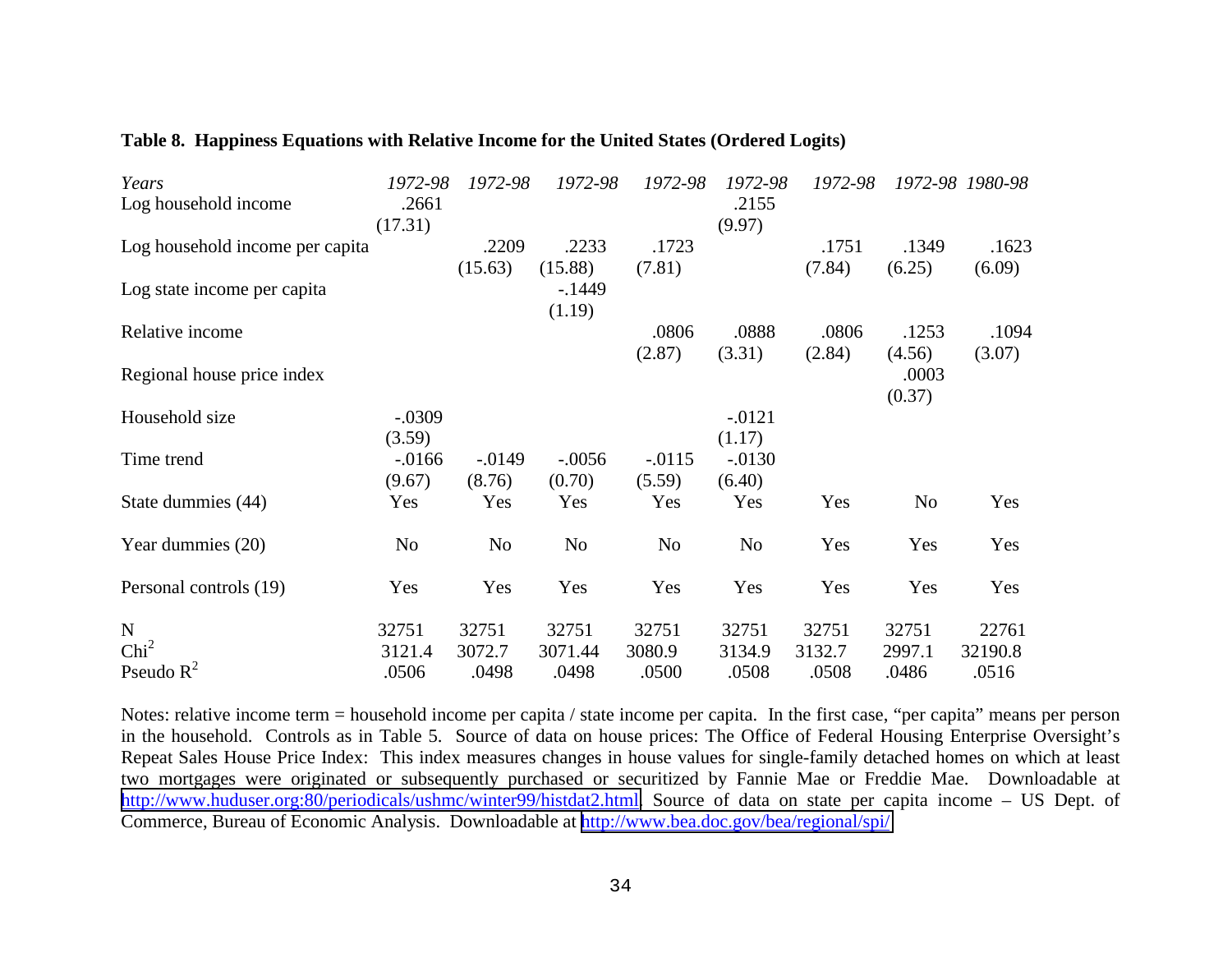| Years                           | 1972-98        | 1972-98        | 1972-98        | 1972-98   | 1972-98        | 1972-98 |        | 1972-98 1980-98 |
|---------------------------------|----------------|----------------|----------------|-----------|----------------|---------|--------|-----------------|
| Log household income            | .2661          |                |                |           | .2155          |         |        |                 |
|                                 | (17.31)        |                |                |           | (9.97)         |         |        |                 |
| Log household income per capita |                | .2209          | .2233          | .1723     |                | .1751   | .1349  | .1623           |
|                                 |                | (15.63)        | (15.88)        | (7.81)    |                | (7.84)  | (6.25) | (6.09)          |
| Log state income per capita     |                |                | $-1449$        |           |                |         |        |                 |
|                                 |                |                | (1.19)         |           |                |         |        |                 |
| Relative income                 |                |                |                | .0806     | .0888          | .0806   | .1253  | .1094           |
|                                 |                |                |                | (2.87)    | (3.31)         | (2.84)  | (4.56) | (3.07)          |
| Regional house price index      |                |                |                |           |                |         | .0003  |                 |
|                                 |                |                |                |           |                |         | (0.37) |                 |
| Household size                  | $-.0309$       |                |                |           | $-0.0121$      |         |        |                 |
|                                 | (3.59)         |                |                |           | (1.17)         |         |        |                 |
| Time trend                      | $-0.0166$      | $-0.0149$      | $-.0056$       | $-0.0115$ | $-0.0130$      |         |        |                 |
|                                 | (9.67)         | (8.76)         | (0.70)         | (5.59)    | (6.40)         |         |        |                 |
| State dummies (44)              | Yes            | Yes            | Yes            | Yes       | Yes            | Yes     | No     | Yes             |
| Year dummies (20)               | N <sub>o</sub> | N <sub>o</sub> | N <sub>0</sub> | No        | N <sub>0</sub> | Yes     | Yes    | Yes             |
| Personal controls (19)          | Yes            | Yes            | Yes            | Yes       | Yes            | Yes     | Yes    | Yes             |
| ${\bf N}$                       | 32751          | 32751          | 32751          | 32751     | 32751          | 32751   | 32751  | 22761           |
| Chi <sup>2</sup>                | 3121.4         | 3072.7         | 3071.44        | 3080.9    | 3134.9         | 3132.7  | 2997.1 | 32190.8         |
| Pseudo $R^2$                    | .0506          | .0498          | .0498          | .0500     | .0508          | .0508   | .0486  | .0516           |

#### **Table 8. Happiness Equations with Relative Income for the United States (Ordered Logits)**

Notes: relative income term = household income per capita / state income per capita. In the first case, "per capita" means per person in the household. Controls as in Table 5. Source of data on house prices: The Office of Federal Housing Enterprise Oversight's Repeat Sales House Price Index: This index measures changes in house values for single-family detached homes on which at least two mortgages were originated or subsequently purchased or securitized by Fannie Mae or Freddie Mae. Downloadable at [http://www.huduser.org:80/periodicals/ushmc/winter99/histdat2.html.](http://www.huduser.org/periodicals/ushmc/winter99/histdat2.html) Source of data on state per capita income – US Dept. of Commerce, Bureau of Economic Analysis. Downloadable at <http://www.bea.doc.gov/bea/regional/spi/>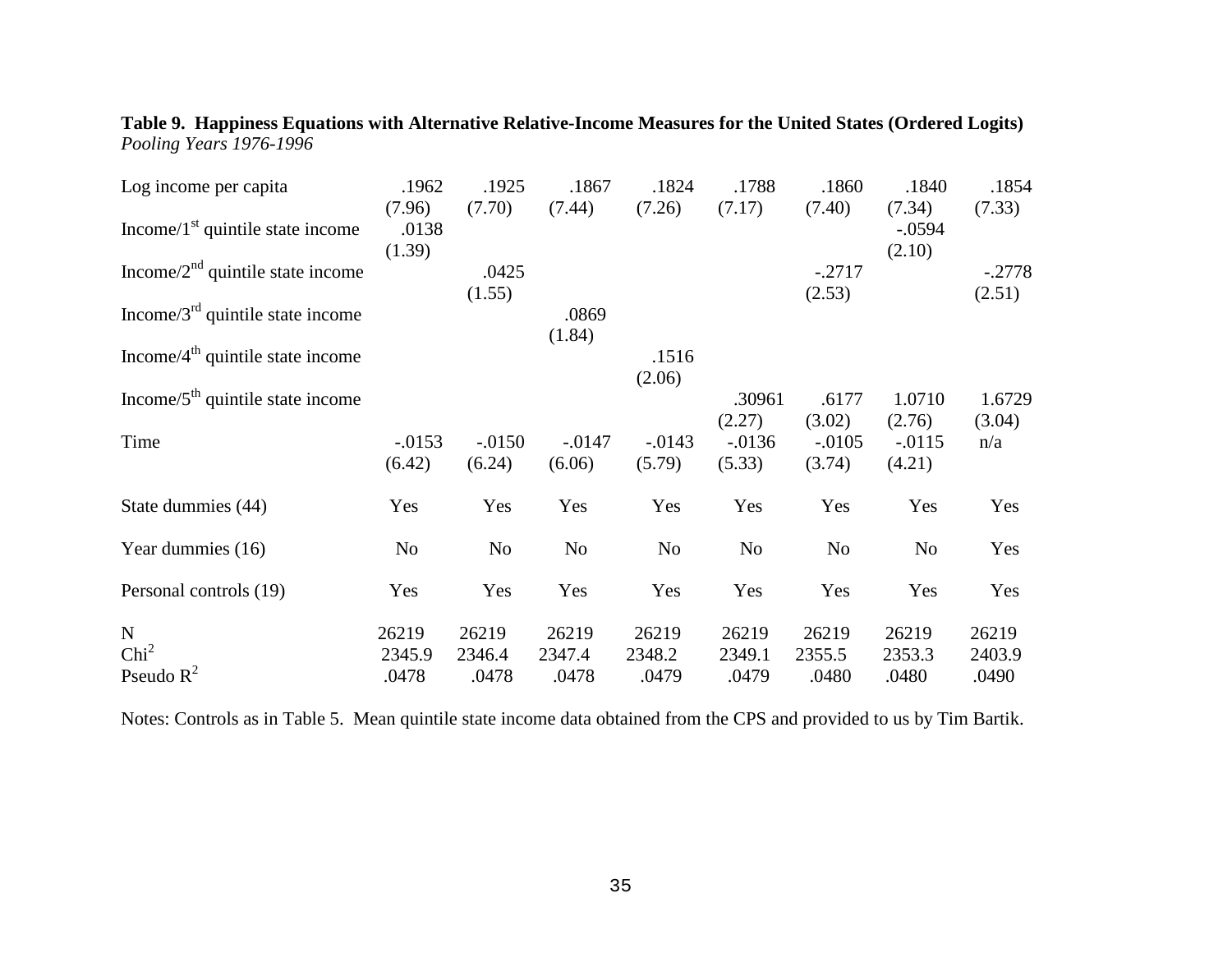| .1962          | .1925                             | .1867                                         | .1824                                | .1788                                 | .1860                                 | .1840                                | .1854                              |
|----------------|-----------------------------------|-----------------------------------------------|--------------------------------------|---------------------------------------|---------------------------------------|--------------------------------------|------------------------------------|
| (7.96)         | (7.70)                            | (7.44)                                        | (7.26)                               | (7.17)                                | (7.40)                                | (7.34)                               | (7.33)                             |
|                |                                   |                                               |                                      |                                       |                                       | $-.0594$                             |                                    |
| (1.39)         |                                   |                                               |                                      |                                       |                                       | (2.10)                               |                                    |
|                |                                   |                                               |                                      |                                       |                                       |                                      | $-.2778$                           |
|                | (1.55)                            |                                               |                                      |                                       | (2.53)                                |                                      | (2.51)                             |
|                |                                   | .0869                                         |                                      |                                       |                                       |                                      |                                    |
|                |                                   | (1.84)                                        |                                      |                                       |                                       |                                      |                                    |
|                |                                   |                                               | .1516                                |                                       |                                       |                                      |                                    |
|                |                                   |                                               | (2.06)                               |                                       |                                       |                                      |                                    |
|                |                                   |                                               |                                      | .30961                                | .6177                                 |                                      | 1.6729                             |
|                |                                   |                                               |                                      | (2.27)                                | (3.02)                                | (2.76)                               | (3.04)                             |
| $-0.0153$      |                                   |                                               |                                      |                                       | $-.0105$                              | $-0.0115$                            | n/a                                |
| (6.42)         | (6.24)                            | (6.06)                                        | (5.79)                               | (5.33)                                | (3.74)                                | (4.21)                               |                                    |
| Yes            | Yes                               | Yes                                           | Yes                                  | Yes                                   | Yes                                   | Yes                                  | Yes                                |
| N <sub>o</sub> | N <sub>0</sub>                    | No                                            | No                                   | No                                    | N <sub>o</sub>                        | No                                   | Yes                                |
| Yes            | Yes                               | Yes                                           | Yes                                  | Yes                                   | Yes                                   | Yes                                  | Yes                                |
|                |                                   |                                               |                                      |                                       |                                       |                                      | 26219                              |
|                |                                   |                                               |                                      |                                       |                                       |                                      | 2403.9                             |
|                |                                   |                                               |                                      |                                       |                                       |                                      | .0490                              |
|                | .0138<br>26219<br>2345.9<br>.0478 | .0425<br>$-.0150$<br>26219<br>2346.4<br>.0478 | $-.0147$<br>26219<br>2347.4<br>.0478 | $-0.0143$<br>26219<br>2348.2<br>.0479 | $-0.0136$<br>26219<br>2349.1<br>.0479 | $-.2717$<br>26219<br>2355.5<br>.0480 | 1.0710<br>26219<br>2353.3<br>.0480 |

**Table 9. Happiness Equations with Alternative Relative-Income Measures for the United States (Ordered Logits)** *Pooling Years 1976-1996*

Notes: Controls as in Table 5. Mean quintile state income data obtained from the CPS and provided to us by Tim Bartik.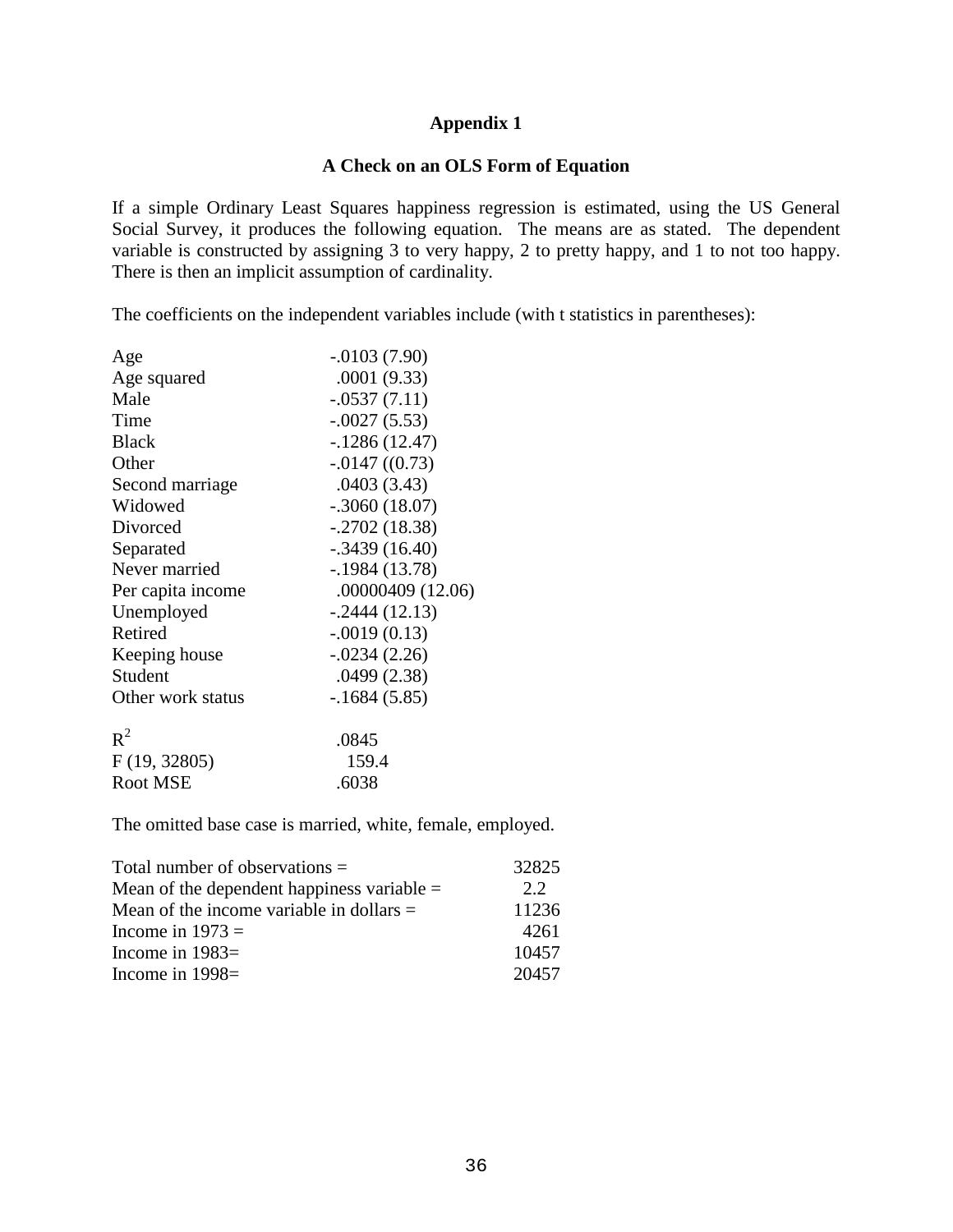# **Appendix 1**

## **A Check on an OLS Form of Equation**

If a simple Ordinary Least Squares happiness regression is estimated, using the US General Social Survey, it produces the following equation. The means are as stated. The dependent variable is constructed by assigning 3 to very happy, 2 to pretty happy, and 1 to not too happy. There is then an implicit assumption of cardinality.

The coefficients on the independent variables include (with t statistics in parentheses):

| $-0.0103(7.90)$   |
|-------------------|
| .0001(9.33)       |
| $-.0537(7.11)$    |
| $-.0027(5.53)$    |
| $-1286(12.47)$    |
| $-0.0147$ ((0.73) |
| .0403(3.43)       |
| $-.3060(18.07)$   |
| $-.2702(18.38)$   |
| $-.3439(16.40)$   |
| $-1984(13.78)$    |
| .00000409 (12.06) |
| $-0.2444(12.13)$  |
| $-.0019(0.13)$    |
| $-0.0234(2.26)$   |
| .0499(2.38)       |
| $-.1684(5.85)$    |
| .0845             |
| 159.4             |
| .6038             |
|                   |

The omitted base case is married, white, female, employed.

| Total number of observations $=$             | 32825 |
|----------------------------------------------|-------|
| Mean of the dependent happiness variable $=$ | 22    |
| Mean of the income variable in dollars $=$   | 11236 |
| Income in $1973 =$                           | 4261  |
| Income in $1983=$                            | 10457 |
| Income in $1998=$                            | 20457 |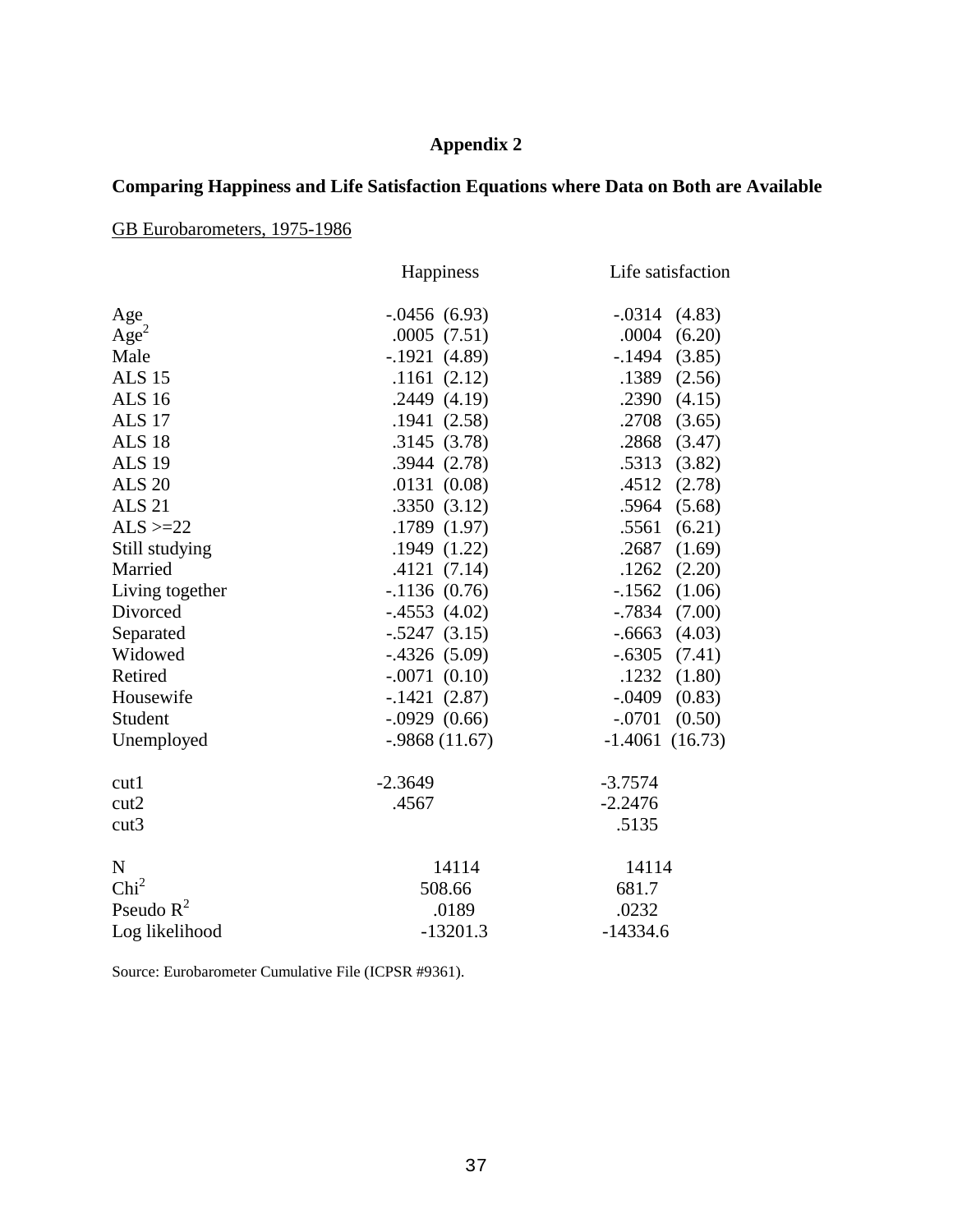# **Appendix 2**

# **Comparing Happiness and Life Satisfaction Equations where Data on Both are Available**

GB Eurobarometers, 1975-1986

|                  | Happiness       | Life satisfaction   |  |  |
|------------------|-----------------|---------------------|--|--|
| Age              | $-0.0456(6.93)$ | $-.0314(4.83)$      |  |  |
| Age <sup>2</sup> | .0005(7.51)     | .0004<br>(6.20)     |  |  |
| Male             | $-.1921(4.89)$  | $-1494$<br>(3.85)   |  |  |
| <b>ALS 15</b>    | .1161(2.12)     | .1389<br>(2.56)     |  |  |
| <b>ALS 16</b>    | .2449(4.19)     | .2390<br>(4.15)     |  |  |
| <b>ALS 17</b>    | .1941(2.58)     | .2708<br>(3.65)     |  |  |
| <b>ALS 18</b>    | .3145(3.78)     | .2868<br>(3.47)     |  |  |
| <b>ALS 19</b>    | .3944(2.78)     | .5313<br>(3.82)     |  |  |
| <b>ALS 20</b>    | .0131(0.08)     | .4512<br>(2.78)     |  |  |
| <b>ALS 21</b>    | .3350(3.12)     | .5964<br>(5.68)     |  |  |
| $ALS > = 22$     | .1789 (1.97)    | .5561<br>(6.21)     |  |  |
| Still studying   | .1949(1.22)     | .2687<br>(1.69)     |  |  |
| Married          | .4121(7.14)     | $.1262$ $(2.20)$    |  |  |
| Living together  | $-1136(0.76)$   | $-1562$<br>(1.06)   |  |  |
| Divorced         | $-.4553(4.02)$  | (7.00)<br>$-0.7834$ |  |  |
| Separated        | $-.5247(3.15)$  | $-0.6663$<br>(4.03) |  |  |
| Widowed          | $-.4326(5.09)$  | $-.6305$<br>(7.41)  |  |  |
| Retired          | $-.0071(0.10)$  | .1232<br>(1.80)     |  |  |
| Housewife        | $-.1421(2.87)$  | $-.0409$<br>(0.83)  |  |  |
| Student          | $-.0929(0.66)$  | $-.0701$<br>(0.50)  |  |  |
| Unemployed       | $-.9868(11.67)$ | $-1.4061(16.73)$    |  |  |
| cut1             | $-2.3649$       | $-3.7574$           |  |  |
| cut2             | .4567           | $-2.2476$           |  |  |
| cut3             |                 | .5135               |  |  |
| $\mathbf N$      | 14114           | 14114               |  |  |
| Chi <sup>2</sup> | 508.66          | 681.7               |  |  |
| Pseudo $R^2$     | .0189           | .0232               |  |  |
| Log likelihood   | $-13201.3$      | $-14334.6$          |  |  |

Source: Eurobarometer Cumulative File (ICPSR #9361).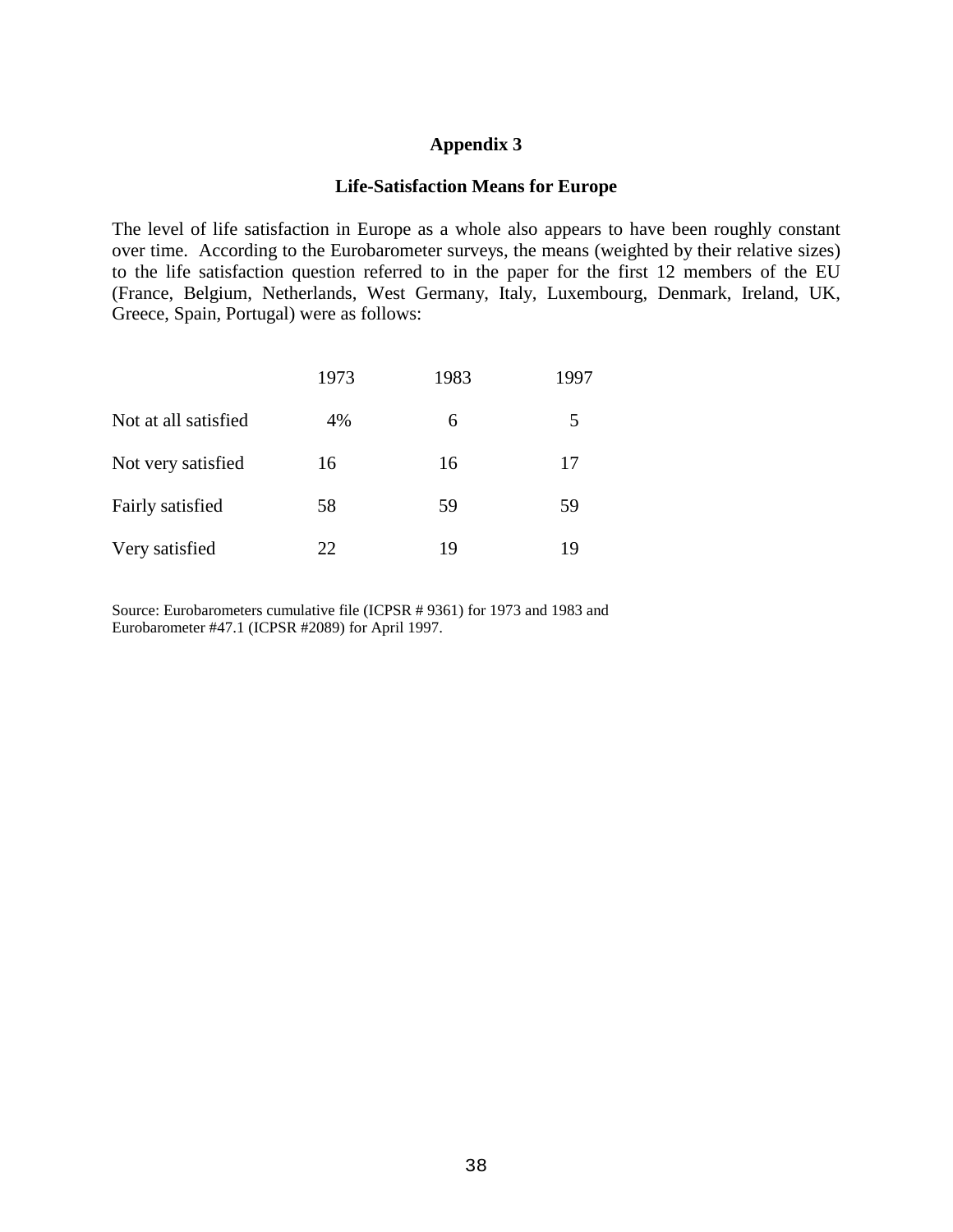### **Appendix 3**

### **Life-Satisfaction Means for Europe**

The level of life satisfaction in Europe as a whole also appears to have been roughly constant over time. According to the Eurobarometer surveys, the means (weighted by their relative sizes) to the life satisfaction question referred to in the paper for the first 12 members of the EU (France, Belgium, Netherlands, West Germany, Italy, Luxembourg, Denmark, Ireland, UK, Greece, Spain, Portugal) were as follows:

|                      | 1973 | 1983 | 1997 |
|----------------------|------|------|------|
| Not at all satisfied | 4%   | 6    | 5    |
| Not very satisfied   | 16   | 16   | 17   |
| Fairly satisfied     | 58   | 59   | 59   |
| Very satisfied       | 22   | 19   | 19   |

Source: Eurobarometers cumulative file (ICPSR # 9361) for 1973 and 1983 and Eurobarometer #47.1 (ICPSR #2089) for April 1997.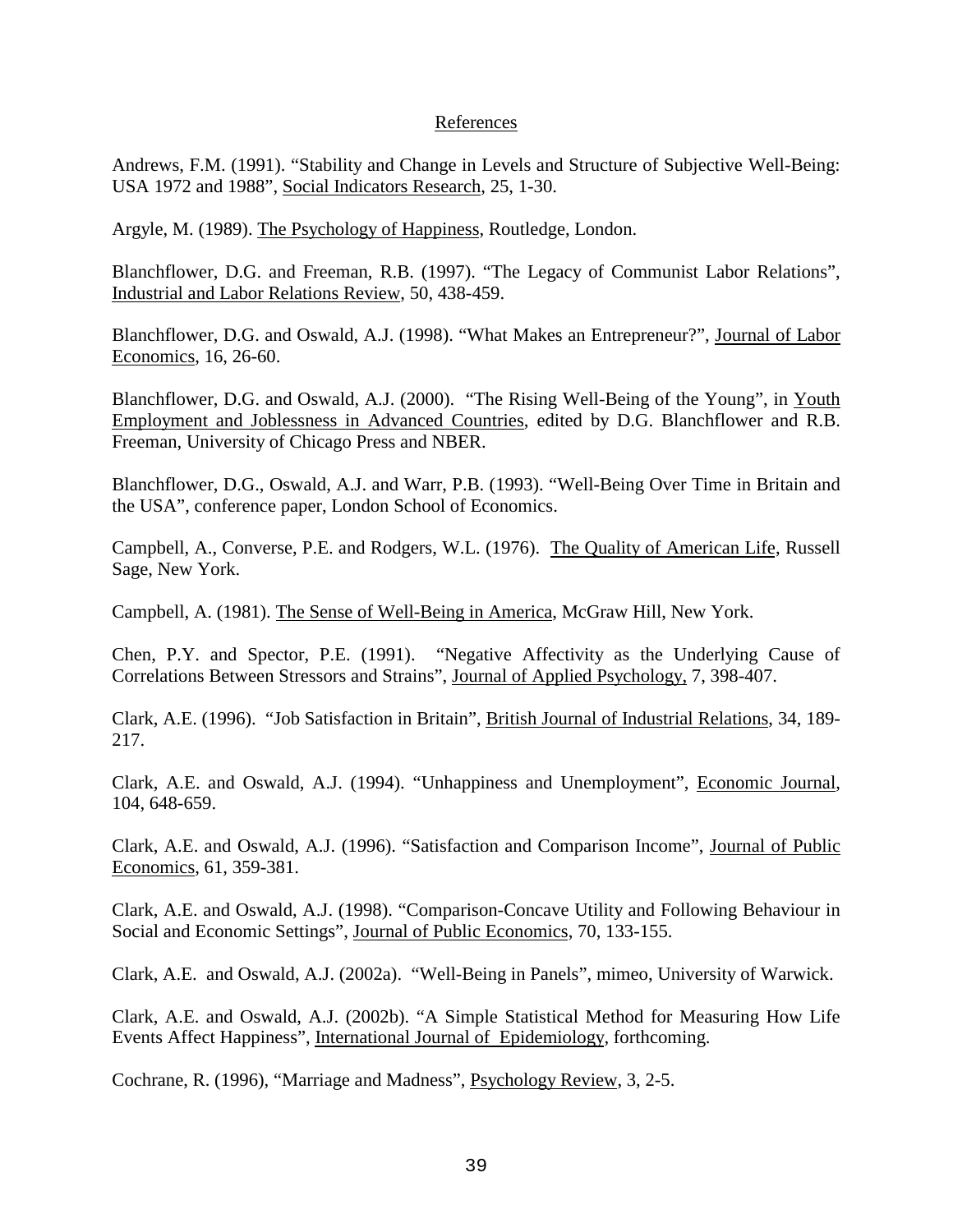### References

Andrews, F.M. (1991). "Stability and Change in Levels and Structure of Subjective Well-Being: USA 1972 and 1988", Social Indicators Research, 25, 1-30.

Argyle, M. (1989). The Psychology of Happiness, Routledge, London.

Blanchflower, D.G. and Freeman, R.B. (1997). "The Legacy of Communist Labor Relations", Industrial and Labor Relations Review, 50, 438-459.

Blanchflower, D.G. and Oswald, A.J. (1998). "What Makes an Entrepreneur?", Journal of Labor Economics, 16, 26-60.

Blanchflower, D.G. and Oswald, A.J. (2000). "The Rising Well-Being of the Young", in Youth Employment and Joblessness in Advanced Countries, edited by D.G. Blanchflower and R.B. Freeman, University of Chicago Press and NBER.

Blanchflower, D.G., Oswald, A.J. and Warr, P.B. (1993). "Well-Being Over Time in Britain and the USA", conference paper, London School of Economics.

Campbell, A., Converse, P.E. and Rodgers, W.L. (1976). The Quality of American Life, Russell Sage, New York.

Campbell, A. (1981). The Sense of Well-Being in America, McGraw Hill, New York.

Chen, P.Y. and Spector, P.E. (1991). "Negative Affectivity as the Underlying Cause of Correlations Between Stressors and Strains", Journal of Applied Psychology, 7, 398-407.

Clark, A.E. (1996). "Job Satisfaction in Britain", British Journal of Industrial Relations, 34, 189- 217.

Clark, A.E. and Oswald, A.J. (1994). "Unhappiness and Unemployment", Economic Journal, 104, 648-659.

Clark, A.E. and Oswald, A.J. (1996). "Satisfaction and Comparison Income", Journal of Public Economics, 61, 359-381.

Clark, A.E. and Oswald, A.J. (1998). "Comparison-Concave Utility and Following Behaviour in Social and Economic Settings", Journal of Public Economics, 70, 133-155.

Clark, A.E. and Oswald, A.J. (2002a). "Well-Being in Panels", mimeo, University of Warwick.

Clark, A.E. and Oswald, A.J. (2002b). "A Simple Statistical Method for Measuring How Life Events Affect Happiness", International Journal of Epidemiology, forthcoming.

Cochrane, R. (1996), "Marriage and Madness", Psychology Review, 3, 2-5.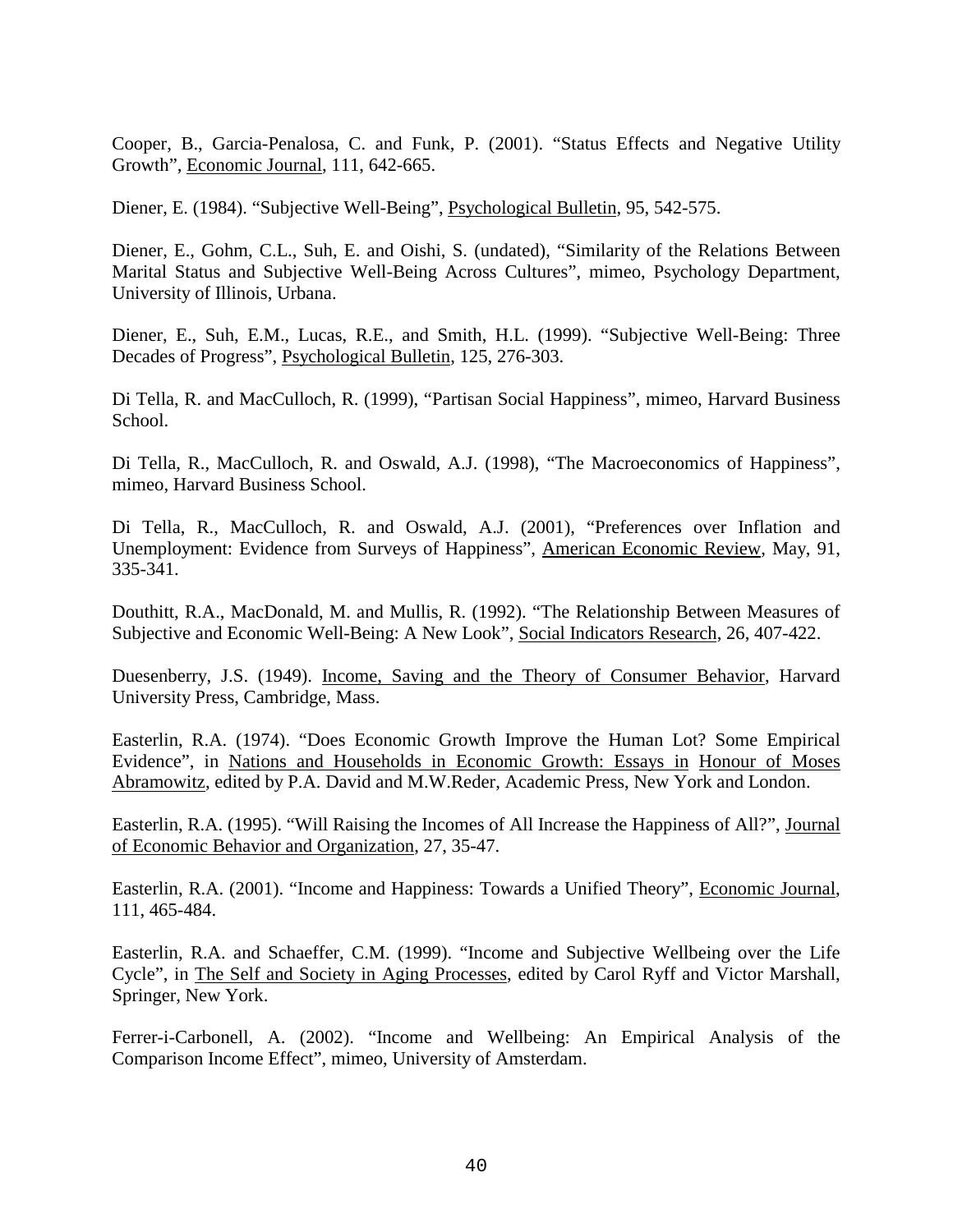Cooper, B., Garcia-Penalosa, C. and Funk, P. (2001). "Status Effects and Negative Utility Growth", Economic Journal, 111, 642-665.

Diener, E. (1984). "Subjective Well-Being", Psychological Bulletin, 95, 542-575.

Diener, E., Gohm, C.L., Suh, E. and Oishi, S. (undated), "Similarity of the Relations Between Marital Status and Subjective Well-Being Across Cultures", mimeo, Psychology Department, University of Illinois, Urbana.

Diener, E., Suh, E.M., Lucas, R.E., and Smith, H.L. (1999). "Subjective Well-Being: Three Decades of Progress", Psychological Bulletin, 125, 276-303.

Di Tella, R. and MacCulloch, R. (1999), "Partisan Social Happiness", mimeo, Harvard Business School.

Di Tella, R., MacCulloch, R. and Oswald, A.J. (1998), "The Macroeconomics of Happiness", mimeo, Harvard Business School.

Di Tella, R., MacCulloch, R. and Oswald, A.J. (2001), "Preferences over Inflation and Unemployment: Evidence from Surveys of Happiness", American Economic Review, May, 91, 335-341.

Douthitt, R.A., MacDonald, M. and Mullis, R. (1992). "The Relationship Between Measures of Subjective and Economic Well-Being: A New Look", Social Indicators Research, 26, 407-422.

Duesenberry, J.S. (1949). Income, Saving and the Theory of Consumer Behavior, Harvard University Press, Cambridge, Mass.

Easterlin, R.A. (1974). "Does Economic Growth Improve the Human Lot? Some Empirical Evidence", in Nations and Households in Economic Growth: Essays in Honour of Moses Abramowitz, edited by P.A. David and M.W.Reder, Academic Press, New York and London.

Easterlin, R.A. (1995). "Will Raising the Incomes of All Increase the Happiness of All?", Journal of Economic Behavior and Organization, 27, 35-47.

Easterlin, R.A. (2001). "Income and Happiness: Towards a Unified Theory", Economic Journal, 111, 465-484.

Easterlin, R.A. and Schaeffer, C.M. (1999). "Income and Subjective Wellbeing over the Life Cycle", in The Self and Society in Aging Processes, edited by Carol Ryff and Victor Marshall, Springer, New York.

Ferrer-i-Carbonell, A. (2002). "Income and Wellbeing: An Empirical Analysis of the Comparison Income Effect", mimeo, University of Amsterdam.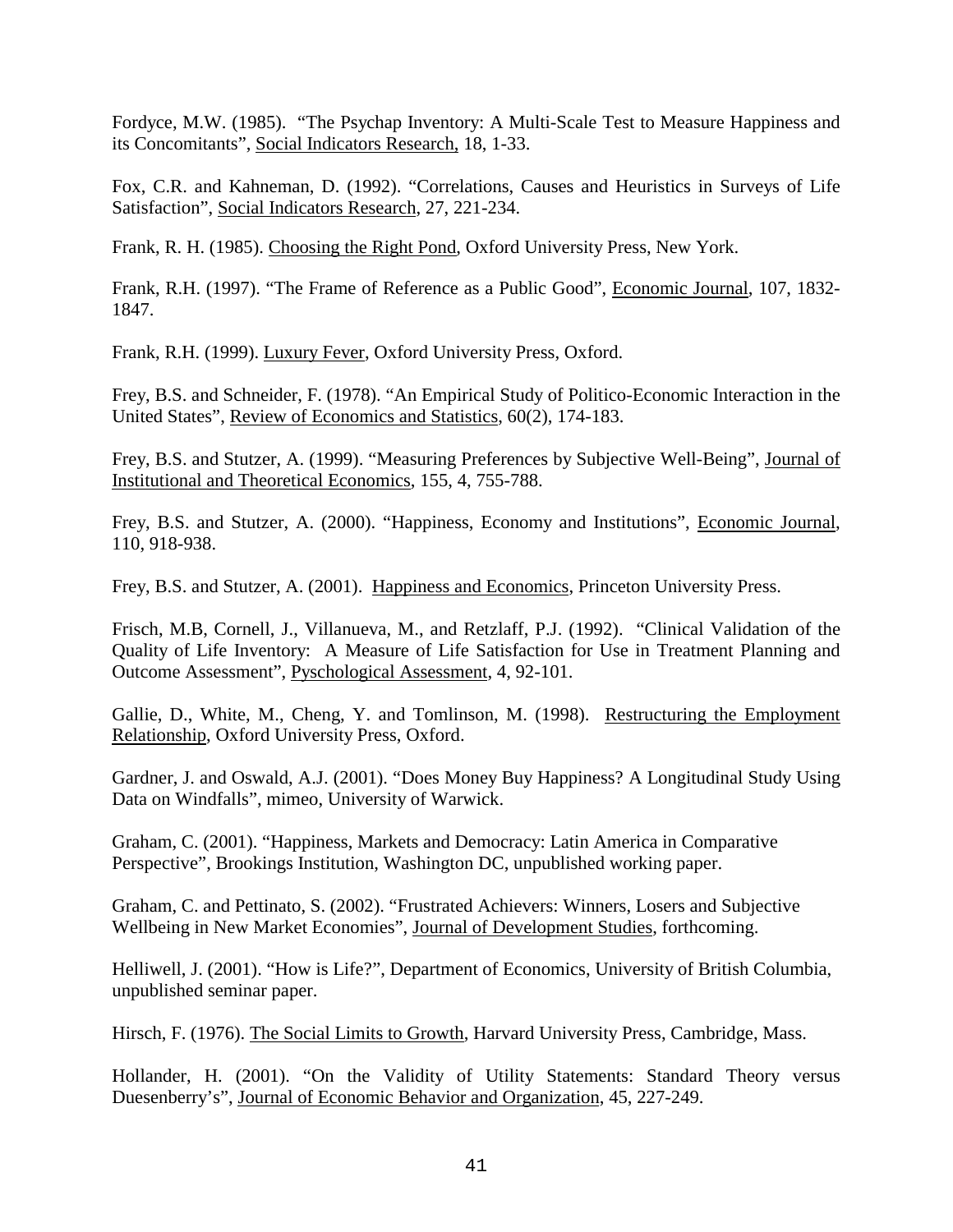Fordyce, M.W. (1985). "The Psychap Inventory: A Multi-Scale Test to Measure Happiness and its Concomitants", Social Indicators Research, 18, 1-33.

Fox, C.R. and Kahneman, D. (1992). "Correlations, Causes and Heuristics in Surveys of Life Satisfaction", Social Indicators Research, 27, 221-234.

Frank, R. H. (1985). Choosing the Right Pond, Oxford University Press, New York.

Frank, R.H. (1997). "The Frame of Reference as a Public Good", Economic Journal, 107, 1832- 1847.

Frank, R.H. (1999). Luxury Fever, Oxford University Press, Oxford.

Frey, B.S. and Schneider, F. (1978). "An Empirical Study of Politico-Economic Interaction in the United States", Review of Economics and Statistics, 60(2), 174-183.

Frey, B.S. and Stutzer, A. (1999). "Measuring Preferences by Subjective Well-Being", Journal of Institutional and Theoretical Economics, 155, 4, 755-788.

Frey, B.S. and Stutzer, A. (2000). "Happiness, Economy and Institutions", Economic Journal, 110, 918-938.

Frey, B.S. and Stutzer, A. (2001). Happiness and Economics, Princeton University Press.

Frisch, M.B, Cornell, J., Villanueva, M., and Retzlaff, P.J. (1992). "Clinical Validation of the Quality of Life Inventory: A Measure of Life Satisfaction for Use in Treatment Planning and Outcome Assessment", Pyschological Assessment, 4, 92-101.

Gallie, D., White, M., Cheng, Y. and Tomlinson, M. (1998). Restructuring the Employment Relationship, Oxford University Press, Oxford.

Gardner, J. and Oswald, A.J. (2001). "Does Money Buy Happiness? A Longitudinal Study Using Data on Windfalls", mimeo, University of Warwick.

Graham, C. (2001). "Happiness, Markets and Democracy: Latin America in Comparative Perspective", Brookings Institution, Washington DC, unpublished working paper.

Graham, C. and Pettinato, S. (2002). "Frustrated Achievers: Winners, Losers and Subjective Wellbeing in New Market Economies", Journal of Development Studies, forthcoming.

Helliwell, J. (2001). "How is Life?", Department of Economics, University of British Columbia, unpublished seminar paper.

Hirsch, F. (1976). The Social Limits to Growth, Harvard University Press, Cambridge, Mass.

Hollander, H. (2001). "On the Validity of Utility Statements: Standard Theory versus Duesenberry's", Journal of Economic Behavior and Organization, 45, 227-249.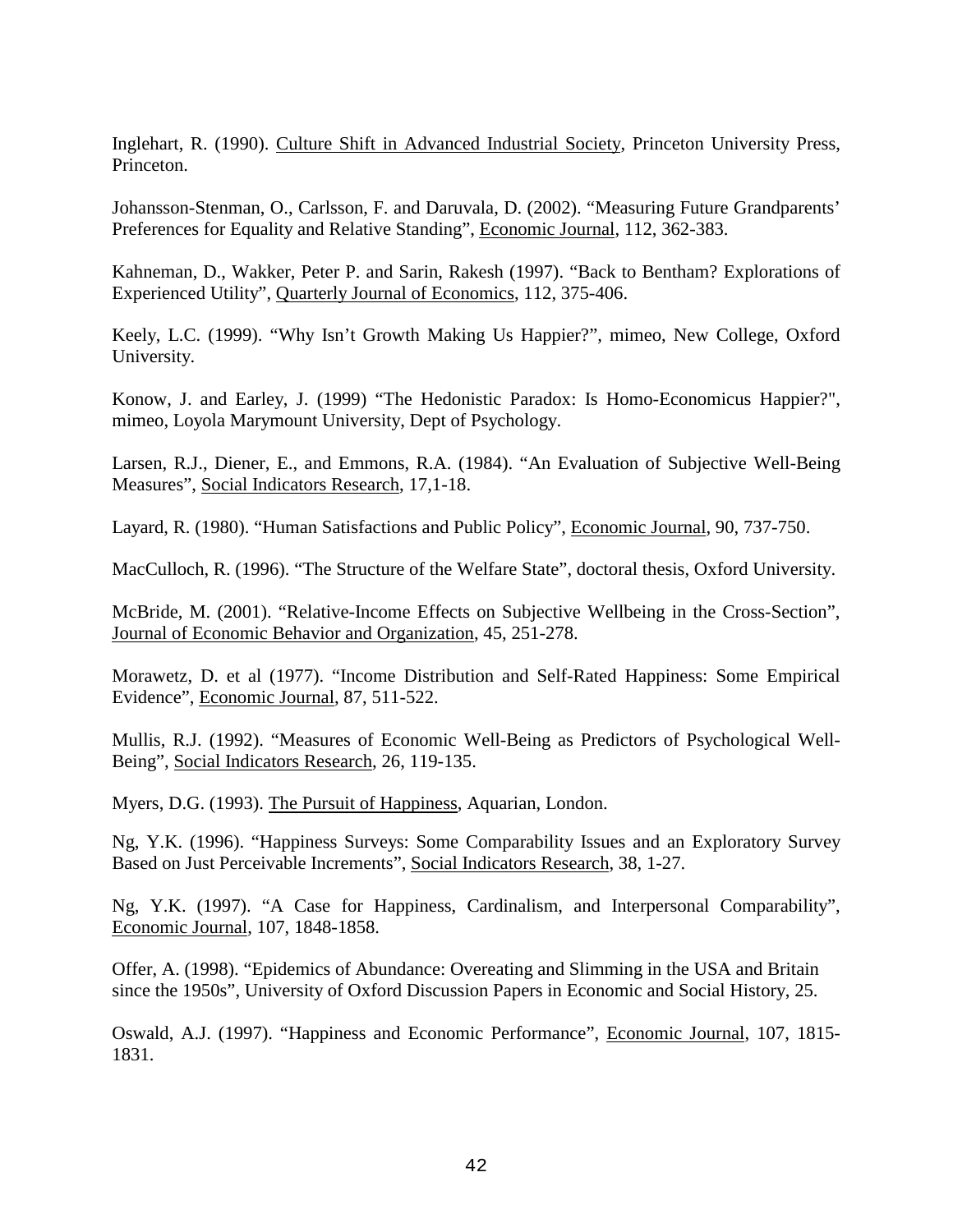Inglehart, R. (1990). Culture Shift in Advanced Industrial Society, Princeton University Press, Princeton.

Johansson-Stenman, O., Carlsson, F. and Daruvala, D. (2002). "Measuring Future Grandparents' Preferences for Equality and Relative Standing", Economic Journal, 112, 362-383.

Kahneman, D., Wakker, Peter P. and Sarin, Rakesh (1997). "Back to Bentham? Explorations of Experienced Utility", Quarterly Journal of Economics, 112, 375-406.

Keely, L.C. (1999). "Why Isn't Growth Making Us Happier?", mimeo, New College, Oxford University.

Konow, J. and Earley, J. (1999) "The Hedonistic Paradox: Is Homo-Economicus Happier?", mimeo, Loyola Marymount University, Dept of Psychology.

Larsen, R.J., Diener, E., and Emmons, R.A. (1984). "An Evaluation of Subjective Well-Being Measures", Social Indicators Research, 17,1-18.

Layard, R. (1980). "Human Satisfactions and Public Policy", Economic Journal, 90, 737-750.

MacCulloch, R. (1996). "The Structure of the Welfare State", doctoral thesis, Oxford University.

McBride, M. (2001). "Relative-Income Effects on Subjective Wellbeing in the Cross-Section", Journal of Economic Behavior and Organization, 45, 251-278.

Morawetz, D. et al (1977). "Income Distribution and Self-Rated Happiness: Some Empirical Evidence", Economic Journal, 87, 511-522.

Mullis, R.J. (1992). "Measures of Economic Well-Being as Predictors of Psychological Well-Being", Social Indicators Research, 26, 119-135.

Myers, D.G. (1993). The Pursuit of Happiness, Aquarian, London.

Ng, Y.K. (1996). "Happiness Surveys: Some Comparability Issues and an Exploratory Survey Based on Just Perceivable Increments", Social Indicators Research, 38, 1-27.

Ng, Y.K. (1997). "A Case for Happiness, Cardinalism, and Interpersonal Comparability", Economic Journal, 107, 1848-1858.

Offer, A. (1998). "Epidemics of Abundance: Overeating and Slimming in the USA and Britain since the 1950s", University of Oxford Discussion Papers in Economic and Social History, 25.

Oswald, A.J. (1997). "Happiness and Economic Performance", Economic Journal, 107, 1815- 1831.